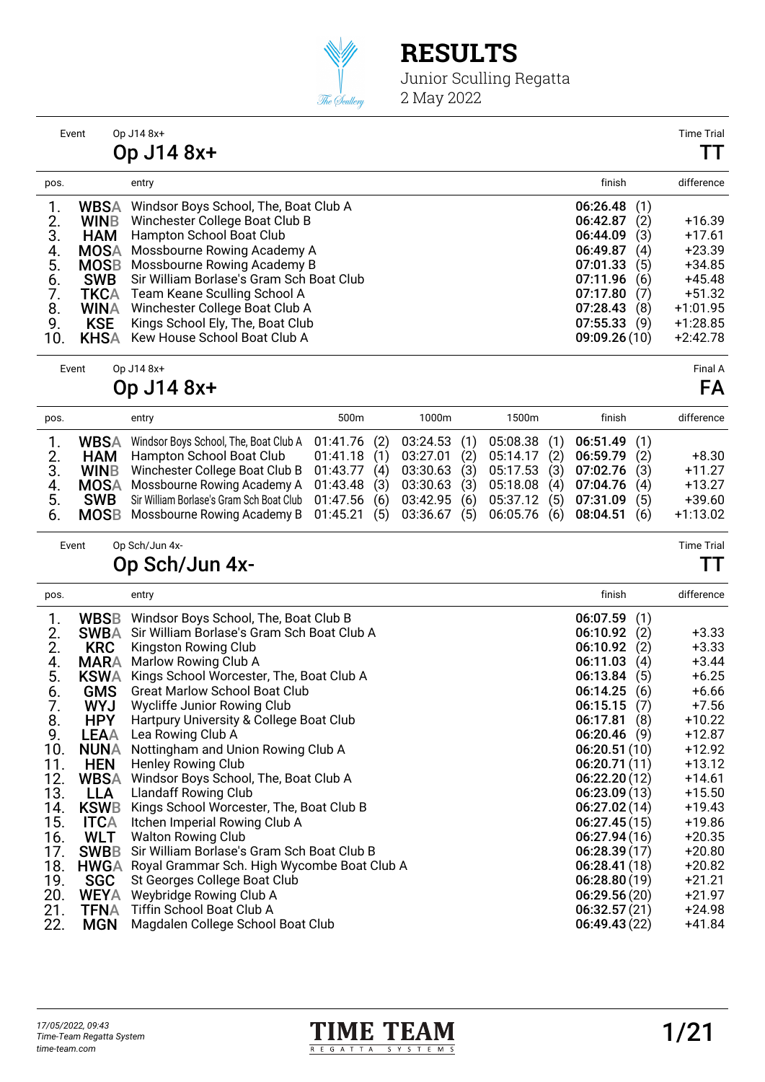

Junior Sculling Regatta 2 May 2022

Event Op J14 8x+ Time Trial

|                                                                                                                                                                                    | Op J14 8x+                                                                                                                                                                                                                                                                                                                                          |                                                                                                                          |                                                      |                                                                                                                |
|------------------------------------------------------------------------------------------------------------------------------------------------------------------------------------|-----------------------------------------------------------------------------------------------------------------------------------------------------------------------------------------------------------------------------------------------------------------------------------------------------------------------------------------------------|--------------------------------------------------------------------------------------------------------------------------|------------------------------------------------------|----------------------------------------------------------------------------------------------------------------|
| pos.                                                                                                                                                                               | entry                                                                                                                                                                                                                                                                                                                                               | finish                                                                                                                   |                                                      | difference                                                                                                     |
| <b>WBSA</b><br><b>WINB</b><br>2.<br>3.<br><b>HAM</b><br><b>MOSA</b><br>4.<br>5.<br><b>MOSB</b><br><b>SWB</b><br>6.<br>TKCA<br>WINA<br>8.<br>9.<br><b>KSE</b><br><b>KHSA</b><br>10. | Windsor Boys School, The, Boat Club A<br>Winchester College Boat Club B<br>Hampton School Boat Club<br>Mossbourne Rowing Academy A<br>Mossbourne Rowing Academy B<br>Sir William Borlase's Gram Sch Boat Club<br>Team Keane Sculling School A<br>Winchester College Boat Club A<br>Kings School Ely, The, Boat Club<br>Kew House School Boat Club A | 06:26.48<br>06:42.87<br>06:44.09<br>06:49.87<br>07:01.33<br>07:11.96<br>07:17.80<br>07:28.43<br>07:55.33<br>09:09.26(10) | (2)<br>(3)<br>(4)<br>(5)<br>(6)<br>(7)<br>(8)<br>(9) | $+16.39$<br>$+17.61$<br>$+23.39$<br>$+34.85$<br>$+45.48$<br>$+51.32$<br>$+1:01.95$<br>$+1:28.85$<br>$+2:42.78$ |

Event Op J14 8x+ Final A

### Op J14 8x+ FA

| pos.                       |                           | entry                                                                                                                                                                                                                                                                                                                                                                                                                                                                                                                  | 500 <sub>m</sub> | 1000m | 1500m        | finish                                      | difference                                                |
|----------------------------|---------------------------|------------------------------------------------------------------------------------------------------------------------------------------------------------------------------------------------------------------------------------------------------------------------------------------------------------------------------------------------------------------------------------------------------------------------------------------------------------------------------------------------------------------------|------------------|-------|--------------|---------------------------------------------|-----------------------------------------------------------|
| 2.<br>3.<br>4.<br>5.<br>6. | <b>WBSA</b><br><b>SWB</b> | Windsor Boys School, The, Boat Club A  01:41.76 (2) 03:24.53 (1) 05:08.38 (1) 06:51.49 (1)<br><b>HAM</b> Hampton School Boat Club 01:41.18 (1) 03:27.01 (2) 05:14.17 (2) 06:59.79<br>WINB Winchester College Boat Club B 01:43.77 (4) 03:30.63 (3) 05:17.53 (3) 07:02.76<br>MOSA Mossbourne Rowing Academy A 01:43.48 (3) 03:30.63 (3) 05:18.08 (4) 07:04.76<br>Sir William Borlase's Gram Sch Boat Club 01:47.56 (6) 03:42.95 (6)<br>MOSB Mossbourne Rowing Academy B 01:45.21 (5) 03:36.67 (5) 06:05.76 (6) 08:04.51 |                  |       | 05:37.12 (5) | (2)<br>(3)<br>(4)<br>(5)<br>07:31.09<br>(6) | $+8.30$<br>$+11.27$<br>$+13.27$<br>$+39.60$<br>$+1:13.02$ |
|                            |                           |                                                                                                                                                                                                                                                                                                                                                                                                                                                                                                                        |                  |       |              |                                             |                                                           |

Event Op Sch/Jun 4x- Time Trial

### Op Sch/Jun 4x- TT

| pos. |             | entry                                       | finish          | difference |
|------|-------------|---------------------------------------------|-----------------|------------|
| 1.   | <b>WBSB</b> | Windsor Boys School, The, Boat Club B       | 06:07.59<br>(1) |            |
| 2.   | <b>SWBA</b> | Sir William Borlase's Gram Sch Boat Club A  | 06:10.92<br>(2) | $+3.33$    |
| 2.   | <b>KRC</b>  | Kingston Rowing Club                        | (2)<br>06:10.92 | $+3.33$    |
| 4.   | <b>MARA</b> | Marlow Rowing Club A                        | 06:11.03<br>(4) | $+3.44$    |
| 5.   | <b>KSWA</b> | Kings School Worcester, The, Boat Club A    | (5)<br>06:13.84 | $+6.25$    |
| 6.   | <b>GMS</b>  | <b>Great Marlow School Boat Club</b>        | 06:14.25<br>(6) | $+6.66$    |
| 7.   | <b>WYJ</b>  | Wycliffe Junior Rowing Club                 | 06:15.15<br>(7) | $+7.56$    |
| 8.   | <b>HPY</b>  | Hartpury University & College Boat Club     | 06:17.81<br>(8) | $+10.22$   |
| 9.   | <b>LEAA</b> | Lea Rowing Club A                           | 06:20.46<br>(9) | $+12.87$   |
| 10.  | <b>NUNA</b> | Nottingham and Union Rowing Club A          | 06:20.51(10)    | $+12.92$   |
| 11.  | <b>HEN</b>  | Henley Rowing Club                          | 06:20.71(11)    | $+13.12$   |
| 12.  | <b>WBSA</b> | Windsor Boys School, The, Boat Club A       | 06:22.20(12)    | $+14.61$   |
| 13.  | <b>LLA</b>  | <b>Llandaff Rowing Club</b>                 | 06:23.09(13)    | $+15.50$   |
| 14.  | <b>KSWB</b> | Kings School Worcester, The, Boat Club B    | 06:27.02(14)    | $+19.43$   |
| 15.  | <b>ITCA</b> | Itchen Imperial Rowing Club A               | 06:27.45(15)    | $+19.86$   |
| 16.  | <b>WLT</b>  | <b>Walton Rowing Club</b>                   | 06:27.94(16)    | $+20.35$   |
| 17.  | <b>SWBB</b> | Sir William Borlase's Gram Sch Boat Club B  | 06:28.39(17)    | $+20.80$   |
| 18.  | <b>HWGA</b> | Royal Grammar Sch. High Wycombe Boat Club A | 06:28.41(18)    | $+20.82$   |
| 19.  | <b>SGC</b>  | St Georges College Boat Club                | 06:28.80(19)    | $+21.21$   |
| 20.  | <b>WEYA</b> | Weybridge Rowing Club A                     | 06:29.56(20)    | $+21.97$   |
| 21.  | <b>TFNA</b> | Tiffin School Boat Club A                   | 06:32.57(21)    | $+24.98$   |
| 22.  | <b>MGN</b>  | Magdalen College School Boat Club           | 06:49.43(22)    | $+41.84$   |

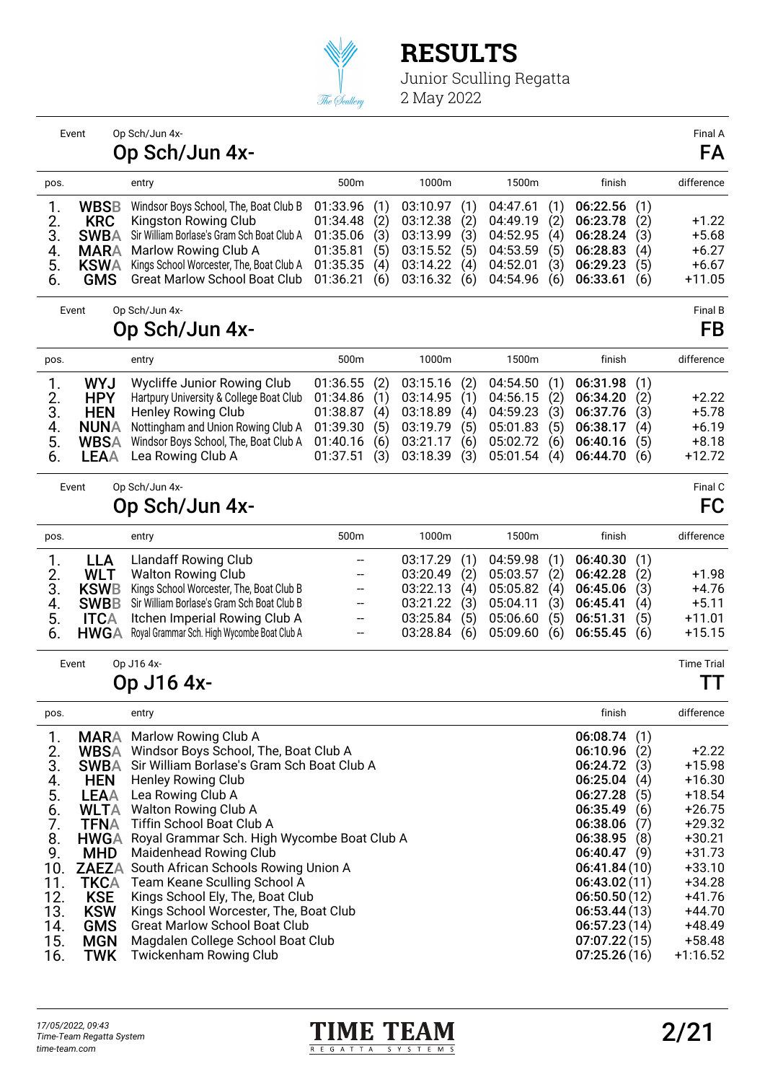

|                                                                                                                 | Event                                                                                                                                                                                            | Op Sch/Jun 4x-<br>Op Sch/Jun 4x-                                                                                                                                                                                                                                                                                                                                                                                                                                                                                                                                                  |                                                                      |                                        |                                                                      |                                        |                                                                      |                                        |                                                                                                                                                                                                                             |                                                      | Final A<br>FA                                                                                                                                                                     |
|-----------------------------------------------------------------------------------------------------------------|--------------------------------------------------------------------------------------------------------------------------------------------------------------------------------------------------|-----------------------------------------------------------------------------------------------------------------------------------------------------------------------------------------------------------------------------------------------------------------------------------------------------------------------------------------------------------------------------------------------------------------------------------------------------------------------------------------------------------------------------------------------------------------------------------|----------------------------------------------------------------------|----------------------------------------|----------------------------------------------------------------------|----------------------------------------|----------------------------------------------------------------------|----------------------------------------|-----------------------------------------------------------------------------------------------------------------------------------------------------------------------------------------------------------------------------|------------------------------------------------------|-----------------------------------------------------------------------------------------------------------------------------------------------------------------------------------|
| pos.                                                                                                            |                                                                                                                                                                                                  | entry                                                                                                                                                                                                                                                                                                                                                                                                                                                                                                                                                                             | 500m                                                                 |                                        | 1000m                                                                |                                        | 1500m                                                                |                                        | finish                                                                                                                                                                                                                      |                                                      | difference                                                                                                                                                                        |
| 1.<br>2.<br>3.<br>4.<br>5.<br>6.                                                                                | <b>WBSB</b><br><b>KRC</b><br><b>SWBA</b><br><b>MARA</b><br><b>KSWA</b><br><b>GMS</b>                                                                                                             | Windsor Boys School, The, Boat Club B<br>Kingston Rowing Club<br>Sir William Borlase's Gram Sch Boat Club A<br>Marlow Rowing Club A<br>Kings School Worcester, The, Boat Club A<br><b>Great Marlow School Boat Club</b>                                                                                                                                                                                                                                                                                                                                                           | 01:33.96<br>01:34.48<br>01:35.06<br>01:35.81<br>01:35.35<br>01:36.21 | (1)<br>(2)<br>(3)<br>(5)<br>(4)<br>(6) | 03:10.97<br>03:12.38<br>03:13.99<br>03:15.52<br>03:14.22<br>03:16.32 | (1)<br>(2)<br>(3)<br>(5)<br>(4)<br>(6) | 04:47.61<br>04:49.19<br>04:52.95<br>04:53.59<br>04:52.01<br>04:54.96 | (1)<br>(2)<br>(4)<br>(5)<br>(3)<br>(6) | 06:22.56<br>06:23.78<br>06:28.24<br>06:28.83<br>06:29.23<br>06:33.61                                                                                                                                                        | (1)<br>(2)<br>(3)<br>(4)<br>(5)<br>(6)               | $+1.22$<br>$+5.68$<br>$+6.27$<br>$+6.67$<br>$+11.05$                                                                                                                              |
|                                                                                                                 | Event                                                                                                                                                                                            | Op Sch/Jun 4x-<br><b>Op Sch/Jun 4x-</b>                                                                                                                                                                                                                                                                                                                                                                                                                                                                                                                                           |                                                                      |                                        |                                                                      |                                        |                                                                      |                                        |                                                                                                                                                                                                                             |                                                      | <b>Final B</b><br>FB                                                                                                                                                              |
| pos.                                                                                                            |                                                                                                                                                                                                  | entry                                                                                                                                                                                                                                                                                                                                                                                                                                                                                                                                                                             | 500m                                                                 |                                        | 1000m                                                                |                                        | 1500m                                                                |                                        | finish                                                                                                                                                                                                                      |                                                      | difference                                                                                                                                                                        |
| 1.<br>2.<br>3.<br>4.<br>5.<br>6.                                                                                | <b>WYJ</b><br><b>HPY</b><br><b>HEN</b><br><b>NUNA</b><br><b>WBSA</b><br><b>LEAA</b>                                                                                                              | Wycliffe Junior Rowing Club<br>Hartpury University & College Boat Club<br>Henley Rowing Club<br>Nottingham and Union Rowing Club A<br>Windsor Boys School, The, Boat Club A<br>Lea Rowing Club A                                                                                                                                                                                                                                                                                                                                                                                  | 01:36.55<br>01:34.86<br>01:38.87<br>01:39.30<br>01:40.16<br>01:37.51 | (2)<br>(1)<br>(4)<br>(5)<br>(6)<br>(3) | 03:15.16<br>03:14.95<br>03:18.89<br>03:19.79<br>03:21.17<br>03:18.39 | (2)<br>(1)<br>(4)<br>(5)<br>(6)<br>(3) | 04:54.50<br>04:56.15<br>04:59.23<br>05:01.83<br>05:02.72<br>05:01.54 | (1)<br>(2)<br>(3)<br>(5)<br>(6)<br>(4) | 06:31.98<br>06:34.20<br>06:37.76<br>06:38.17<br>06:40.16<br>06:44.70                                                                                                                                                        | (1)<br>(2)<br>(3)<br>(4)<br>(5)<br>(6)               | $+2.22$<br>$+5.78$<br>$+6.19$<br>$+8.18$<br>$+12.72$                                                                                                                              |
|                                                                                                                 | Event                                                                                                                                                                                            | Op Sch/Jun 4x-<br><b>Op Sch/Jun 4x-</b>                                                                                                                                                                                                                                                                                                                                                                                                                                                                                                                                           |                                                                      |                                        |                                                                      |                                        |                                                                      |                                        |                                                                                                                                                                                                                             |                                                      | Final C<br>FC                                                                                                                                                                     |
| pos.                                                                                                            |                                                                                                                                                                                                  | entry                                                                                                                                                                                                                                                                                                                                                                                                                                                                                                                                                                             | 500m                                                                 |                                        | 1000m                                                                |                                        | 1500m                                                                |                                        | finish                                                                                                                                                                                                                      |                                                      | difference                                                                                                                                                                        |
| 1.<br>2.<br>3.<br>4.<br>5.<br>6.                                                                                | <b>LLA</b><br><b>WLT</b><br><b>KSWB</b><br><b>SWBB</b><br><b>ITCA</b><br><b>HWGA</b>                                                                                                             | <b>Llandaff Rowing Club</b><br><b>Walton Rowing Club</b><br>Kings School Worcester, The, Boat Club B<br>Sir William Borlase's Gram Sch Boat Club B<br>Itchen Imperial Rowing Club A<br>Royal Grammar Sch. High Wycombe Boat Club A                                                                                                                                                                                                                                                                                                                                                | --<br>--<br>—<br>--<br>--<br>--                                      |                                        | 03:17.29<br>03:20.49<br>03:22.13<br>03:21.22<br>03:25.84<br>03:28.84 | (1)<br>(2)<br>(4)<br>(3)<br>(5)<br>(6) | 04:59.98<br>05:03.57<br>05:05.82<br>05:04.11<br>05:06.60<br>05:09.60 | (1)<br>(2)<br>(4)<br>(3)<br>(5)<br>(6) | 06:40.30<br>06:42.28<br>06:45.06<br>06:45.41<br>06:51.31<br>06:55.45                                                                                                                                                        | (1)<br>(2)<br>(3)<br>(4)<br>(5)<br>(6)               | $+1.98$<br>$+4.76$<br>$+5.11$<br>$+11.01$<br>$+15.15$                                                                                                                             |
|                                                                                                                 | Event                                                                                                                                                                                            | Op J16 4x-<br>Op J16 4x-                                                                                                                                                                                                                                                                                                                                                                                                                                                                                                                                                          |                                                                      |                                        |                                                                      |                                        |                                                                      |                                        |                                                                                                                                                                                                                             |                                                      | <b>Time Trial</b><br>l I                                                                                                                                                          |
| pos.                                                                                                            |                                                                                                                                                                                                  | entry                                                                                                                                                                                                                                                                                                                                                                                                                                                                                                                                                                             |                                                                      |                                        |                                                                      |                                        |                                                                      |                                        | finish                                                                                                                                                                                                                      |                                                      | difference                                                                                                                                                                        |
| 1.<br>$\frac{2}{3}$ .<br>$rac{4}{5}$ .<br>6.<br>7.<br>8.<br>9.<br>10.<br>11.<br>12.<br>13.<br>14.<br>15.<br>16. | <b>MARA</b><br>WBSA<br><b>SWBA</b><br><b>HEN</b><br><b>LEAA</b><br><b>TFNA</b><br><b>HWGA</b><br><b>MHD</b><br><b>TKCA</b><br><b>KSE</b><br><b>KSW</b><br><b>GMS</b><br><b>MGN</b><br><b>TWK</b> | Marlow Rowing Club A<br>Windsor Boys School, The, Boat Club A<br>Sir William Borlase's Gram Sch Boat Club A<br>Henley Rowing Club<br>Lea Rowing Club A<br><b>WLTA</b> Walton Rowing Club A<br>Tiffin School Boat Club A<br>Royal Grammar Sch. High Wycombe Boat Club A<br>Maidenhead Rowing Club<br><b>ZAEZA</b> South African Schools Rowing Union A<br>Team Keane Sculling School A<br>Kings School Ely, The, Boat Club<br>Kings School Worcester, The, Boat Club<br><b>Great Marlow School Boat Club</b><br>Magdalen College School Boat Club<br><b>Twickenham Rowing Club</b> |                                                                      |                                        |                                                                      |                                        |                                                                      |                                        | 06:08.74<br>06:10.96<br>06:24.72<br>06:25.04<br>06:27.28<br>06:35.49<br>06:38.06<br>06:38.95<br>06:40.47(9)<br>06:41.84(10)<br>06:43.02(11)<br>06:50.50(12)<br>06:53.44(13)<br>06:57.23(14)<br>07:07.22(15)<br>07:25.26(16) | (1)<br>(2)<br>(3)<br>(4)<br>(5)<br>(6)<br>(7)<br>(8) | $+2.22$<br>$+15.98$<br>$+16.30$<br>$+18.54$<br>$+26.75$<br>$+29.32$<br>$+30.21$<br>$+31.73$<br>$+33.10$<br>$+34.28$<br>$+41.76$<br>$+44.70$<br>$+48.49$<br>$+58.48$<br>$+1:16.52$ |

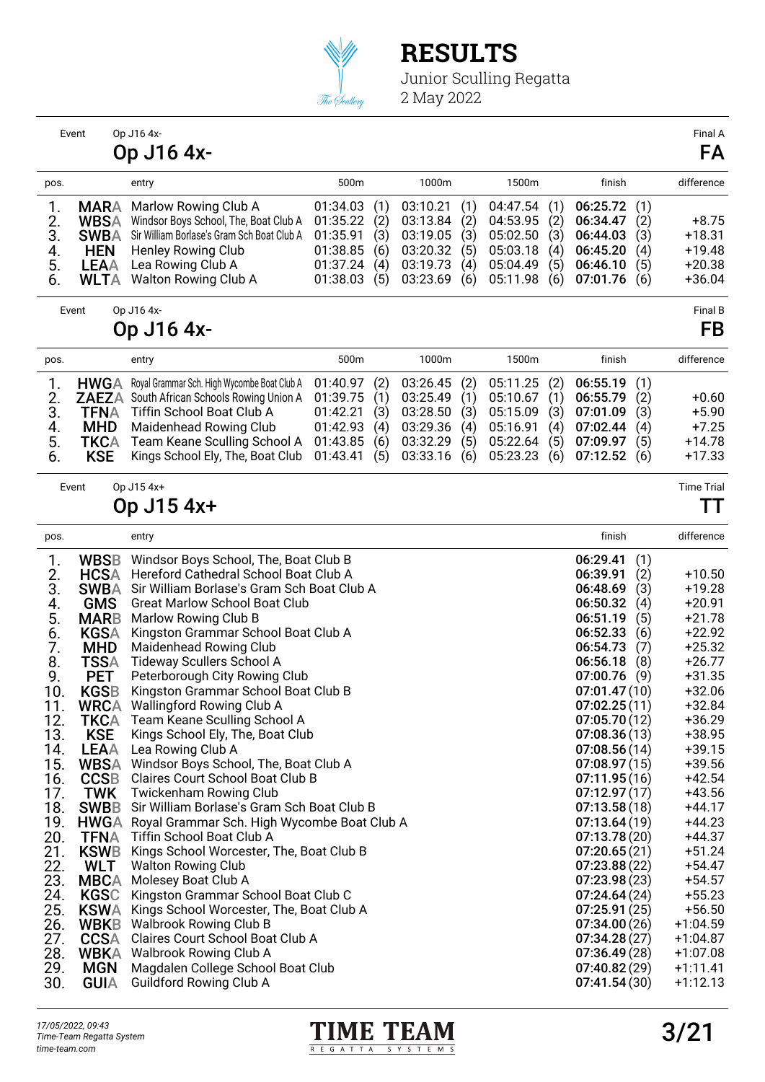

| Event                                                                                                                                                                                                             |                                                                                                                                                                                                                                | Op J16 4x-                                                                                                                                                                                                                                                                                                                                                                                                                                                                                                                                                                                                                                                                                                                                                                                                                                                                                                                                                                                                                                                                                                                                                                                                                            |                                                                      |                                        |                                                                      |                                        |                                                                      |                                        |                                                                                                                                                                                                                                                                                                                                                                                                                                                          |                                                             | Final A                                                                                                                                                                                                                                                                                                                                                        |
|-------------------------------------------------------------------------------------------------------------------------------------------------------------------------------------------------------------------|--------------------------------------------------------------------------------------------------------------------------------------------------------------------------------------------------------------------------------|---------------------------------------------------------------------------------------------------------------------------------------------------------------------------------------------------------------------------------------------------------------------------------------------------------------------------------------------------------------------------------------------------------------------------------------------------------------------------------------------------------------------------------------------------------------------------------------------------------------------------------------------------------------------------------------------------------------------------------------------------------------------------------------------------------------------------------------------------------------------------------------------------------------------------------------------------------------------------------------------------------------------------------------------------------------------------------------------------------------------------------------------------------------------------------------------------------------------------------------|----------------------------------------------------------------------|----------------------------------------|----------------------------------------------------------------------|----------------------------------------|----------------------------------------------------------------------|----------------------------------------|----------------------------------------------------------------------------------------------------------------------------------------------------------------------------------------------------------------------------------------------------------------------------------------------------------------------------------------------------------------------------------------------------------------------------------------------------------|-------------------------------------------------------------|----------------------------------------------------------------------------------------------------------------------------------------------------------------------------------------------------------------------------------------------------------------------------------------------------------------------------------------------------------------|
|                                                                                                                                                                                                                   |                                                                                                                                                                                                                                | Op J16 4x-                                                                                                                                                                                                                                                                                                                                                                                                                                                                                                                                                                                                                                                                                                                                                                                                                                                                                                                                                                                                                                                                                                                                                                                                                            |                                                                      |                                        |                                                                      |                                        |                                                                      |                                        |                                                                                                                                                                                                                                                                                                                                                                                                                                                          |                                                             | FA                                                                                                                                                                                                                                                                                                                                                             |
| pos.                                                                                                                                                                                                              |                                                                                                                                                                                                                                | entry                                                                                                                                                                                                                                                                                                                                                                                                                                                                                                                                                                                                                                                                                                                                                                                                                                                                                                                                                                                                                                                                                                                                                                                                                                 | 500m                                                                 |                                        | 1000m                                                                |                                        | 1500m                                                                |                                        | finish                                                                                                                                                                                                                                                                                                                                                                                                                                                   |                                                             | difference                                                                                                                                                                                                                                                                                                                                                     |
| 1.<br>2.<br>3.<br>4.<br>5.<br>6.                                                                                                                                                                                  | <b>MARA</b><br><b>WBSA</b><br><b>SWBA</b><br><b>HEN</b><br><b>LEAA</b><br>WLTA                                                                                                                                                 | Marlow Rowing Club A<br>Windsor Boys School, The, Boat Club A<br>Sir William Borlase's Gram Sch Boat Club A<br>Henley Rowing Club<br>Lea Rowing Club A<br>Walton Rowing Club A                                                                                                                                                                                                                                                                                                                                                                                                                                                                                                                                                                                                                                                                                                                                                                                                                                                                                                                                                                                                                                                        | 01:34.03<br>01:35.22<br>01:35.91<br>01:38.85<br>01:37.24<br>01:38.03 | (1)<br>(2)<br>(3)<br>(6)<br>(4)<br>(5) | 03:10.21<br>03:13.84<br>03:19.05<br>03:20.32<br>03:19.73<br>03:23.69 | (1)<br>(2)<br>(3)<br>(5)<br>(4)<br>(6) | 04:47.54<br>04:53.95<br>05:02.50<br>05:03.18<br>05:04.49<br>05:11.98 | (1)<br>(2)<br>(3)<br>(4)<br>(5)<br>(6) | 06:25.72<br>06:34.47<br>06:44.03<br>06:45.20<br>06:46.10<br>07:01.76                                                                                                                                                                                                                                                                                                                                                                                     | (1)<br>(2)<br>(3)<br>(4)<br>(5)<br>(6)                      | $+8.75$<br>$+18.31$<br>$+19.48$<br>$+20.38$<br>$+36.04$                                                                                                                                                                                                                                                                                                        |
| Event                                                                                                                                                                                                             |                                                                                                                                                                                                                                | Op J16 4x-<br>Op J16 4x-                                                                                                                                                                                                                                                                                                                                                                                                                                                                                                                                                                                                                                                                                                                                                                                                                                                                                                                                                                                                                                                                                                                                                                                                              |                                                                      |                                        |                                                                      |                                        |                                                                      |                                        |                                                                                                                                                                                                                                                                                                                                                                                                                                                          |                                                             | Final B<br>FB                                                                                                                                                                                                                                                                                                                                                  |
|                                                                                                                                                                                                                   |                                                                                                                                                                                                                                |                                                                                                                                                                                                                                                                                                                                                                                                                                                                                                                                                                                                                                                                                                                                                                                                                                                                                                                                                                                                                                                                                                                                                                                                                                       |                                                                      |                                        |                                                                      |                                        |                                                                      |                                        |                                                                                                                                                                                                                                                                                                                                                                                                                                                          |                                                             |                                                                                                                                                                                                                                                                                                                                                                |
| pos.                                                                                                                                                                                                              |                                                                                                                                                                                                                                | entry                                                                                                                                                                                                                                                                                                                                                                                                                                                                                                                                                                                                                                                                                                                                                                                                                                                                                                                                                                                                                                                                                                                                                                                                                                 | 500m                                                                 |                                        | 1000m                                                                |                                        | 1500m                                                                |                                        | finish                                                                                                                                                                                                                                                                                                                                                                                                                                                   |                                                             | difference                                                                                                                                                                                                                                                                                                                                                     |
| 1.<br>2.<br>3.<br>4.<br>5.<br>6.                                                                                                                                                                                  | <b>HWGA</b><br><b>TFNA</b><br><b>MHD</b><br><b>TKCA</b><br><b>KSE</b>                                                                                                                                                          | Royal Grammar Sch. High Wycombe Boat Club A<br><b>ZAEZA</b> South African Schools Rowing Union A<br>Tiffin School Boat Club A<br>Maidenhead Rowing Club<br>Team Keane Sculling School A<br>Kings School Ely, The, Boat Club                                                                                                                                                                                                                                                                                                                                                                                                                                                                                                                                                                                                                                                                                                                                                                                                                                                                                                                                                                                                           | 01:40.97<br>01:39.75<br>01:42.21<br>01:42.93<br>01:43.85<br>01:43.41 | (2)<br>(1)<br>(3)<br>(4)<br>(6)<br>(5) | 03:26.45<br>03:25.49<br>03:28.50<br>03:29.36<br>03:32.29<br>03:33.16 | (2)<br>(1)<br>(3)<br>(4)<br>(5)<br>(6) | 05:11.25<br>05:10.67<br>05:15.09<br>05:16.91<br>05:22.64<br>05:23.23 | (2)<br>(1)<br>(3)<br>(4)<br>(5)<br>(6) | 06:55.19<br>06:55.79<br>07:01.09<br>07:02.44<br>07:09.97<br>07:12.52                                                                                                                                                                                                                                                                                                                                                                                     | (1)<br>(2)<br>(3)<br>(4)<br>(5)<br>(6)                      | $+0.60$<br>$+5.90$<br>$+7.25$<br>$+14.78$<br>$+17.33$                                                                                                                                                                                                                                                                                                          |
| Event                                                                                                                                                                                                             |                                                                                                                                                                                                                                | Op J15 4x+                                                                                                                                                                                                                                                                                                                                                                                                                                                                                                                                                                                                                                                                                                                                                                                                                                                                                                                                                                                                                                                                                                                                                                                                                            |                                                                      |                                        |                                                                      |                                        |                                                                      |                                        |                                                                                                                                                                                                                                                                                                                                                                                                                                                          |                                                             | <b>Time Trial</b>                                                                                                                                                                                                                                                                                                                                              |
|                                                                                                                                                                                                                   |                                                                                                                                                                                                                                | Op J15 4x+                                                                                                                                                                                                                                                                                                                                                                                                                                                                                                                                                                                                                                                                                                                                                                                                                                                                                                                                                                                                                                                                                                                                                                                                                            |                                                                      |                                        |                                                                      |                                        |                                                                      |                                        |                                                                                                                                                                                                                                                                                                                                                                                                                                                          |                                                             | TΤ                                                                                                                                                                                                                                                                                                                                                             |
| pos.                                                                                                                                                                                                              |                                                                                                                                                                                                                                | entry                                                                                                                                                                                                                                                                                                                                                                                                                                                                                                                                                                                                                                                                                                                                                                                                                                                                                                                                                                                                                                                                                                                                                                                                                                 |                                                                      |                                        |                                                                      |                                        |                                                                      |                                        | finish                                                                                                                                                                                                                                                                                                                                                                                                                                                   |                                                             | difference                                                                                                                                                                                                                                                                                                                                                     |
| 1.<br>$rac{2}{3}$ .<br>4.<br>5.<br>$\frac{6}{7}$ .<br>8.<br>9.<br>10.<br>11.<br>12.<br>13.<br>14.<br>15.<br>16.<br>17.<br>18.<br>19.<br>20.<br>21.<br>22.<br>23.<br>24.<br>25.<br>26.<br>27.<br>28.<br>29.<br>30. | <b>WBSB</b><br><b>HCSA</b><br><b>SWBA</b><br><b>GMS</b><br><b>MARB</b><br><b>KGSA</b><br><b>MHD</b><br><b>TSSA</b><br><b>PET</b><br><b>KGSB</b><br><b>KSE</b><br><b>TWK</b><br>WLT<br><b>KGSC</b><br><b>MGN</b><br><b>GUIA</b> | Windsor Boys School, The, Boat Club B<br>Hereford Cathedral School Boat Club A<br>Sir William Borlase's Gram Sch Boat Club A<br><b>Great Marlow School Boat Club</b><br>Marlow Rowing Club B<br>Kingston Grammar School Boat Club A<br>Maidenhead Rowing Club<br><b>Tideway Scullers School A</b><br>Peterborough City Rowing Club<br>Kingston Grammar School Boat Club B<br><b>WRCA</b> Wallingford Rowing Club A<br><b>TKCA</b> Team Keane Sculling School A<br>Kings School Ely, The, Boat Club<br><b>LEAA</b> Lea Rowing Club A<br>WBSA Windsor Boys School, The, Boat Club A<br><b>CCSB</b> Claires Court School Boat Club B<br><b>Twickenham Rowing Club</b><br><b>SWBB</b> Sir William Borlase's Gram Sch Boat Club B<br>HWGA Royal Grammar Sch. High Wycombe Boat Club A<br><b>TFNA</b> Tiffin School Boat Club A<br>KSWB Kings School Worcester, The, Boat Club B<br><b>Walton Rowing Club</b><br><b>MBCA</b> Molesey Boat Club A<br>Kingston Grammar School Boat Club C<br><b>KSWA</b> Kings School Worcester, The, Boat Club A<br><b>WBKB</b> Walbrook Rowing Club B<br>CCSA Claires Court School Boat Club A<br><b>WBKA</b> Walbrook Rowing Club A<br>Magdalen College School Boat Club<br><b>Guildford Rowing Club A</b> |                                                                      |                                        |                                                                      |                                        |                                                                      |                                        | 06:29.41<br>06:39.91<br>06:48.69<br>06:50.32<br>06:51.19<br>06:52.33<br>06:54.73<br>06:56.18<br>07:00.76<br>07:01.47(10)<br>07:02.25(11)<br>07:05.70(12)<br>07:08.36(13)<br>07:08.56(14)<br>07:08.97(15)<br>07:11.95(16)<br>07:12.97(17)<br>07:13.58(18)<br>07:13.64(19)<br>07:13.78(20)<br>07:20.65(21)<br>07:23.88(22)<br>07:23.98(23)<br>07:24.64(24)<br>07:25.91(25)<br>07:34.00(26)<br>07:34.28(27)<br>07:36.49(28)<br>07:40.82(29)<br>07:41.54(30) | (1)<br>(2)<br>(3)<br>(4)<br>(5)<br>(6)<br>(7)<br>(8)<br>(9) | $+10.50$<br>$+19.28$<br>$+20.91$<br>$+21.78$<br>$+22.92$<br>$+25.32$<br>$+26.77$<br>$+31.35$<br>$+32.06$<br>$+32.84$<br>$+36.29$<br>+38.95<br>$+39.15$<br>+39.56<br>$+42.54$<br>$+43.56$<br>$+44.17$<br>$+44.23$<br>$+44.37$<br>$+51.24$<br>$+54.47$<br>$+54.57$<br>$+55.23$<br>$+56.50$<br>$+1:04.59$<br>$+1:04.87$<br>$+1:07.08$<br>$+1:11.41$<br>$+1:12.13$ |

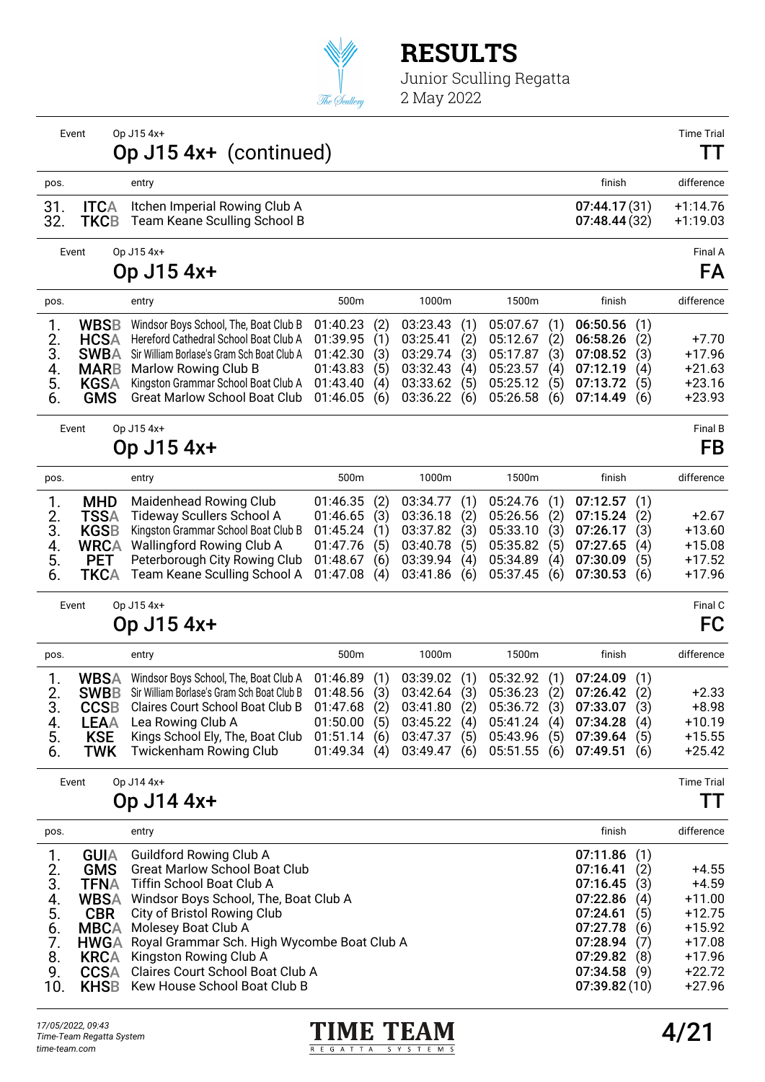

Junior Sculling Regatta 2 May 2022

Event Op J15 4x+ Time Trial Op J15 4x+ (continued) TT pos. entry finish difference 31. ITCA Itchen Imperial Rowing Club A 07:44.17 (31) +1:14.76<br>32. TKCB Team Keane Sculling School B 07:48.44 (32) +1:19.03 Team Keane Sculling School B Event Op J15 4x+ Final A Op J15 4x+ FA pos. entry 500m 1000m 1500m finish difference 1. WBSB Windsor Boys School, The, Boat Club B 01:40.23 (2) 03:23.43 (1) 05:07.67 (1) 06:50.56 (1)<br>2. HCSA Hereford Cathedral School Boat Club A 01:39.95 (1) 03:25.41 (2) 05:12.67 (2) 06:58.26 (2) 2. HCSA Hereford Cathedral School Boat Club A 01:39.95 (1) 03:25.41 (2) 05:12.67 (2) 06:58.26 (2) +7.70<br>3. SWBA Sir William Borlase's Gram Sch Boat Club A 01:42.30 (3) 03:29.74 (3) 05:17.87 (3) 07:08.52 (3) +17.96 3. SWBA Sir William Borlase's Gram Sch Boat Club A 01:42.30 (3) 03:29.74 (3) 05:17.87 (3) 07:08.52 (3) +17.96 4. **MARB** Marlow Rowing Club B 01:43.83 (5) 03:32.43 (4) 05:23.57 (4) 07:12.19 (4) +21.63<br>5. **KGSA** Kingston Grammar School Boat Club A 01:43.40 (4) 03:33.62 (5) 05:25.12 (5) 07:13.72 (5) +23.16 5. **KGSA** Kingston Grammar School Boat Club A 01:43.40 (4) 03:33.62 (5) 05:25.12 (5) 07:13.72 (5) +23.16<br>6. **GMS** Great Marlow School Boat Club 01:46.05 (6) 03:36.22 (6) 05:26.58 (6) 07:14.49 (6) +23.93 Great Marlow School Boat Club Event Op J15 4x+ Final B Op J15 4x+ FB pos. entry 500m 1000m 1500m finish difference 1. **MHD** Maidenhead Rowing Club 01:46.35 (2) 03:34.77 (1) 05:24.76 (1) 07:12.57 (1)<br>2. TSSA Tideway Scullers School A 01:46.65 (3) 03:36.18 (2) 05:26.56 (2) 07:15.24 (2) 2. **TSSA** Tideway Scullers School A 01:46.65 (3) 03:36.18 (2) 05:26.56 (2) 07:15.24 (2) +2.67<br>3. **KGSB** Kingston Grammar School Boat Club B 01:45.24 (1) 03:37.82 (3) 05:33.10 (3) 07:26.17 (3) +13.60 3. **KGSB** Kingston Grammar School Boat Club B 01:45.24 (1) 03:37.82 (3) 05:33.10 (3) 07:26.17 (3) +13.60<br>4. WRCA Wallingford Rowing Club A 01:47.76 (5) 03:40.78 (5) 05:35.82 (5) 07:27.65 (4) +15.08 4. WRCA Wallingford Rowing Club A 01:47.76 (5) 03:40.78 (5) 05:35.82 (5) 07:27.65 (4) +15.08 5. **PET** Peterborough City Rowing Club 01:48.67 (6) 03:39.94 (4) 05:34.89 (4) 07:30.09 (5) +17.52<br>6. **TKCA** Team Keane Sculling School A 01:47.08 (4) 03:41.86 (6) 05:37.45 (6) 07:30.53 (6) +17.96 Team Keane Sculling School A 01:47.08 (4) 03:41.86 (6) 05:37.45 (6) 07:30.53 (6) Event Op J15 4x+ Final C Op J15 4x+ FC pos. entry 500m 1000m 1500m finish difference 1. WBSA Windsor Boys School, The, Boat Club A 01:46.89 (1) 03:39.02 (1) 05:32.92 (1) 07:24.09 (1) 2. **SWBB** Sir William Borlase's Gram Sch Boat Club B 01:48.56 (3) 03:42.64 (3) 05:36.23 (2) 07:26.42 (2) +2.33<br>3. **CCSB** Claires Court School Boat Club B 01:47.68 (2) 03:41.80 (2) 05:36.72 (3) 07:33.07 (3) +8.98 3. CCSB Claires Court School Boat Club B 01:47.68 (2) 03:41.80 (2) 05:36.72 (3) 07:33.07 (3) +8.98 4. LEAA Lea Rowing Club A 01:50.00 (5) 03:45.22 (4) 05:41.24 (4) 07:34.28 (4) +10.19 **KSE** Kings School Ely, The, Boat Club 01:51.14 (6) 03:47.37 (5) 05:43.96 (5) 07:39.64 (5) +15.55<br> **TWK** Twickenham Rowing Club 01:49.34 (4) 03:49.47 (6) 05:51.55 (6) 07:49.51 (6) +25.42 6. TWK Twickenham Rowing Club 01:49.34 (4) 03:49.47 (6) 05:51.55 (6) 07:49.51 (6) Event Op J14 4x+ Time Trial Op J14 4x+ TT pos. entry finish difference 1. GUIA Guildford Rowing Club A 07:11.86 (1)<br>
2. GMS Great Marlow School Boat Club<br>
3. TFNA Tiffin School Boat Club A 07:16.45 (3) 2. Great Marlow School Boat Club (1999) 12. Great Marlow School Boat Club (2) (1999) 12. Great Marlow School Boat Club (1999) 13. Great Marlow (1999) 13. Great Marlow (1999) 13. Great Marlow (1999) 13. Great Marlow (1999) 3. TFNA Tiffin School Boat Club A 07:16.45 (3) +4.59<br>
4. WBSA Windsor Boys School, The, Boat Club A 07:22.86 (4) +11.00<br>
5. CBR City of Bristol Rowing Club<br>
6. MBCA Molesey Boat Club A 07:27.78 (6) +15.92<br>
7. HWGA Royal Gr NBSA Windsor Boys School, The, Boat Club A 07:22.86 (4) +11.00<br>CBR City of Bristol Rowing Club 07:24.61 (5) +12.75 5. CBR City of Bristol Rowing Club 07:24.61 (5) +12.75 6. MBCA Molesey Boat Club A 07:27.78 (6) +15.92 7. HWGA Royal Grammar Sch. High Wycombe Boat Club A 07:28.94 (7) +17.08 8. KRCA Kingston Rowing Club A 07:29.82 (8) +17.96 Claires Court School Boat Club A 07:34.58 (9) +22.72<br>
Kew House School Boat Club B 07:39.82 (10) +27.96 10. KHSB Kew House School Boat Club B

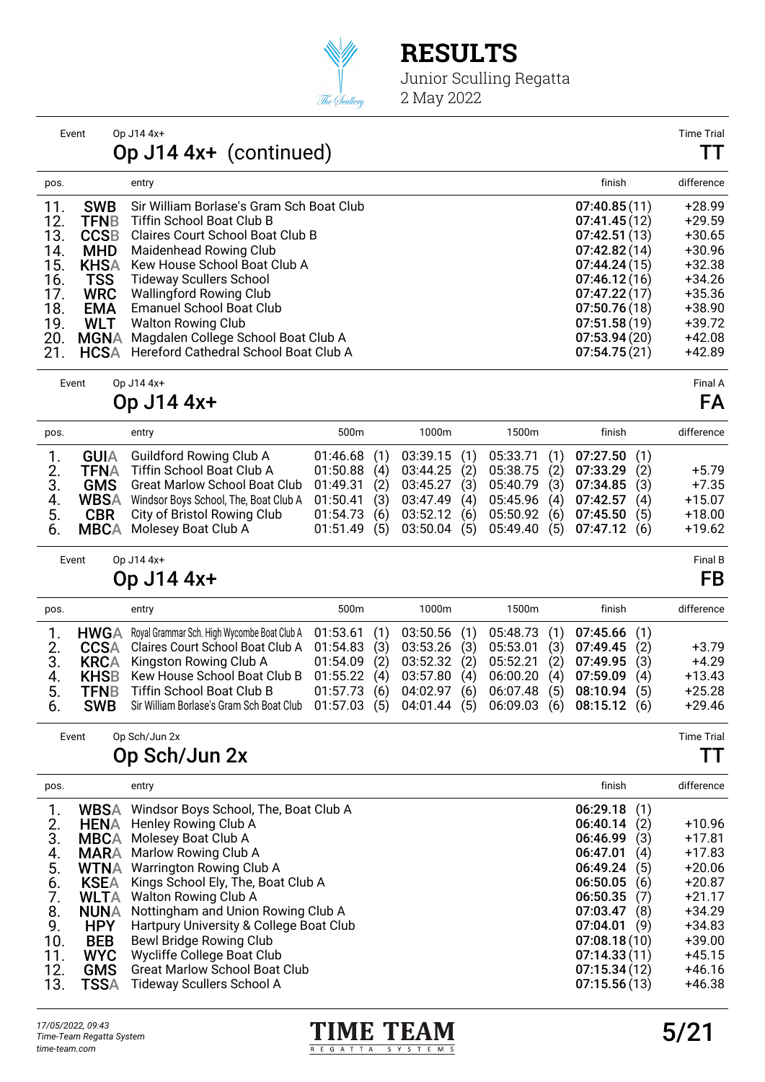

Junior Sculling Regatta 2 May 2022

|      | Event       | Op J14 4x+                               |              | <b>Time Tria</b> |
|------|-------------|------------------------------------------|--------------|------------------|
|      |             | Op J14 4x+ (continued)                   |              | TТ               |
| pos. |             | entry                                    | finish       | difference       |
| 11.  | <b>SWB</b>  | Sir William Borlase's Gram Sch Boat Club | 07:40.85(11) | $+28.99$         |
| 12.  | TFNB        | <b>Tiffin School Boat Club B</b>         | 07:41.45(12) | $+29.59$         |
| 13.  | <b>CCSB</b> | Claires Court School Boat Club B         | 07:42.51(13) | $+30.65$         |
| 14.  | <b>MHD</b>  | Maidenhead Rowing Club                   | 07:42.82(14) | $+30.96$         |
| 15.  | <b>KHSA</b> | Kew House School Boat Club A             | 07:44.24(15) | +32.38           |
| 16.  | <b>TSS</b>  | <b>Tideway Scullers School</b>           | 07:46.12(16) | $+34.26$         |
| 17.  | <b>WRC</b>  | <b>Wallingford Rowing Club</b>           | 07:47.22(17) | $+35.36$         |
| 18.  | <b>EMA</b>  | <b>Emanuel School Boat Club</b>          | 07:50.76(18) | $+38.90$         |
| 19.  | <b>WLT</b>  | Walton Rowing Club                       | 07:51.58(19) | +39.72           |
| 20.  | MGNA        | Magdalen College School Boat Club A      | 07:53.94(20) | +42.08           |
| 21.  | <b>HCSA</b> | Hereford Cathedral School Boat Club A    | 07:54.75(21) | +42.89           |
|      |             |                                          |              |                  |

Event Op J14 4x+ Final A

Op J14 4x+ FA

| pos.                 |                                                          | entry                                                                                                                                                                                           | 500 <sub>m</sub>                                                                                       | 1000m                                                                                                      | 1500m                                                                                                            | finish                                                                   | difference                                             |
|----------------------|----------------------------------------------------------|-------------------------------------------------------------------------------------------------------------------------------------------------------------------------------------------------|--------------------------------------------------------------------------------------------------------|------------------------------------------------------------------------------------------------------------|------------------------------------------------------------------------------------------------------------------|--------------------------------------------------------------------------|--------------------------------------------------------|
| З.<br>4.<br>5.<br>6. | <b>GUIA</b><br>TFNA<br><b>WBSA</b><br><b>CBR</b><br>MBCA | Guildford Rowing Club A<br>Tiffin School Boat Club A<br><b>GMS</b> Great Marlow School Boat Club<br>Windsor Boys School, The, Boat Club A<br>City of Bristol Rowing Club<br>Molesey Boat Club A | 01:46.68(1)<br>(4)<br>01:50.88<br>(2)<br>01:49.31<br>(3)<br>01:50.41<br>(6)<br>01:54.73<br>01:51.49(5) | 03:39.15(1)<br>(2)<br>03:44.25<br>03:45.27<br>(3)<br>03:47.49<br>(4)<br>(6)<br>03:52.12<br>(5)<br>03:50.04 | 05:38.75 (2) 07:33.29<br>05:40.79 (3)<br>05:45.96 (4) 07:42.57<br>05:50.92 (6) 07:45.50<br>05:49.40 (5) 07:47.12 | 05:33.71 (1) 07:27.50 (1)<br>(2)<br>07:34.85<br>(3)<br>(4)<br>(5)<br>(6) | $+5.79$<br>$+7.35$<br>$+15.07$<br>$+18.00$<br>$+19.62$ |
|                      |                                                          |                                                                                                                                                                                                 |                                                                                                        |                                                                                                            |                                                                                                                  |                                                                          |                                                        |

Event Op J14 4x+ Final B

### Op J14 4x+ FB

| pos. | entry                                                                                                | 500 <sub>m</sub> | 1000m | 1500m | finish                                          |     | difference |
|------|------------------------------------------------------------------------------------------------------|------------------|-------|-------|-------------------------------------------------|-----|------------|
|      | HWGA Royal Grammar Sch. High Wycombe Boat Club A 01:53.61 (1) 03:50.56 (1) 05:48.73 (1) 07:45.66 (1) |                  |       |       |                                                 |     |            |
|      | 2. CCSA Claires Court School Boat Club A 01:54.83 (3) 03:53.26 (3) 05:53.01 (3) 07:49.45 (2)         |                  |       |       |                                                 |     | $+3.79$    |
| 3.   | <b>KRCA</b> Kingston Rowing Club A 01:54.09 (2) 03:52.32 (2) 05:52.21 (2) 07:49.95 (3)               |                  |       |       |                                                 |     | $+4.29$    |
|      | 4. KHSB Kew House School Boat Club B 01:55.22 (4) 03:57.80 (4) 06:00.20 (4) 07:59.09                 |                  |       |       |                                                 | (4) | $+13.43$   |
| 5.   | <b>TFNB</b> Tiffin School Boat Club B                                                                |                  |       |       | 01:57.73 (6) 04:02.97 (6) 06:07.48 (5) 08:10.94 | (5) | $+25.28$   |
| 6.   | SWB Sir William Borlase's Gram Sch Boat Club 01:57.03 (5) 04:01.44 (5) 06:09.03 (6) 08:15.12 (6)     |                  |       |       |                                                 |     | $+29.46$   |

Event Op Sch/Jun 2x Time Trial

### Op Sch/Jun 2x TT

| pos. |             | entry                                             | finish          | difference |
|------|-------------|---------------------------------------------------|-----------------|------------|
|      |             | <b>WBSA</b> Windsor Boys School, The, Boat Club A | 06:29.18<br>(1) |            |
| 2.   | <b>HENA</b> | Henley Rowing Club A                              | 06:40.14<br>(2) | $+10.96$   |
| 3.   | <b>MBCA</b> | Molesey Boat Club A                               | 06:46.99<br>(3) | $+17.81$   |
| 4.   | <b>MARA</b> | Marlow Rowing Club A                              | 06:47.01<br>(4) | $+17.83$   |
| 5.   | <b>WTNA</b> | Warrington Rowing Club A                          | 06:49.24<br>(5) | $+20.06$   |
| 6.   | <b>KSEA</b> | Kings School Ely, The, Boat Club A                | 06:50.05<br>(6) | $+20.87$   |
|      | <b>WLTA</b> | Walton Rowing Club A                              | 06:50.35<br>(7) | $+21.17$   |
| 8.   | <b>NUNA</b> | Nottingham and Union Rowing Club A                | 07:03.47<br>(8) | $+34.29$   |
| 9.   | <b>HPY</b>  | Hartpury University & College Boat Club           | 07:04.01<br>(9) | $+34.83$   |
| 10.  | <b>BEB</b>  | Bewl Bridge Rowing Club                           | 07:08.18(10)    | $+39.00$   |
| 11.  | <b>WYC</b>  | Wycliffe College Boat Club                        | 07:14.33(11)    | $+45.15$   |
| 12.  | <b>GMS</b>  | <b>Great Marlow School Boat Club</b>              | 07:15.34(12)    | $+46.16$   |
| 13.  | TSSA        | Tideway Scullers School A                         | 07:15.56(13)    | +46.38     |

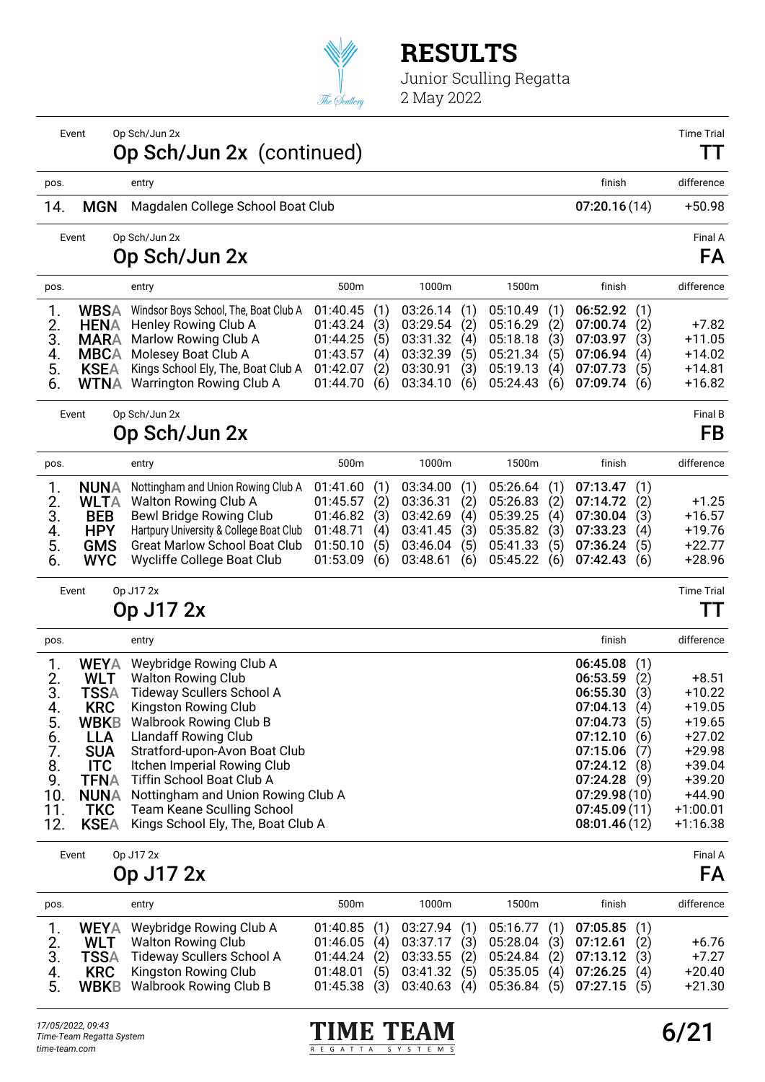

|                                                                         | Event                                                                                                                                                                      | Op Sch/Jun 2x<br>Op Sch/Jun 2x (continued)                                                                                                                                                                                                                                                                                                                                                     |                                                                      |                                        |                                                                      |                                        |                                                                      |                                        |                                                                                                                                                          |                                                             | <b>Time Trial</b><br>. .                                                                                                            |
|-------------------------------------------------------------------------|----------------------------------------------------------------------------------------------------------------------------------------------------------------------------|------------------------------------------------------------------------------------------------------------------------------------------------------------------------------------------------------------------------------------------------------------------------------------------------------------------------------------------------------------------------------------------------|----------------------------------------------------------------------|----------------------------------------|----------------------------------------------------------------------|----------------------------------------|----------------------------------------------------------------------|----------------------------------------|----------------------------------------------------------------------------------------------------------------------------------------------------------|-------------------------------------------------------------|-------------------------------------------------------------------------------------------------------------------------------------|
| pos.                                                                    |                                                                                                                                                                            | entry                                                                                                                                                                                                                                                                                                                                                                                          |                                                                      |                                        |                                                                      |                                        |                                                                      |                                        | finish                                                                                                                                                   |                                                             | difference                                                                                                                          |
| 14.                                                                     | <b>MGN</b>                                                                                                                                                                 | Magdalen College School Boat Club                                                                                                                                                                                                                                                                                                                                                              |                                                                      |                                        |                                                                      |                                        |                                                                      |                                        | 07:20.16(14)                                                                                                                                             |                                                             | $+50.98$                                                                                                                            |
|                                                                         | Event                                                                                                                                                                      | Op Sch/Jun 2x<br>Op Sch/Jun 2x                                                                                                                                                                                                                                                                                                                                                                 |                                                                      |                                        |                                                                      |                                        |                                                                      |                                        |                                                                                                                                                          |                                                             | Final A<br>FA                                                                                                                       |
| pos.                                                                    |                                                                                                                                                                            | entry                                                                                                                                                                                                                                                                                                                                                                                          | 500m                                                                 |                                        | 1000m                                                                |                                        | 1500m                                                                |                                        | finish                                                                                                                                                   |                                                             | difference                                                                                                                          |
| 1.<br>2.<br>3.<br>4.<br>5.<br>6.                                        | <b>WBSA</b><br><b>HENA</b><br><b>MARA</b><br><b>MBCA</b><br><b>KSEA</b><br><b>WTNA</b>                                                                                     | Windsor Boys School, The, Boat Club A<br>Henley Rowing Club A<br>Marlow Rowing Club A<br>Molesey Boat Club A<br>Kings School Ely, The, Boat Club A<br>Warrington Rowing Club A                                                                                                                                                                                                                 | 01:40.45<br>01:43.24<br>01:44.25<br>01:43.57<br>01:42.07<br>01:44.70 | (1)<br>(3)<br>(5)<br>(4)<br>(2)<br>(6) | 03:26.14<br>03:29.54<br>03:31.32<br>03:32.39<br>03:30.91<br>03:34.10 | (1)<br>(2)<br>(4)<br>(5)<br>(3)<br>(6) | 05:10.49<br>05:16.29<br>05:18.18<br>05:21.34<br>05:19.13<br>05:24.43 | (1)<br>(2)<br>(3)<br>(5)<br>(4)<br>(6) | 06:52.92<br>07:00.74<br>07:03.97<br>07:06.94<br>07:07.73<br>07:09.74                                                                                     | (1)<br>(2)<br>(3)<br>(4)<br>(5)<br>(6)                      | $+7.82$<br>$+11.05$<br>$+14.02$<br>$+14.81$<br>$+16.82$                                                                             |
|                                                                         | Event                                                                                                                                                                      | Op Sch/Jun 2x                                                                                                                                                                                                                                                                                                                                                                                  |                                                                      |                                        |                                                                      |                                        |                                                                      |                                        |                                                                                                                                                          |                                                             | Final B                                                                                                                             |
|                                                                         |                                                                                                                                                                            | Op Sch/Jun 2x                                                                                                                                                                                                                                                                                                                                                                                  |                                                                      |                                        |                                                                      |                                        |                                                                      |                                        |                                                                                                                                                          |                                                             | FB                                                                                                                                  |
| pos.                                                                    |                                                                                                                                                                            | entry                                                                                                                                                                                                                                                                                                                                                                                          | 500m                                                                 |                                        | 1000m                                                                |                                        | 1500m                                                                |                                        | finish                                                                                                                                                   |                                                             | difference                                                                                                                          |
| 1.<br>2.<br>3.<br>4.<br>5.<br>6.                                        | <b>NUNA</b><br><b>WLTA</b><br><b>BEB</b><br><b>HPY</b><br><b>GMS</b><br><b>WYC</b>                                                                                         | Nottingham and Union Rowing Club A<br>Walton Rowing Club A<br>Bewl Bridge Rowing Club<br>Hartpury University & College Boat Club<br><b>Great Marlow School Boat Club</b><br>Wycliffe College Boat Club                                                                                                                                                                                         | 01:41.60<br>01:45.57<br>01:46.82<br>01:48.71<br>01:50.10<br>01:53.09 | (1)<br>(2)<br>(3)<br>(4)<br>(5)<br>(6) | 03:34.00<br>03:36.31<br>03:42.69<br>03:41.45<br>03:46.04<br>03:48.61 | (1)<br>(2)<br>(4)<br>(3)<br>(5)<br>(6) | 05:26.64<br>05:26.83<br>05:39.25<br>05:35.82<br>05:41.33<br>05:45.22 | (1)<br>(2)<br>(4)<br>(3)<br>(5)<br>(6) | 07:13.47<br>07:14.72<br>07:30.04<br>07:33.23<br>07:36.24<br>07:42.43                                                                                     | (1)<br>(2)<br>(3)<br>(4)<br>(5)<br>(6)                      | $+1.25$<br>$+16.57$<br>$+19.76$<br>$+22.77$<br>$+28.96$                                                                             |
|                                                                         | Event                                                                                                                                                                      | Op J17 2x<br>Op J17 2x                                                                                                                                                                                                                                                                                                                                                                         |                                                                      |                                        |                                                                      |                                        |                                                                      |                                        |                                                                                                                                                          |                                                             | <b>Time Trial</b><br>TТ                                                                                                             |
| pos.                                                                    |                                                                                                                                                                            | entry                                                                                                                                                                                                                                                                                                                                                                                          |                                                                      |                                        |                                                                      |                                        |                                                                      |                                        | finish                                                                                                                                                   |                                                             | difference                                                                                                                          |
| 1.<br>2.<br>3.<br>4.<br>5.<br>6.<br>7.<br>8.<br>9.<br>10.<br>11.<br>12. | <b>WEYA</b><br><b>WLT</b><br><b>TSSA</b><br><b>KRC</b><br><b>WBKB</b><br><b>LLA</b><br><b>SUA</b><br><b>ITC</b><br><b>TFNA</b><br><b>NUNA</b><br><b>TKC</b><br><b>KSEA</b> | Weybridge Rowing Club A<br><b>Walton Rowing Club</b><br><b>Tideway Scullers School A</b><br>Kingston Rowing Club<br><b>Walbrook Rowing Club B</b><br><b>Llandaff Rowing Club</b><br>Stratford-upon-Avon Boat Club<br>Itchen Imperial Rowing Club<br>Tiffin School Boat Club A<br>Nottingham and Union Rowing Club A<br><b>Team Keane Sculling School</b><br>Kings School Ely, The, Boat Club A |                                                                      |                                        |                                                                      |                                        |                                                                      |                                        | 06:45.08<br>06:53.59<br>06:55.30<br>07:04.13<br>07:04.73<br>07:12.10<br>07:15.06<br>07:24.12<br>07:24.28<br>07:29.98(10)<br>07:45.09(11)<br>08:01.46(12) | (1)<br>(2)<br>(3)<br>(4)<br>(5)<br>(6)<br>(7)<br>(8)<br>(9) | $+8.51$<br>$+10.22$<br>$+19.05$<br>$+19.65$<br>$+27.02$<br>$+29.98$<br>$+39.04$<br>$+39.20$<br>$+44.90$<br>$+1:00.01$<br>$+1:16.38$ |
|                                                                         | Event                                                                                                                                                                      | Op J17 2x<br>Op J17 2x                                                                                                                                                                                                                                                                                                                                                                         |                                                                      |                                        |                                                                      |                                        |                                                                      |                                        |                                                                                                                                                          |                                                             | Final A<br>FA                                                                                                                       |
| pos.                                                                    |                                                                                                                                                                            | entry                                                                                                                                                                                                                                                                                                                                                                                          | 500m                                                                 |                                        | 1000m                                                                |                                        | 1500m                                                                |                                        | finish                                                                                                                                                   |                                                             | difference                                                                                                                          |
| 1.<br>2.<br>3.<br>4.<br>5.                                              | <b>WEYA</b><br><b>WLT</b><br><b>TSSA</b><br><b>KRC</b><br><b>WBKB</b>                                                                                                      | Weybridge Rowing Club A<br><b>Walton Rowing Club</b><br><b>Tideway Scullers School A</b><br>Kingston Rowing Club<br><b>Walbrook Rowing Club B</b>                                                                                                                                                                                                                                              | 01:40.85<br>01:46.05<br>01:44.24<br>01:48.01<br>01:45.38             | (1)<br>(4)<br>(2)<br>(5)<br>(3)        | 03:27.94<br>03:37.17<br>03:33.55<br>03:41.32<br>03:40.63             | (1)<br>(3)<br>(2)<br>(5)<br>(4)        | 05:16.77<br>05:28.04<br>05:24.84<br>05:35.05<br>05:36.84             | (1)<br>(3)<br>(2)<br>(4)<br>(5)        | 07:05.85<br>07:12.61<br>07:13.12<br>07:26.25<br>07:27.15                                                                                                 | (1)<br>(2)<br>(3)<br>(4)<br>(5)                             | $+6.76$<br>$+7.27$<br>$+20.40$<br>$+21.30$                                                                                          |

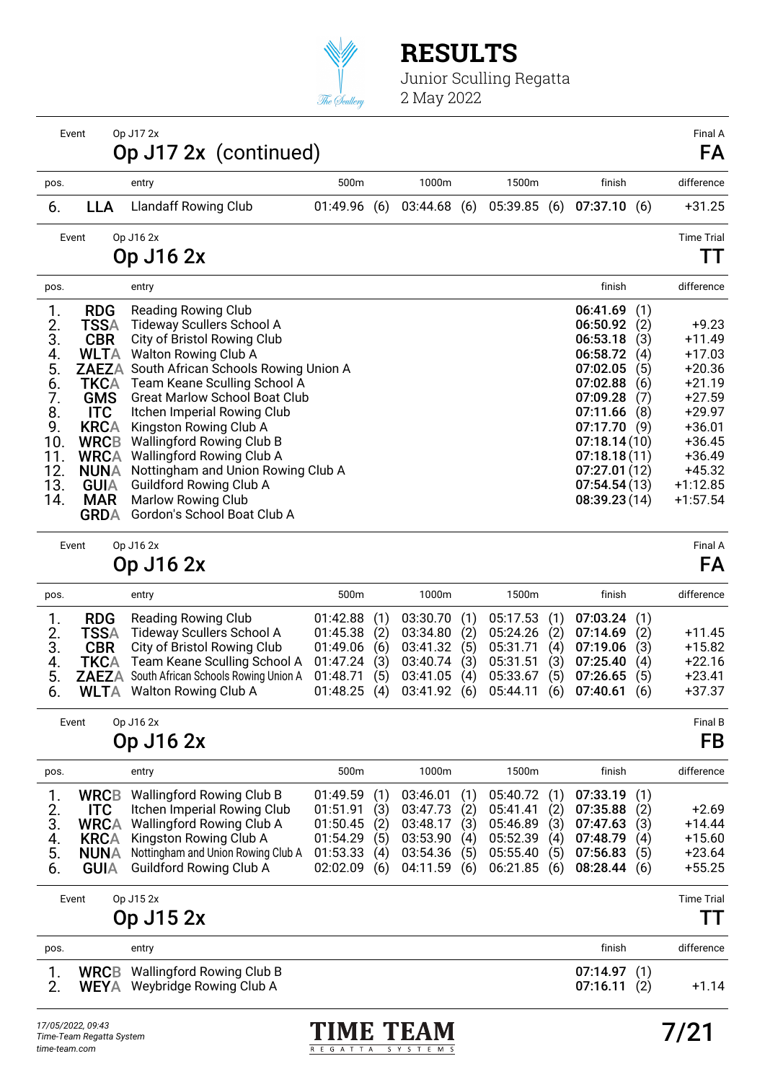

Junior Sculling Regatta 2 May 2022

|      | Event       | Op J17 2x<br>Op J17 2x (continued)         |          |     |             |             |              |     | Final A<br>FA     |
|------|-------------|--------------------------------------------|----------|-----|-------------|-------------|--------------|-----|-------------------|
| pos. |             | entry                                      | 500m     |     | 1000m       | 1500m       | finish       |     | difference        |
| 6.   | <b>LLA</b>  | <b>Llandaff Rowing Club</b>                | 01:49.96 | (6) | 03:44.68(6) | 05:39.85(6) | 07:37.10(6)  |     | $+31.25$          |
|      | Event       | Op J16 2x                                  |          |     |             |             |              |     | <b>Time Trial</b> |
|      |             | Op J16 2x                                  |          |     |             |             |              |     |                   |
| pos. |             | entry                                      |          |     |             |             | finish       |     | difference        |
| 1.   | <b>RDG</b>  | <b>Reading Rowing Club</b>                 |          |     |             |             | 06:41.69     | (1) |                   |
| 2.   | TSSA        | Tideway Scullers School A                  |          |     |             |             | 06:50.92     | (2) | $+9.23$           |
| 3.   | <b>CBR</b>  | City of Bristol Rowing Club                |          |     |             |             | 06:53.18     | (3) | $+11.49$          |
| 4.   | <b>WLTA</b> | Walton Rowing Club A                       |          |     |             |             | 06:58.72     | (4) | $+17.03$          |
| 5.   |             | ZAEZA South African Schools Rowing Union A |          |     |             |             | 07:02.05     | (5) | +20.36            |
| 6.   | <b>TKCA</b> | Team Keane Sculling School A               |          |     |             |             | 07:02.88     | (6) | $+21.19$          |
| 7.   | <b>GMS</b>  | <b>Great Marlow School Boat Club</b>       |          |     |             |             | 07:09.28     | (7) | $+27.59$          |
| 8.   | <b>ITC</b>  | Itchen Imperial Rowing Club                |          |     |             |             | 07:11.66     | (8) | $+29.97$          |
| 9.   | <b>KRCA</b> | Kingston Rowing Club A                     |          |     |             |             | 07:17.70     | (9) | $+36.01$          |
| 10.  | <b>WRCB</b> | <b>Wallingford Rowing Club B</b>           |          |     |             |             | 07:18.14(10) |     | +36.45            |
| 11.  | <b>WRCA</b> | Wallingford Rowing Club A                  |          |     |             |             | 07:18.18(11) |     | $+36.49$          |
| 12.  | <b>NUNA</b> | Nottingham and Union Rowing Club A         |          |     |             |             | 07:27.01(12) |     | $+45.32$          |
| 13.  | <b>GUIA</b> | Guildford Rowing Club A                    |          |     |             |             | 07:54.54(13) |     | $+1:12.85$        |
| 14.  | <b>MAR</b>  | <b>Marlow Rowing Club</b>                  |          |     |             |             | 08:39.23(14) |     | $+1:57.54$        |
|      | <b>GRDA</b> | Gordon's School Boat Club A                |          |     |             |             |              |     |                   |

Event Op J16 2x Final A

### Op J16 2x FA

| pos.                       |                    | entry                                                                                                                                                                                                                           | 500 <sub>m</sub>                                               | 1000m                                                                                                                                                                                 | 1500m                                                                                           | finish                                      | difference                                               |
|----------------------------|--------------------|---------------------------------------------------------------------------------------------------------------------------------------------------------------------------------------------------------------------------------|----------------------------------------------------------------|---------------------------------------------------------------------------------------------------------------------------------------------------------------------------------------|-------------------------------------------------------------------------------------------------|---------------------------------------------|----------------------------------------------------------|
| 2.<br>3.<br>4.<br>5.<br>6. | <b>RDG</b><br>TSSA | Reading Rowing Club<br>Tideway Scullers School A<br><b>CBR</b> City of Bristol Rowing Club<br><b>TKCA</b> Team Keane Sculling School A<br><b>ZAEZA</b> South African Schools Rowing Union A<br><b>WLTA</b> Walton Rowing Club A | $01:45.38$ (2)<br>(5)<br>01:48.71<br>$01:48.25$ (4) $03:41.92$ | $01:42.88$ (1) $03:30.70$ (1) $05:17.53$ (1) $07:03.24$ (1)<br>03:34.80<br>(2)<br>01:49.06 (6) 03:41.32 (5) 05:31.71 (4) 07:19.06<br>$01:47.24$ (3) $03:40.74$ (3)<br>03:41.05<br>(4) | 05:24.26 (2) 07:14.69<br>05:31.51 (3) 07:25.40<br>05:33.67 (5)<br>$(6)$ 05:44.11 $(6)$ 07:40.61 | (2)<br>(3)<br>(4)<br>(5)<br>07:26.65<br>(6) | $+11.45$<br>$+15.82$<br>$+22.16$<br>$+23.41$<br>$+37.37$ |
|                            |                    |                                                                                                                                                                                                                                 |                                                                |                                                                                                                                                                                       |                                                                                                 |                                             |                                                          |

Event Op J16 2x Final B

### Op J16 2x FB

| pos.                                              | entry                                                                                                                                                                                                                            | 500 <sub>m</sub>                                                              |                          | 1000m                                                                |                                        | 1500m                                                                            |            | finish                                                                  |                                 | difference                                              |
|---------------------------------------------------|----------------------------------------------------------------------------------------------------------------------------------------------------------------------------------------------------------------------------------|-------------------------------------------------------------------------------|--------------------------|----------------------------------------------------------------------|----------------------------------------|----------------------------------------------------------------------------------|------------|-------------------------------------------------------------------------|---------------------------------|---------------------------------------------------------|
| 2.<br>ITC.<br>3.<br>4.<br>5.<br><b>NUNA</b><br>6. | <b>WRCB</b> Wallingford Rowing Club B<br>Itchen Imperial Rowing Club<br><b>WRCA</b> Wallingford Rowing Club A<br><b>KRCA</b> Kingston Rowing Club A<br>Nottingham and Union Rowing Club A<br><b>GUIA</b> Guildford Rowing Club A | 01:49.59(1)<br>01:51.91<br>$01:50.45$ (2)<br>01:54.29<br>01:53.33<br>02:02.09 | (3)<br>(5)<br>(4)<br>(6) | 03:46.01<br>03:47.73<br>03:48.17<br>03:53.90<br>03:54.36<br>04:11.59 | (1)<br>(2)<br>(3)<br>(4)<br>(5)<br>(6) | 05:40.72(1)<br>05:41.41(2)<br>05:46.89(3)<br>05:52.39<br>05:55.40<br>06:21.85(6) | (4)<br>(5) | 07:33.19(1)<br>07:35.88<br>07:47.63<br>07:48.79<br>07:56.83<br>08:28.44 | (2)<br>(3)<br>(4)<br>(5)<br>(6) | $+2.69$<br>$+14.44$<br>$+15.60$<br>$+23.64$<br>$+55.25$ |

|      | Event | Op J15 2x<br>Op J15 2x                                                       |                            | <b>Time Trial</b> |
|------|-------|------------------------------------------------------------------------------|----------------------------|-------------------|
| pos. |       | entry                                                                        | finish                     | difference        |
| 2.   |       | <b>WRCB</b> Wallingford Rowing Club B<br><b>WEYA</b> Weybridge Rowing Club A | 07:14.97(1)<br>07:16.11(2) | $+1.14$           |

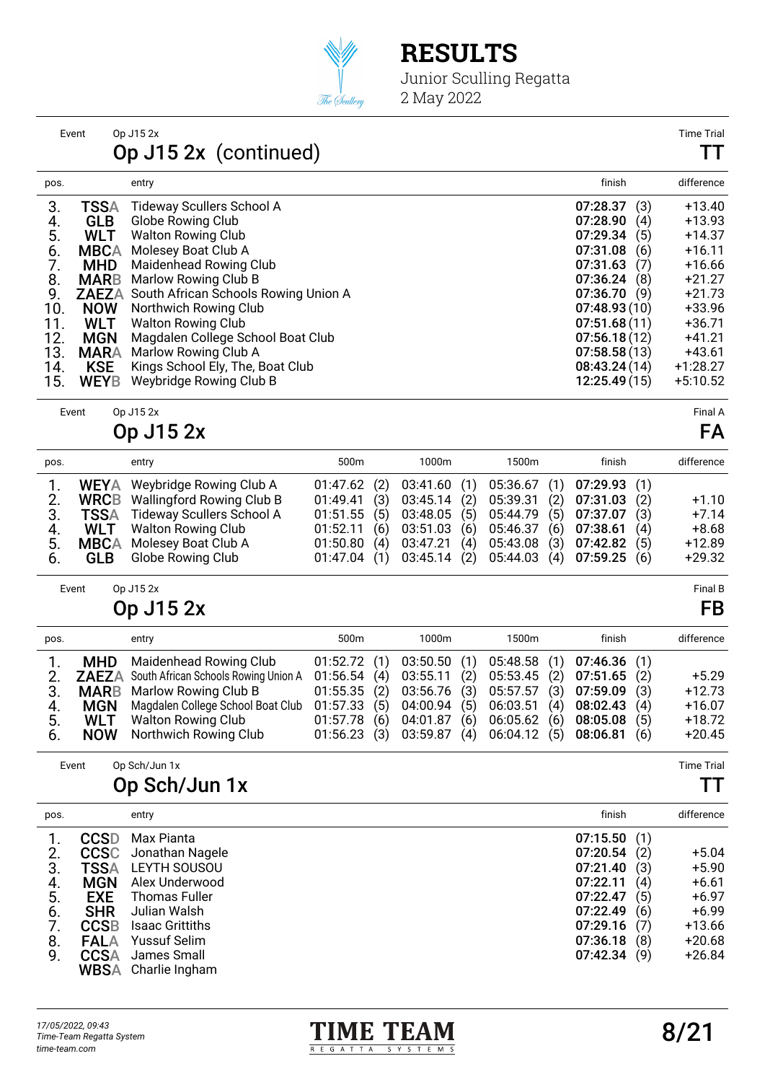

Junior Sculling Regatta 2 May 2022

|      | Event        | Op J15 2x                            |      |                                                                   |       |              |     | <b>Time Trial</b> |
|------|--------------|--------------------------------------|------|-------------------------------------------------------------------|-------|--------------|-----|-------------------|
|      |              | Op J15 2x (continued)                |      |                                                                   |       |              |     | TT                |
| pos. |              | entry                                |      |                                                                   |       | finish       |     | difference        |
| 3.   | <b>TSSA</b>  | <b>Tideway Scullers School A</b>     |      |                                                                   |       | 07:28.37     | (3) | $+13.40$          |
| 4.   | <b>GLB</b>   | Globe Rowing Club                    |      |                                                                   |       | 07:28.90     | (4) | $+13.93$          |
| 5.   | <b>WLT</b>   | <b>Walton Rowing Club</b>            |      |                                                                   |       | 07:29.34     | (5) | +14.37            |
| 6.   | <b>MBCA</b>  | Molesey Boat Club A                  |      |                                                                   |       | 07:31.08     | (6) | $+16.11$          |
| 7.   | <b>MHD</b>   | Maidenhead Rowing Club               |      |                                                                   |       | 07:31.63     | (7) | $+16.66$          |
| 8.   | <b>MARB</b>  | Marlow Rowing Club B                 |      |                                                                   |       | 07:36.24     | (8) | $+21.27$          |
| 9.   | <b>ZAEZA</b> | South African Schools Rowing Union A |      |                                                                   |       | 07:36.70     | (9) | $+21.73$          |
| 10.  | <b>NOW</b>   | Northwich Rowing Club                |      |                                                                   |       | 07:48.93(10) |     | +33.96            |
| 11.  | <b>WLT</b>   | <b>Walton Rowing Club</b>            |      |                                                                   |       | 07:51.68(11) |     | $+36.71$          |
| 12.  | <b>MGN</b>   | Magdalen College School Boat Club    |      |                                                                   |       | 07:56.18(12) |     | $+41.21$          |
| 13.  | <b>MARA</b>  | Marlow Rowing Club A                 |      |                                                                   |       | 07:58.58(13) |     | $+43.61$          |
| 14.  | <b>KSE</b>   | Kings School Ely, The, Boat Club     |      |                                                                   |       | 08:43.24(14) |     | $+1:28.27$        |
| 15.  | <b>WEYB</b>  | Weybridge Rowing Club B              |      |                                                                   |       | 12:25.49(15) |     | $+5:10.52$        |
|      | Event        | Op J15 2x                            |      |                                                                   |       |              |     | Final A           |
|      |              | Op J15 2x                            |      |                                                                   |       |              |     | FA                |
| pos. |              | entry                                | 500m | 1000m                                                             | 1500m | finish       |     | difference        |
| 1.   |              | MEVA Moubridge Dowing Club A         |      | $(1)$ co or $(2)$ co or $(3)$ co $(4)$ co $(5)$ co $(7)$ co $(7)$ |       |              |     |                   |

|  | 1. WEYA Weybridge Rowing Club A   | $01:47.62$ (2) $03:41.60$ (1) $05:36.67$ (1) $07:29.93$ (1) |  |          |
|--|-----------------------------------|-------------------------------------------------------------|--|----------|
|  | 2. WRCB Wallingford Rowing Club B | $01:49.41$ (3) $03:45.14$ (2) $05:39.31$ (2) $07:31.03$ (2) |  | $+1.10$  |
|  | 3. TSSA Tideway Scullers School A | $01:51.55$ (5) $03:48.05$ (5) $05:44.79$ (5) $07:37.07$ (3) |  | $+7.14$  |
|  | 4. WLT Walton Rowing Club         | $01:52.11$ (6) $03:51.03$ (6) $05:46.37$ (6) $07:38.61$ (4) |  | $+8.68$  |
|  | 5. MBCA Molesey Boat Club A       | $01:50.80$ (4) $03:47.21$ (4) $05:43.08$ (3) $07:42.82$ (5) |  | $+12.89$ |
|  | 6. GLB Globe Rowing Club          | 01:47.04 (1) 03:45.14 (2) 05:44.03 (4) 07:59.25 (6)         |  | $+29.32$ |

Event Op J15 2x Final B

### Op J15 2x FB

| pos.     |                          | entry                                                                       | 500 <sub>m</sub>           |     | 1000m                    |            | 1500m                      | finish                     |            | difference           |
|----------|--------------------------|-----------------------------------------------------------------------------|----------------------------|-----|--------------------------|------------|----------------------------|----------------------------|------------|----------------------|
|          | <b>MHD</b>               | Maidenhead Rowing Club<br><b>ZAEZA</b> South African Schools Rowing Union A | 01:52.72(1)<br>01:56.54(4) |     | 03:50.50(1)<br>03:55.11  | (2)        | 05:48.58(1)<br>05:53.45(2) | 07:46.36(1)<br>07:51.65(2) |            | $+5.29$              |
| 3.<br>4. | <b>MGN</b>               | <b>MARB</b> Marlow Rowing Club B<br>Magdalen College School Boat Club       | 01:55.35(2)<br>01:57.33(5) |     | 03:56.76 (3)<br>04:00.94 | (5)        | 05:57.57(3)<br>06:03.51(4) | 07:59.09<br>08:02.43       | (3)<br>(4) | $+12.73$<br>$+16.07$ |
| 5.<br>6. | <b>WLT</b><br><b>NOW</b> | <b>Walton Rowing Club</b><br>Northwich Rowing Club                          | 01:57.78<br>01:56.23(3)    | (6) | 04:01.87<br>03:59.87     | (6)<br>(4) | 06:05.62(6)<br>06:04.12(5) | 08:05.08<br>08:06.81       | (5)<br>(6) | $+18.72$<br>$+20.45$ |

Event Op Sch/Jun 1x Time Trial

### Op Sch/Jun 1x TT

| pos. |             | entry                  | finish   |     | difference |
|------|-------------|------------------------|----------|-----|------------|
|      | <b>CCSD</b> | Max Pianta             | 07:15.50 | (1) |            |
| 2.   | <b>CCSC</b> | Jonathan Nagele        | 07:20.54 | (2) | $+5.04$    |
| 3.   | TSSA        | LEYTH SOUSOU           | 07:21.40 | (3) | $+5.90$    |
| 4.   | <b>MGN</b>  | Alex Underwood         | 07:22.11 | (4) | $+6.61$    |
| 5.   | <b>EXE</b>  | Thomas Fuller          | 07:22.47 | (5) | $+6.97$    |
| 6.   | <b>SHR</b>  | Julian Walsh           | 07:22.49 | (6) | $+6.99$    |
|      | <b>CCSB</b> | <b>Isaac Grittiths</b> | 07:29.16 | (7) | $+13.66$   |
| 8.   | FALA        | <b>Yussuf Selim</b>    | 07:36.18 | (8) | $+20.68$   |
| 9.   | <b>CCSA</b> | James Small            | 07:42.34 | (9) | $+26.84$   |
|      | <b>WBSA</b> | Charlie Ingham         |          |     |            |

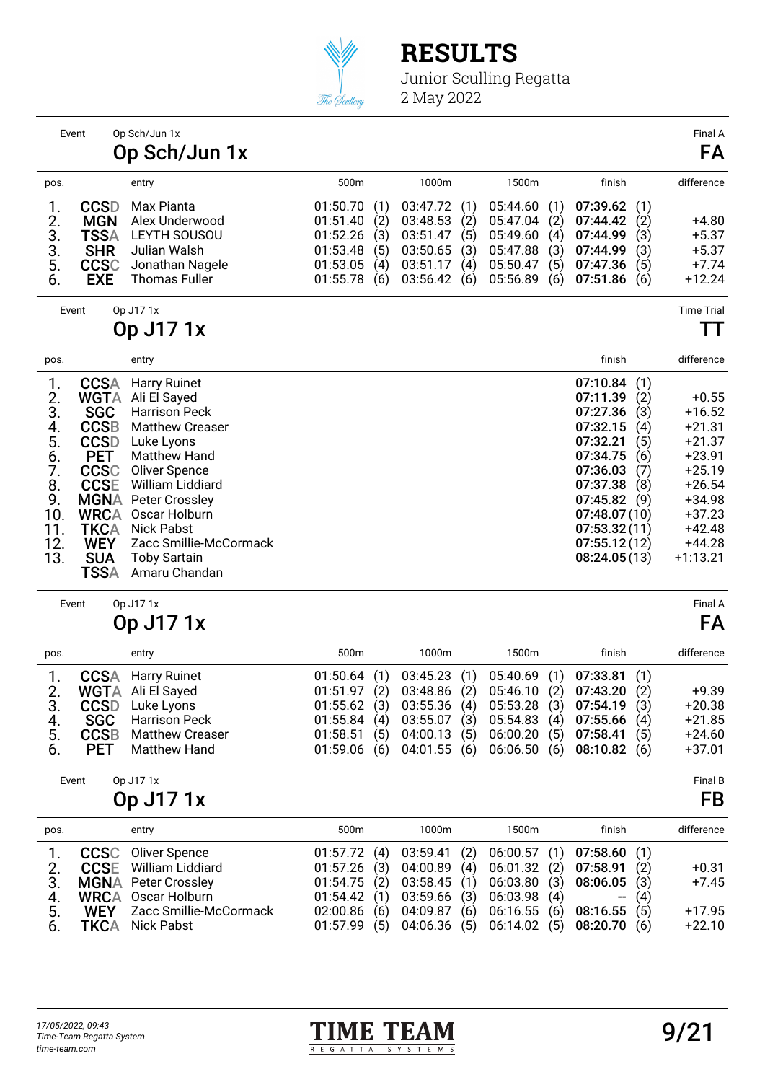

Event Op Sch/Jun 1x Final A

## **RESULTS**

|                                                                                                                                                                                                                                                                                              | Op Sch/Jun 1x                                                                                                                                                                                                                                                                             |                                                                      |                                        |                                                                            |                                        |                                                                               |                                        |                                                                                                                                                                          |                                                             | FA                                                                                                                                          |
|----------------------------------------------------------------------------------------------------------------------------------------------------------------------------------------------------------------------------------------------------------------------------------------------|-------------------------------------------------------------------------------------------------------------------------------------------------------------------------------------------------------------------------------------------------------------------------------------------|----------------------------------------------------------------------|----------------------------------------|----------------------------------------------------------------------------|----------------------------------------|-------------------------------------------------------------------------------|----------------------------------------|--------------------------------------------------------------------------------------------------------------------------------------------------------------------------|-------------------------------------------------------------|---------------------------------------------------------------------------------------------------------------------------------------------|
| pos.                                                                                                                                                                                                                                                                                         | entry                                                                                                                                                                                                                                                                                     | 500m                                                                 |                                        | 1000m                                                                      |                                        | 1500m                                                                         |                                        | finish                                                                                                                                                                   |                                                             | difference                                                                                                                                  |
| <b>CCSD</b><br>1.<br>2.<br><b>MGN</b><br>3.<br><b>TSSA</b><br>3.<br><b>SHR</b><br>5.<br><b>CCSC</b><br>6.<br><b>EXE</b>                                                                                                                                                                      | Max Pianta<br>Alex Underwood<br>LEYTH SOUSOU<br>Julian Walsh<br>Jonathan Nagele<br><b>Thomas Fuller</b>                                                                                                                                                                                   | 01:50.70<br>01:51.40<br>01:52.26<br>01:53.48<br>01:53.05<br>01:55.78 | (1)<br>(2)<br>(3)<br>(5)<br>(4)<br>(6) | 03:47.72<br>03:48.53<br>03:51.47<br>03:50.65<br>03:51.17<br>03:56.42       | (1)<br>(2)<br>(5)<br>(3)<br>(4)<br>(6) | 05:44.60<br>05:47.04<br>05:49.60<br>05:47.88<br>05:50.47<br>05:56.89          | (1)<br>(2)<br>(4)<br>(3)<br>(5)<br>(6) | 07:39.62<br>07:44.42<br>07:44.99<br>07:44.99<br>07:47.36<br>07:51.86                                                                                                     | (1)<br>(2)<br>(3)<br>(3)<br>(5)<br>(6)                      | +4.80<br>$+5.37$<br>$+5.37$<br>$+7.74$<br>$+12.24$                                                                                          |
| Event                                                                                                                                                                                                                                                                                        | Op J171x<br>Op J17 1x                                                                                                                                                                                                                                                                     |                                                                      |                                        |                                                                            |                                        |                                                                               |                                        |                                                                                                                                                                          |                                                             | <b>Time Trial</b><br>TТ                                                                                                                     |
| pos.                                                                                                                                                                                                                                                                                         | entry                                                                                                                                                                                                                                                                                     |                                                                      |                                        |                                                                            |                                        |                                                                               |                                        | finish                                                                                                                                                                   |                                                             | difference                                                                                                                                  |
| <b>CCSA</b><br>1.<br>2.<br><b>WGTA</b><br>3.<br><b>SGC</b><br><b>CCSB</b><br>4.<br>5.<br><b>CCSD</b><br><b>PET</b><br>6.<br>7.<br><b>CCSC</b><br>8.<br><b>CCSE</b><br><b>MGNA</b><br>9.<br>10.<br><b>WRCA</b><br><b>TKCA</b><br>11.<br>12.<br><b>WEY</b><br><b>SUA</b><br>13.<br><b>TSSA</b> | <b>Harry Ruinet</b><br>Ali El Sayed<br><b>Harrison Peck</b><br><b>Matthew Creaser</b><br>Luke Lyons<br><b>Matthew Hand</b><br>Oliver Spence<br>William Liddiard<br>Peter Crossley<br>Oscar Holburn<br><b>Nick Pabst</b><br>Zacc Smillie-McCormack<br><b>Toby Sartain</b><br>Amaru Chandan |                                                                      |                                        |                                                                            |                                        |                                                                               |                                        | 07:10.84<br>07:11.39<br>07:27.36<br>07:32.15<br>07:32.21<br>07:34.75<br>07:36.03<br>07:37.38<br>07:45.82<br>07:48.07(10)<br>07:53.32(11)<br>07:55.12(12)<br>08:24.05(13) | (1)<br>(2)<br>(3)<br>(4)<br>(5)<br>(6)<br>(7)<br>(8)<br>(9) | $+0.55$<br>$+16.52$<br>$+21.31$<br>$+21.37$<br>$+23.91$<br>$+25.19$<br>$+26.54$<br>+34.98<br>$+37.23$<br>$+42.48$<br>$+44.28$<br>$+1:13.21$ |
| Event                                                                                                                                                                                                                                                                                        | Op J171x<br>Op J17 1x                                                                                                                                                                                                                                                                     |                                                                      |                                        |                                                                            |                                        |                                                                               |                                        |                                                                                                                                                                          |                                                             | Final A<br>FA                                                                                                                               |
| pos.                                                                                                                                                                                                                                                                                         | entry                                                                                                                                                                                                                                                                                     | 500m                                                                 |                                        | 1000m                                                                      |                                        | 1500m                                                                         |                                        | finish                                                                                                                                                                   |                                                             | difference                                                                                                                                  |
| <b>CCSA</b><br>1.<br>2.<br><b>WGTA</b><br>3.<br><b>CCSD</b><br><b>SGC</b><br>4.<br><b>CCSB</b><br>5.<br><b>PET</b><br>6.                                                                                                                                                                     | <b>Harry Ruinet</b><br>Ali El Sayed<br>Luke Lyons<br><b>Harrison Peck</b><br><b>Matthew Creaser</b><br><b>Matthew Hand</b>                                                                                                                                                                | 01:50.64<br>01:51.97<br>01:55.62<br>01:55.84<br>01:58.51<br>01:59.06 | (1)<br>(2)<br>(3)<br>(4)<br>(5)<br>(6) | 03:45.23<br>03:48.86<br>03:55.36<br>03:55.07(3)<br>04:00.13<br>04:01.55(6) | (1)<br>(2)<br>(4)<br>(5)               | 05:40.69<br>05:46.10<br>05:53.28<br>05:54.83(4)<br>06:00.20(5)<br>06:06.50(6) | (1)<br>(2)<br>(3)                      | 07:33.81<br>07:43.20<br>07:54.19<br>07:55.66(4)<br>07:58.41<br>08:10.82(6)                                                                                               | (1)<br>(2)<br>(3)<br>(5)                                    | $+9.39$<br>$+20.38$<br>$+21.85$<br>$+24.60$<br>$+37.01$                                                                                     |
| Event                                                                                                                                                                                                                                                                                        | Op J171x<br>Op J17 1x                                                                                                                                                                                                                                                                     |                                                                      |                                        |                                                                            |                                        |                                                                               |                                        |                                                                                                                                                                          |                                                             | Final B<br>FB                                                                                                                               |
| pos.                                                                                                                                                                                                                                                                                         | entry                                                                                                                                                                                                                                                                                     | 500m                                                                 |                                        | 1000m                                                                      |                                        | 1500m                                                                         |                                        | finish                                                                                                                                                                   |                                                             | difference                                                                                                                                  |
| <b>CCSC</b><br>1.<br><b>CCSE</b><br>2.<br>3.<br><b>MGNA</b><br><b>WRCA</b><br>4.<br>5.<br><b>WEY</b><br><b>TKCA</b><br>6.                                                                                                                                                                    | <b>Oliver Spence</b><br>William Liddiard<br><b>Peter Crossley</b><br>Oscar Holburn<br>Zacc Smillie-McCormack<br><b>Nick Pabst</b>                                                                                                                                                         | 01:57.72<br>01:57.26<br>01:54.75<br>01:54.42<br>02:00.86<br>01:57.99 | (4)<br>(3)<br>(2)<br>(1)<br>(6)<br>(5) | 03:59.41<br>04:00.89<br>03:58.45<br>03:59.66<br>04:09.87<br>04:06.36       | (2)<br>(4)<br>(1)<br>(3)<br>(6)<br>(5) | 06:00.57<br>06:01.32<br>06:03.80<br>06:03.98<br>06:16.55<br>06:14.02          | (1)<br>(2)<br>(3)<br>(4)<br>(6)<br>(5) | 07:58.60<br>07:58.91<br>08:06.05<br>--<br>08:16.55<br>08:20.70                                                                                                           | (1)<br>(2)<br>(3)<br>(4)<br>(5)<br>(6)                      | $+0.31$<br>$+7.45$<br>$+17.95$<br>$+22.10$                                                                                                  |

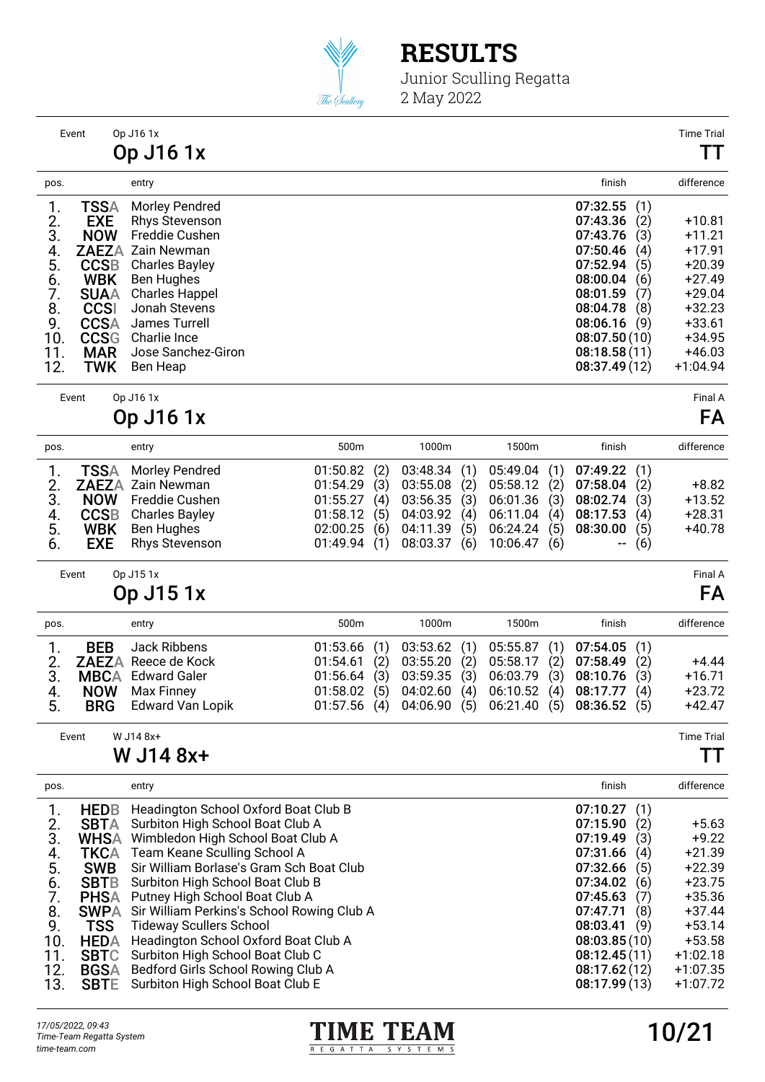

Junior Sculling Regatta 2 May 2022

|          | Event       | Op J16 1x<br>Op J16 1x                  |                 | <b>Time Tria</b><br>TТ |
|----------|-------------|-----------------------------------------|-----------------|------------------------|
| pos.     |             | entry                                   | finish          | difference             |
|          |             |                                         |                 |                        |
| 1.       | <b>TSSA</b> | Morley Pendred                          | 07:32.55<br>(1) |                        |
| 2.<br>3. | <b>EXE</b>  | <b>Rhys Stevenson</b><br>Freddie Cushen | 07:43.36<br>(2) | $+10.81$               |
|          | <b>NOW</b>  |                                         | 07:43.76<br>(3) | +11.21                 |
| 4.       |             | <b>ZAEZA Zain Newman</b>                | 07:50.46<br>(4) | +17.91                 |
| 5.       | <b>CCSB</b> | <b>Charles Bayley</b>                   | 07:52.94<br>(5) | $+20.39$               |
| 6.       | <b>WBK</b>  | <b>Ben Hughes</b>                       | 08:00.04<br>(6) | $+27.49$               |
| 7.       | <b>SUAA</b> | <b>Charles Happel</b>                   | 08:01.59<br>(7) | $+29.04$               |
| 8.       | <b>CCSI</b> | Jonah Stevens                           | 08:04.78<br>(8) | $+32.23$               |
| 9.       | <b>CCSA</b> | James Turrell                           | 08:06.16<br>(9) | $+33.61$               |
| 10.      | <b>CCSG</b> | Charlie Ince                            | 08:07.50(10)    | +34.95                 |
| 11.      | <b>MAR</b>  | Jose Sanchez-Giron                      | 08:18.58(11)    | $+46.03$               |
| 12.      | <b>TWK</b>  | Ben Heap                                | 08:37.49(12)    | $+1:04.94$             |
|          | Event       | Op J16 1x                               |                 | Final A                |
|          |             | Op J16 1x                               |                 | FA                     |
|          |             |                                         |                 |                        |

| pos. | entry                         | 500m | 1000m                                                       | 1500m | finish  | difference |
|------|-------------------------------|------|-------------------------------------------------------------|-------|---------|------------|
|      | 1. <b>TSSA</b> Morley Pendred |      | 01:50.82 (2) 03:48.34 (1) 05:49.04 (1) 07:49.22 (1)         |       |         |            |
|      | 2. ZAEZA Zain Newman          |      | 01:54.29 (3) 03:55.08 (2) 05:58.12 (2) 07:58.04 (2)         |       |         | $+8.82$    |
|      | 3. NOW Freddie Cushen         |      | $01:55.27$ (4) $03:56.35$ (3) $06:01.36$ (3) $08:02.74$ (3) |       |         | $+13.52$   |
|      | 4. CCSB Charles Bayley        |      | 01:58.12 (5) 04:03.92 (4) 06:11.04 (4) 08:17.53             |       | (4)     | $+28.31$   |
| 5.   | <b>WBK</b> Ben Hughes         |      | 02:00.25 (6) 04:11.39 (5) 06:24.24 (5) 08:30.00             |       | (5)     | $+40.78$   |
| 6.   | <b>EXE</b> Rhys Stevenson     |      | 01:49.94 (1) 08:03.37 (6) 10:06.47 (6)                      |       | $- (6)$ |            |

Event Op J15 1x Final A

Op J15 1x FA

| pos. | entry                       | 500m | 1000m | 1500m                                                       | finish | difference |
|------|-----------------------------|------|-------|-------------------------------------------------------------|--------|------------|
|      | Jack Ribbens<br><b>RFR</b>  |      |       | 01:53.66 (1) 03:53.62 (1) 05:55.87 (1) 07:54.05 (1)         |        |            |
|      | 2. ZAEZA Reece de Kock      |      |       | $01:54.61$ (2) $03:55.20$ (2) $05:58.17$ (2) $07:58.49$ (2) |        | $+4.44$    |
|      | 3. MBCA Edward Galer        |      |       | 01:56.64 (3) 03:59.35 (3) 06:03.79 (3) 08:10.76 (3)         |        | $+16.71$   |
| 4.   | <b>NOW</b> Max Finney       |      |       | 01:58.02 (5) 04:02.60 (4) 06:10.52 (4) 08:17.77 (4)         |        | $+23.72$   |
| 5.   | <b>BRG</b> Edward Van Lopik |      |       | 01:57.56 (4) 04:06.90 (5) 06:21.40 (5) 08:36.52 (5)         |        | $+42.47$   |

Event W J14 8x+ Time Trial

#### W J14 8x+ TT

| pos. |             | entry                                      | finish          | difference |
|------|-------------|--------------------------------------------|-----------------|------------|
|      | <b>HEDB</b> | Headington School Oxford Boat Club B       | 07:10.27<br>(1) |            |
| 2.   | <b>SBTA</b> | Surbiton High School Boat Club A           | 07:15.90<br>(2) | $+5.63$    |
| 3.   | <b>WHSA</b> | Wimbledon High School Boat Club A          | 07:19.49<br>(3) | $+9.22$    |
| 4.   | TKCA        | Team Keane Sculling School A               | 07:31.66<br>(4) | $+21.39$   |
| 5.   | <b>SWB</b>  | Sir William Borlase's Gram Sch Boat Club   | 07:32.66<br>(5) | $+22.39$   |
| 6.   | <b>SBTB</b> | Surbiton High School Boat Club B           | 07:34.02<br>(6) | $+23.75$   |
| 7.   | <b>PHSA</b> | Putney High School Boat Club A             | 07:45.63<br>(7) | $+35.36$   |
| 8.   | <b>SWPA</b> | Sir William Perkins's School Rowing Club A | 07:47.71<br>(8) | $+37.44$   |
| 9.   | <b>TSS</b>  | <b>Tideway Scullers School</b>             | 08:03.41<br>(9) | $+53.14$   |
| 10.  | <b>HEDA</b> | Headington School Oxford Boat Club A       | 08:03.85(10)    | $+53.58$   |
| 11.  | <b>SBTC</b> | Surbiton High School Boat Club C           | 08:12.45(11)    | $+1:02.18$ |
| 12.  | <b>BGSA</b> | Bedford Girls School Rowing Club A         | 08:17.62(12)    | $+1:07.35$ |
| 13.  | <b>SBTE</b> | Surbiton High School Boat Club E           | 08:17.99(13)    | $+1:07.72$ |

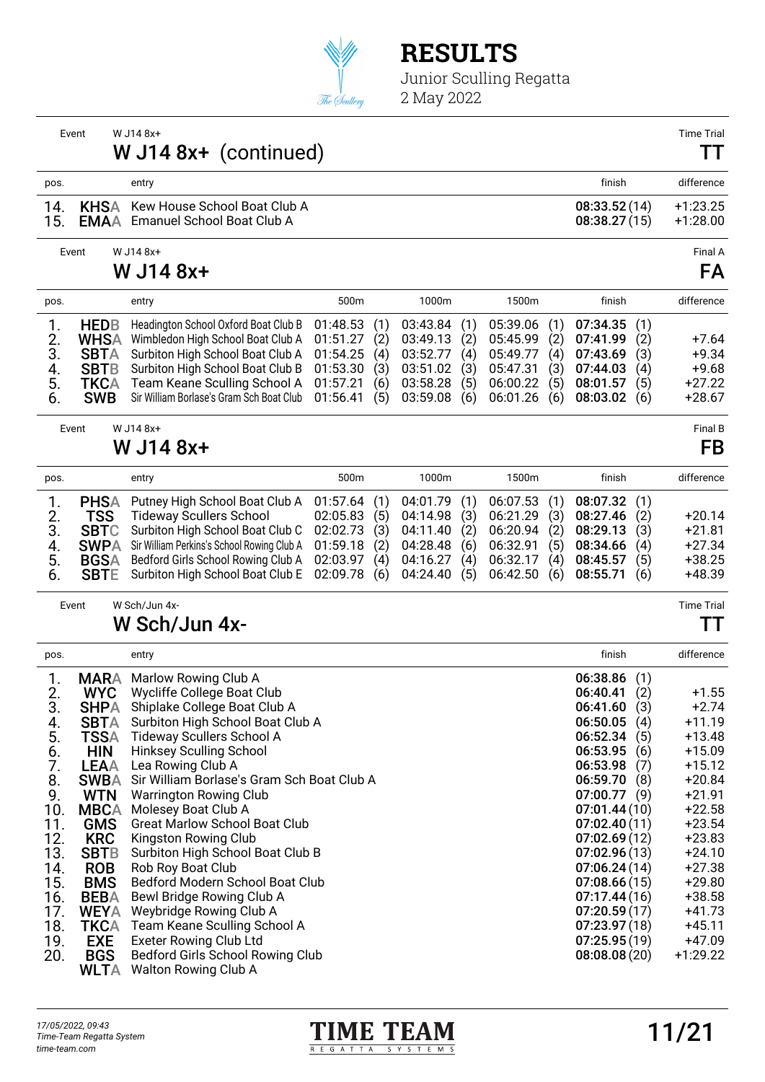

Junior Sculling Regatta 2 May 2022

Event W J14 8x+ Time Trial W J14 8x+ (continued) TT pos. entry finish difference 14. KHSA Kew House School Boat Club A 08:33.52 (14) +1:23.25<br>15. EMAA Emanuel School Boat Club A 08:38.27 (15) +1:28.00 Emanuel School Boat Club A Event W J14 8x+ Final A W J14 8x+ FA pos. entry 500m 1000m 1500m finish difference 1. **HEDB** Headington School Oxford Boat Club B 01:48.53 (1) 03:43.84 (1) 05:39.06 (1) 07:34.35 (1)<br>2. WHSA Wimbledon High School Boat Club A 01:51.27 (2) 03:49.13 (2) 05:45.99 (2) 07:41.99 (2) 2. WHSA Wimbledon High School Boat Club A 01:51.27 (2) 03:49.13 (2) 05:45.99 (2) 07:41.99 (2) +7.64<br>3. SBTA Surbiton High School Boat Club A 01:54.25 (4) 03:52.77 (4) 05:49.77 (4) 07:43.69 (3) +9.34 SBTA Surbiton High School Boat Club A 01:54.25 (4) 03:52.77 (4) 05:49.77 (4) 07:43.69 (3) +9.34<br>SBTB Surbiton High School Boat Club B 01:53.30 (3) 03:51.02 (3) 05:47.31 (3) 07:44.03 (4) +9.68 4. SBTB Surbiton High School Boat Club B 01:53.30 (3) 03:51.02 (3) 05:47.31 (3) 07:44.03 (4) +9.68<br>5. TKCA Team Keane Sculling School A 01:57.21 (6) 03:58.28 (5) 06:00.22 (5) 08:01.57 (5) +27.22 5. **TKCA** Team Keane Sculling School A 01:57.21 (6) 03:58.28 (5) 06:00.22 (5) 08:01.57 (5) +27.22<br>6. **SWB** Sir William Borlase's Gram Sch Boat Club 01:56.41 (5) 03:59.08 (6) 06:01.26 (6) 08:03.02 (6) +28.67 Sir William Borlase's Gram Sch Boat Club Event W J14 8x+ Final B  $W$  J14 8x+ FB pos. entry 500m 1000m 1500m finish difference 1. PHSA Putney High School Boat Club A 01:57.64 (1) 04:01.79 (1) 06:07.53 (1) 08:07.32 (1) 2. **TSS** Tideway Scullers School 02:05.83 (5) 04:14.98 (3) 06:21.29 (3) 08:27.46 (2) +20.14<br>3. **SBTC** Surbiton High School Boat Club C 02:02.73 (3) 04:11.40 (2) 06:20.94 (2) 08:29.13 (3) +21.81 3. SBTC Surbiton High School Boat Club C 02:02.73 (3) 04:11.40 (2) 06:20.94 (2) 08:29.13 (3) +21.81<br>4. SWPA Sir William Perkins's School Rowing Club A 01:59.18 (2) 04:28.48 (6) 06:32.91 (5) 08:34.66 (4) +27.34 4. SWPA Sir William Perkins's School Rowing Club A 01:59.18 (2) 04:28.48 (6) 06:32.91 (5) 08:34.66 (4) +27.34<br>5. BGSA Bedford Girls School Rowing Club A 02:03.97 (4) 04:16.27 (4) 06:32.17 (4) 08:45.57 (5) +38.25 5. BGSA Bedford Girls School Rowing Club A 02:03.97 (4) 04:16.27 (4) 06:32.17 (4) 08:45.57 (5) +38.25 Surbiton High School Boat Club E 02:09.78 (6) 04:24.40 (5) 06:42.50 (6) 08:55.71 (6) Event W Sch/Jun 4x- Time Trial W Sch/Jun 4x- TT pos. entry finish difference 1. **MARA** Marlow Rowing Club A 06:38.86 (1)<br>2. **WYC** Wycliffe College Boat Club 2. WYC Wycliffe College Boat Club 06:40.41 (2) +1.55 3. SHPA Shiplake College Boat Club A 06:41.60 (3) +2.74<br>4. SBTA Surbiton High School Boat Club A 06:50.05 (4) +11.19 4. SBTA Surbiton High School Boat Club A 06:50.05 (4) +11.19<br>5. TSSA Tideway Scullers School A 06:52.34 (5) +13.48 5. TSSA Tideway Scullers School A 06:52.34 (5) +13.48 6. **HIN** Hinksey Sculling School **1996 12:33 12:33 13:34 13:34 13:34 13:09** 15:53.95 (6) 115.09<br>1. **IEAA** Lea Rowing Club A 7. LEAA Lea Rowing Club A  $\,$  66:53.98 (7) +15.12<br>8. SWBA Sir William Borlase's Gram Sch Boat Club A 06:59.70 (8) +20.84 8. SWBA Sir William Borlase's Gram Sch Boat Club A 06:59.70 (8) +20.84 9. WTN Warrington Rowing Club 07:00.77 (9) +21.91 10. MBCA Molesey Boat Club A 07:01.44 (10) +22.58 11. GMS Great Marlow School Boat Club 1. (1998) 1.1. CMS 07:02.40 (11) +23.54<br>12. KRC Kingston Rowing Club 1.1. (1998) 1.1. (1998) 1.1. (1998) 1.1. (1998) 1.2.83 12. KRC Kingston Rowing Club 07:02.69 (12) +23.83

Bedford Girls School Rowing Club

WLTA Walton Rowing Club A



13. SBTB Surbiton High School Boat Club B 07:02.96 (13) +24.10 14. **ROB** Rob Roy Boat Club **14. ROB** Rob Roy Boat Club **15. 15. 16. 17:06.24** (14) 127.38<br>15. **BMS** Bedford Modern School Boat Club 14. BMS Bedford Modern School Boat Club 07:08.66 (15) +29.80<br>15.85. BEBA Bewl Bridge Rowing Club A 16. BEBA Bewl Bridge Rowing Club A 07:17.44 (16) +38.58<br>17. WEYA Weybridge Rowing Club A 07:20.59 (17) +41.73 17. WEYA Weybridge Rowing Club A 07:20.59 (17) +41.73 18. TKCA Team Keane Sculling School A 07:23.97 (18) +45.11 19. EXE Exeter Rowing Club Ltd<br>20. BGS Bedford Girls School Rowing Club 08:08.08 (20) +1:29.22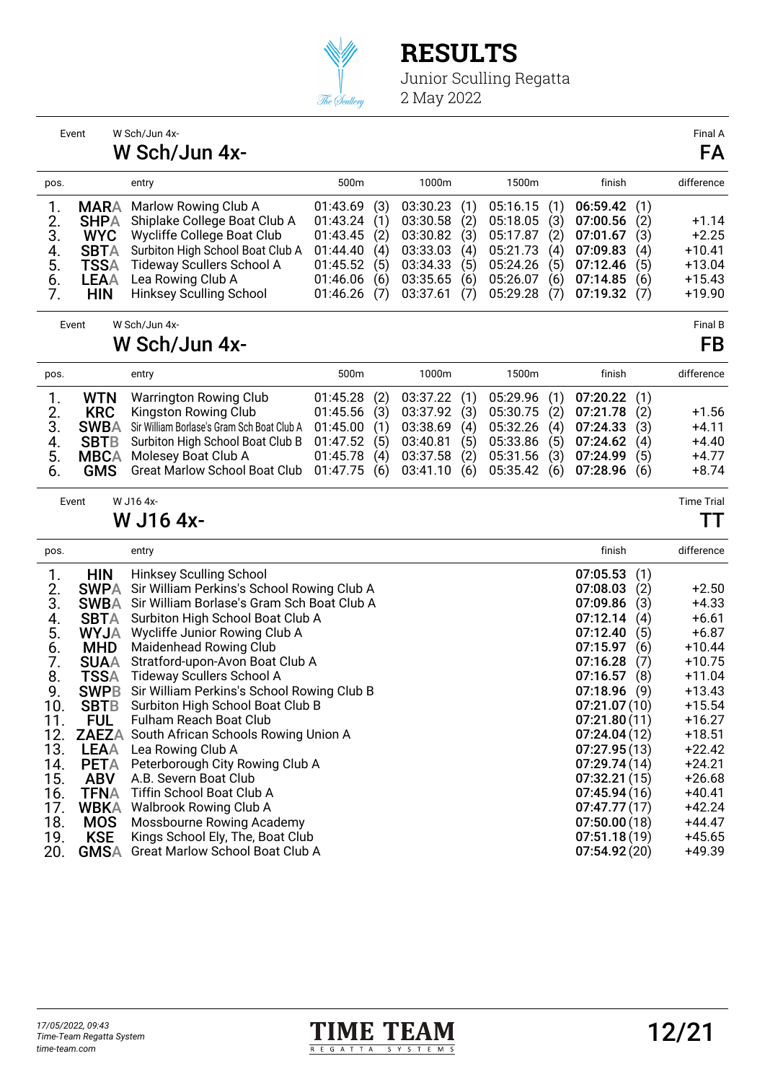

|                 | Event       | W Sch/Jun 4x-                                     |          |     |          |     |          |     |              |     | Final A           |
|-----------------|-------------|---------------------------------------------------|----------|-----|----------|-----|----------|-----|--------------|-----|-------------------|
|                 |             | W Sch/Jun 4x-                                     |          |     |          |     |          |     |              |     | FA                |
| pos.            |             | entry                                             | 500m     |     | 1000m    |     | 1500m    |     | finish       |     | difference        |
| 1.              | <b>MARA</b> | Marlow Rowing Club A                              | 01:43.69 | (3) | 03:30.23 | (1) | 05:16.15 | (1) | 06:59.42     | (1) |                   |
| 2.              | <b>SHPA</b> | Shiplake College Boat Club A                      | 01:43.24 | (1) | 03:30.58 | (2) | 05:18.05 | (3) | 07:00.56     | (2) | $+1.14$           |
| 3.              | <b>WYC</b>  | Wycliffe College Boat Club                        | 01:43.45 | (2) | 03:30.82 | (3) | 05:17.87 | (2) | 07:01.67     | (3) | $+2.25$           |
| 4.              | <b>SBTA</b> | Surbiton High School Boat Club A                  | 01:44.40 | (4) | 03:33.03 | (4) | 05:21.73 | (4) | 07:09.83     | (4) | $+10.41$          |
| 5.              | <b>TSSA</b> | <b>Tideway Scullers School A</b>                  | 01:45.52 | (5) | 03:34.33 | (5) | 05:24.26 | (5) | 07:12.46     | (5) | $+13.04$          |
| 6.              | <b>LEAA</b> | Lea Rowing Club A                                 | 01:46.06 | (6) | 03:35.65 | (6) | 05:26.07 | (6) | 07:14.85     | (6) | $+15.43$          |
| 7.              | <b>HIN</b>  | <b>Hinksey Sculling School</b>                    | 01:46.26 | (7) | 03:37.61 | (7) | 05:29.28 | (7) | 07:19.32     | (7) | $+19.90$          |
|                 | Event       | W Sch/Jun 4x-                                     |          |     |          |     |          |     |              |     | Final B           |
|                 |             | W Sch/Jun 4x-                                     |          |     |          |     |          |     |              |     | FB                |
| pos.            |             | entry                                             | 500m     |     | 1000m    |     | 1500m    |     | finish       |     | difference        |
| 1.              | <b>WTN</b>  | <b>Warrington Rowing Club</b>                     | 01:45.28 | (2) | 03:37.22 | (1) | 05:29.96 | (1) | 07:20.22     | (1) |                   |
| 2.              | <b>KRC</b>  | Kingston Rowing Club                              | 01:45.56 | (3) | 03:37.92 | (3) | 05:30.75 | (2) | 07:21.78     | (2) | $+1.56$           |
| 3.              | <b>SWBA</b> | Sir William Borlase's Gram Sch Boat Club A        | 01:45.00 | (1) | 03:38.69 | (4) | 05:32.26 | (4) | 07:24.33     | (3) | +4.11             |
|                 | <b>SBTB</b> | Surbiton High School Boat Club B                  | 01:47.52 | (5) | 03:40.81 | (5) | 05:33.86 | (5) | 07:24.62     | (4) | $+4.40$           |
| 4.<br>5.        | <b>MBCA</b> | Molesey Boat Club A                               | 01:45.78 | (4) | 03:37.58 | (2) | 05:31.56 | (3) | 07:24.99     | (5) | $+4.77$           |
| 6.              | <b>GMS</b>  | <b>Great Marlow School Boat Club</b>              | 01:47.75 | (6) | 03:41.10 | (6) | 05:35.42 | (6) | 07:28.96     | (6) | $+8.74$           |
|                 | Event       | W J16 4x-                                         |          |     |          |     |          |     |              |     | <b>Time Trial</b> |
|                 |             | W J16 4x-                                         |          |     |          |     |          |     |              |     | TТ                |
| pos.            |             | entry                                             |          |     |          |     |          |     | finish       |     | difference        |
| 1.              | <b>HIN</b>  | Hinksey Sculling School                           |          |     |          |     |          |     | 07:05.53     | (1) |                   |
| 2.              | <b>SWPA</b> | Sir William Perkins's School Rowing Club A        |          |     |          |     |          |     | 07:08.03     | (2) | $+2.50$           |
| 3.              | <b>SWBA</b> | Sir William Borlase's Gram Sch Boat Club A        |          |     |          |     |          |     | 07:09.86     | (3) | $+4.33$           |
| 4.              | <b>SBTA</b> | Surbiton High School Boat Club A                  |          |     |          |     |          |     | 07:12.14     | (4) | $+6.61$           |
| 5.              | <b>WYJA</b> | Wycliffe Junior Rowing Club A                     |          |     |          |     |          |     | 07:12.40     | (5) | $+6.87$           |
| $\frac{6}{7}$ . | <b>MHD</b>  | Maidenhead Rowing Club                            |          |     |          |     |          |     | 07:15.97     | (6) | $+10.44$          |
|                 | <b>SUAA</b> | Stratford-upon-Avon Boat Club A                   |          |     |          |     |          |     | 07:16.28     | (7) | $+10.75$          |
| 8.              | <b>TSSA</b> | <b>Tideway Scullers School A</b>                  |          |     |          |     |          |     | 07:16.57     | (8) | $+11.04$          |
| 9.              | <b>SWPB</b> | Sir William Perkins's School Rowing Club B        |          |     |          |     |          |     | 07:18.96     | (9) | $+13.43$          |
| 10.             | <b>SBTB</b> | Surbiton High School Boat Club B                  |          |     |          |     |          |     | 07:21.07(10) |     | $+15.54$          |
| 11.             | <b>FUL</b>  | Fulham Reach Boat Club                            |          |     |          |     |          |     | 07:21.80(11) |     | $+16.27$          |
| 12.             |             | <b>ZAEZA</b> South African Schools Rowing Union A |          |     |          |     |          |     | 07:24.04(12) |     | $+18.51$          |
| 13.             | <b>LEAA</b> | Lea Rowing Club A                                 |          |     |          |     |          |     | 07:27.95(13) |     | $+22.42$          |
| 14.             | <b>PETA</b> | Peterborough City Rowing Club A                   |          |     |          |     |          |     | 07:29.74(14) |     | $+24.21$          |
| 15.             | <b>ABV</b>  | A.B. Severn Boat Club                             |          |     |          |     |          |     | 07:32.21(15) |     | $+26.68$          |
| 16.             | <b>TFNA</b> | Tiffin School Boat Club A                         |          |     |          |     |          |     | 07:45.94(16) |     | $+40.41$          |
| 17.             | <b>WBKA</b> | <b>Walbrook Rowing Club A</b>                     |          |     |          |     |          |     | 07:47.77(17) |     | $+42.24$          |
| 18.             | <b>MOS</b>  | Mossbourne Rowing Academy                         |          |     |          |     |          |     | 07:50.00(18) |     | $+44.47$          |
| 19.             | <b>KSE</b>  | Kings School Ely, The, Boat Club                  |          |     |          |     |          |     | 07:51.18(19) |     | $+45.65$          |
| 20.             | <b>GMSA</b> | <b>Great Marlow School Boat Club A</b>            |          |     |          |     |          |     | 07:54.92(20) |     | $+49.39$          |

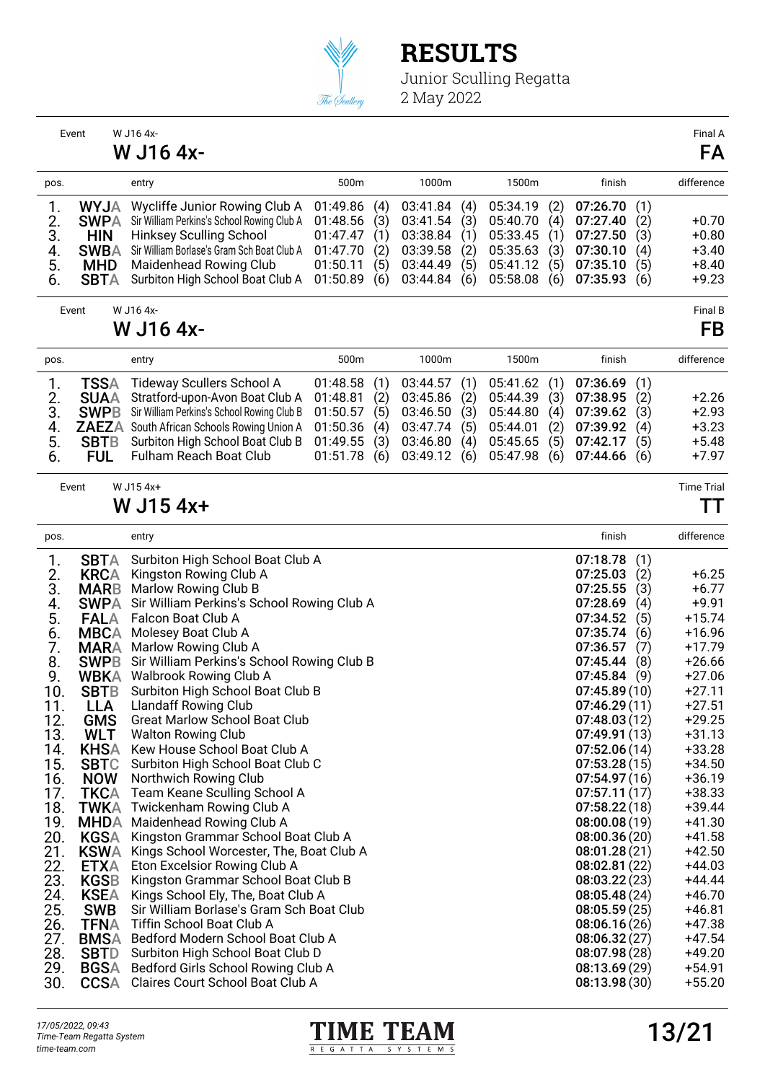

|      | Event        | W J16 4x-                                      |          |     |          |     |          |     |              |     | Final A           |
|------|--------------|------------------------------------------------|----------|-----|----------|-----|----------|-----|--------------|-----|-------------------|
|      |              | W J16 4x-                                      |          |     |          |     |          |     |              |     | FA                |
| pos. |              | entry                                          | 500m     |     | 1000m    |     | 1500m    |     | finish       |     | difference        |
| 1.   | <b>WYJA</b>  | Wycliffe Junior Rowing Club A                  | 01:49.86 | (4) | 03:41.84 | (4) | 05:34.19 | (2) | 07:26.70     | (1) |                   |
| 2.   | <b>SWPA</b>  | Sir William Perkins's School Rowing Club A     | 01:48.56 | (3) | 03:41.54 | (3) | 05:40.70 | (4) | 07:27.40     | (2) | $+0.70$           |
| 3.   | <b>HIN</b>   | <b>Hinksey Sculling School</b>                 | 01:47.47 | (1) | 03:38.84 | (1) | 05:33.45 | (1) | 07:27.50     | (3) | $+0.80$           |
| 4.   | <b>SWBA</b>  | Sir William Borlase's Gram Sch Boat Club A     | 01:47.70 | (2) | 03:39.58 | (2) | 05:35.63 | (3) | 07:30.10     | (4) | $+3.40$           |
| 5.   | <b>MHD</b>   | <b>Maidenhead Rowing Club</b>                  | 01:50.11 | (5) | 03:44.49 | (5) | 05:41.12 | (5) | 07:35.10     | (5) | $+8.40$           |
| 6.   | <b>SBTA</b>  | Surbiton High School Boat Club A               | 01:50.89 | (6) | 03:44.84 | (6) | 05:58.08 | (6) | 07:35.93     | (6) | $+9.23$           |
|      | Event        | W J16 4x-                                      |          |     |          |     |          |     |              |     | Final B           |
|      |              | W J16 4x-                                      |          |     |          |     |          |     |              |     | FB                |
| pos. |              | entry                                          | 500m     |     | 1000m    |     | 1500m    |     | finish       |     | difference        |
| 1.   | <b>TSSA</b>  | Tideway Scullers School A                      | 01:48.58 | (1) | 03:44.57 | (1) | 05:41.62 | (1) | 07:36.69     | (1) |                   |
| 2.   | <b>SUAA</b>  | Stratford-upon-Avon Boat Club A                | 01:48.81 | (2) | 03:45.86 | (2) | 05:44.39 | (3) | 07:38.95     | (2) | $+2.26$           |
| 3.   | <b>SWPB</b>  | Sir William Perkins's School Rowing Club B     | 01:50.57 | (5) | 03:46.50 | (3) | 05:44.80 | (4) | 07:39.62     | (3) | $+2.93$           |
| 4.   | <b>ZAEZA</b> | South African Schools Rowing Union A           | 01:50.36 | (4) | 03:47.74 | (5) | 05:44.01 | (2) | 07:39.92     | (4) | $+3.23$           |
| 5.   | <b>SBTB</b>  | Surbiton High School Boat Club B               | 01:49.55 | (3) | 03:46.80 | (4) | 05:45.65 | (5) | 07:42.17     | (5) | $+5.48$           |
| 6.   | <b>FUL</b>   | <b>Fulham Reach Boat Club</b>                  | 01:51.78 | (6) | 03:49.12 | (6) | 05:47.98 | (6) | 07:44.66     | (6) | $+7.97$           |
|      | Event        | W J15 4x+                                      |          |     |          |     |          |     |              |     | <b>Time Trial</b> |
|      |              | W J15 4x+                                      |          |     |          |     |          |     |              |     | TТ                |
| pos. |              | entry                                          |          |     |          |     |          |     | finish       |     | difference        |
| 1.   | <b>SBTA</b>  | Surbiton High School Boat Club A               |          |     |          |     |          |     | 07:18.78     | (1) |                   |
| 2.   | <b>KRCA</b>  | Kingston Rowing Club A                         |          |     |          |     |          |     | 07:25.03     | (2) | $+6.25$           |
| 3.   | <b>MARB</b>  | Marlow Rowing Club B                           |          |     |          |     |          |     | 07:25.55     | (3) | $+6.77$           |
| 4.   | <b>SWPA</b>  | Sir William Perkins's School Rowing Club A     |          |     |          |     |          |     | 07:28.69     | (4) | $+9.91$           |
| 5.   | <b>FALA</b>  | Falcon Boat Club A                             |          |     |          |     |          |     | 07:34.52     | (5) | $+15.74$          |
| 6.   | <b>MBCA</b>  | Molesey Boat Club A                            |          |     |          |     |          |     | 07:35.74     | (6) | $+16.96$          |
| 7.   | <b>MARA</b>  | Marlow Rowing Club A                           |          |     |          |     |          |     | 07:36.57     | (7) | $+17.79$          |
| 8.   | <b>SWPB</b>  | Sir William Perkins's School Rowing Club B     |          |     |          |     |          |     | 07:45.44     | (8) | $+26.66$          |
| 9.   | <b>WBKA</b>  | <b>Walbrook Rowing Club A</b>                  |          |     |          |     |          |     | 07:45.84     | (9) | $+27.06$          |
| 10.  | <b>SBTB</b>  | Surbiton High School Boat Club B               |          |     |          |     |          |     | 07:45.89(10) |     | $+27.11$          |
| 11.  | <b>LLA</b>   | <b>Llandaff Rowing Club</b>                    |          |     |          |     |          |     | 07:46.29(11) |     | $+27.51$          |
| 12.  | <b>GMS</b>   | <b>Great Marlow School Boat Club</b>           |          |     |          |     |          |     | 07:48.03(12) |     | $+29.25$          |
| 13.  | <b>WLT</b>   | <b>Walton Rowing Club</b>                      |          |     |          |     |          |     | 07:49.91(13) |     | $+31.13$          |
| 14.  | <b>KHSA</b>  | Kew House School Boat Club A                   |          |     |          |     |          |     | 07:52.06(14) |     | $+33.28$          |
| 15.  | <b>SBTC</b>  | Surbiton High School Boat Club C               |          |     |          |     |          |     | 07:53.28(15) |     | $+34.50$          |
| 16.  | <b>NOW</b>   | Northwich Rowing Club                          |          |     |          |     |          |     | 07:54.97(16) |     | $+36.19$          |
| 17.  |              | <b>TKCA</b> Team Keane Sculling School A       |          |     |          |     |          |     | 07:57.11(17) |     | +38.33            |
| 18.  |              | TWKA Twickenham Rowing Club A                  |          |     |          |     |          |     | 07:58.22(18) |     | $+39.44$          |
| 19.  |              | MHDA Maidenhead Rowing Club A                  |          |     |          |     |          |     | 08:00.08(19) |     | $+41.30$          |
| 20.  | KGSA         | Kingston Grammar School Boat Club A            |          |     |          |     |          |     | 08:00.36(20) |     | +41.58            |
| 21.  | <b>KSWA</b>  | Kings School Worcester, The, Boat Club A       |          |     |          |     |          |     | 08:01.28(21) |     | $+42.50$          |
| 22.  | ETXA         | Eton Excelsior Rowing Club A                   |          |     |          |     |          |     | 08:02.81(22) |     | $+44.03$          |
| 23.  | <b>KGSB</b>  | Kingston Grammar School Boat Club B            |          |     |          |     |          |     | 08:03.22(23) |     | +44.44            |
|      | <b>KSEA</b>  | Kings School Ely, The, Boat Club A             |          |     |          |     |          |     | 08:05.48(24) |     | $+46.70$          |
| 24.  |              | Sir William Borlase's Gram Sch Boat Club       |          |     |          |     |          |     | 08:05.59(25) |     | $+46.81$          |
| 25.  | <b>SWB</b>   | Tiffin School Boat Club A                      |          |     |          |     |          |     |              |     |                   |
| 26.  | <b>TFNA</b>  |                                                |          |     |          |     |          |     | 08:06.16(26) |     | $+47.38$          |
| 27.  |              | <b>BMSA</b> Bedford Modern School Boat Club A  |          |     |          |     |          |     | 08:06.32(27) |     | $+47.54$          |
| 28.  | SBTD         | Surbiton High School Boat Club D               |          |     |          |     |          |     | 08:07.98(28) |     | $+49.20$          |
| 29.  |              | <b>BGSA</b> Bedford Girls School Rowing Club A |          |     |          |     |          |     | 08:13.69(29) |     | $+54.91$          |
| 30.  |              | CCSA Claires Court School Boat Club A          |          |     |          |     |          |     | 08:13.98(30) |     | $+55.20$          |

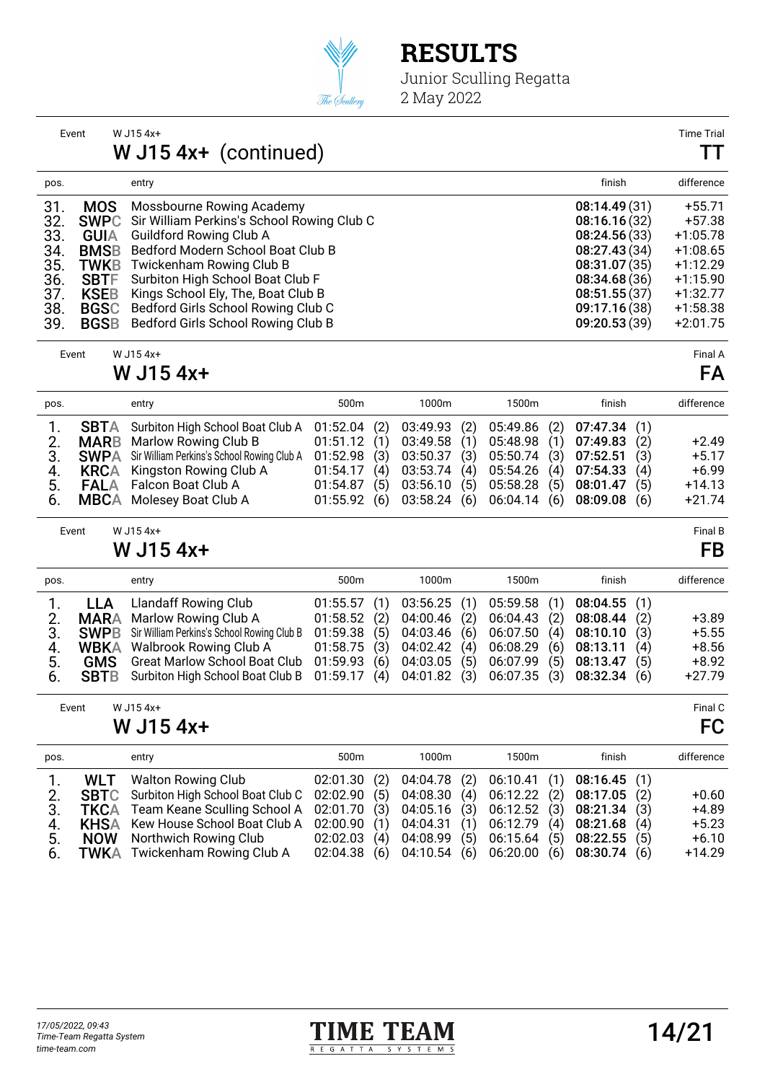

Junior Sculling Regatta 2 May 2022

| Event                                                                                                                                                                              | W J15 4x+<br>W $J15$ 4x+ (continued)                                                                                                                                                                                                                                                                                                         |                                                                                                                                               | <b>Time Trial</b><br>TT                                                                                                |
|------------------------------------------------------------------------------------------------------------------------------------------------------------------------------------|----------------------------------------------------------------------------------------------------------------------------------------------------------------------------------------------------------------------------------------------------------------------------------------------------------------------------------------------|-----------------------------------------------------------------------------------------------------------------------------------------------|------------------------------------------------------------------------------------------------------------------------|
| pos.                                                                                                                                                                               | entry                                                                                                                                                                                                                                                                                                                                        | finish                                                                                                                                        | difference                                                                                                             |
| 31.<br><b>MOS</b><br>32.<br>33.<br><b>GUIA</b><br>34.<br><b>BMSB</b><br>35.<br><b>TWKB</b><br>36.<br><b>SBTF</b><br>37.<br><b>KSEB</b><br>38.<br><b>BGSC</b><br>39.<br><b>BGSB</b> | Mossbourne Rowing Academy<br><b>SWPC</b> Sir William Perkins's School Rowing Club C<br><b>Guildford Rowing Club A</b><br>Bedford Modern School Boat Club B<br>Twickenham Rowing Club B<br>Surbiton High School Boat Club F<br>Kings School Ely, The, Boat Club B<br>Bedford Girls School Rowing Club C<br>Bedford Girls School Rowing Club B | 08:14.49(31)<br>08:16.16(32)<br>08:24.56(33)<br>08:27.43(34)<br>08:31.07(35)<br>08:34.68(36)<br>08:51.55(37)<br>09:17.16 (38)<br>09:20.53(39) | $+55.71$<br>$+57.38$<br>$+1:05.78$<br>$+1:08.65$<br>$+1:12.29$<br>$+1:15.90$<br>$+1:32.77$<br>$+1:58.38$<br>$+2:01.75$ |

Event W J15 4x+ Final A

#### W J15 4x+ FA

| pos.                                      | entry                                                                                                                                                                                                                                     | 500 <sub>m</sub>                                                           | 1000m                                              | 1500m                         | finish                                                                                                                                                               |                                 | difference                                            |
|-------------------------------------------|-------------------------------------------------------------------------------------------------------------------------------------------------------------------------------------------------------------------------------------------|----------------------------------------------------------------------------|----------------------------------------------------|-------------------------------|----------------------------------------------------------------------------------------------------------------------------------------------------------------------|---------------------------------|-------------------------------------------------------|
| 2.<br>3.<br>4.<br><b>FALA</b><br>5.<br>6. | <b>SBTA</b> Surbiton High School Boat Club A<br><b>MARB</b> Marlow Rowing Club B<br><b>SWPA</b> Sir William Perkins's School Rowing Club A<br><b>KRCA</b> Kingston Rowing Club A<br>Falcon Boat Club A<br><b>MBCA</b> Molesey Boat Club A | 01:52.04(2)<br>01:51.12(1)<br>$01:52.98$ (3)<br>01:54.17(4)<br>01:54.87(5) | 03:49.93 (2)<br>03:50.37 (3) 05:50.74 (3) 07:52.51 | $03:56.10$ (5) $05:58.28$ (5) | 05:49.86 (2) 07:47.34 (1)<br>03:49.58 (1) 05:48.98 (1) 07:49.83<br>03:53.74 (4) 05:54.26 (4) 07:54.33<br>08:01.47<br>01:55.92 (6) 03:58.24 (6) 06:04.14 (6) 08:09.08 | (2)<br>(3)<br>(4)<br>(5)<br>(6) | $+2.49$<br>$+5.17$<br>$+6.99$<br>$+14.13$<br>$+21.74$ |

| Event | W J15 4x+ | Final B |  |
|-------|-----------|---------|--|
|       |           |         |  |

### W J15  $4x+$  FB

| pos.                       |     | entry                                                                                                                                                                                                                                                                   | 500 <sub>m</sub>                                                                                            |                      | 1000m                                      | 1500m                                                       | finish                                                                               |                                 | difference                                           |
|----------------------------|-----|-------------------------------------------------------------------------------------------------------------------------------------------------------------------------------------------------------------------------------------------------------------------------|-------------------------------------------------------------------------------------------------------------|----------------------|--------------------------------------------|-------------------------------------------------------------|--------------------------------------------------------------------------------------|---------------------------------|------------------------------------------------------|
| 2.<br>3.<br>4.<br>5.<br>6. | LLA | Llandaff Rowing Club<br><b>MARA</b> Marlow Rowing Club A<br><b>SWPB</b> Sir William Perkins's School Rowing Club B<br><b>WBKA</b> Walbrook Rowing Club A<br><b>GMS</b> Great Marlow School Boat Club<br>SBTB Surbiton High School Boat Club B 01:59.17 (4) 04:01.82 (3) | 01:55.57(1)<br>$01:58.52$ (2)<br>01:59.38(5)<br>$01:58.75$ (3) $04:02.42$ (4) $06:08.29$ (6)<br>01:59.93(6) | 04:03.46<br>04:03.05 | 03:56.25 (1)<br>04:00.46 (2)<br>(6)<br>(5) | 05:59.58 (1)<br>06:04.43 (2)<br>06:07.99(5)<br>06:07.35 (3) | 08:04.55(1)<br>08:08.44<br>06:07.50 (4) 08:10.10<br>08:13.11<br>08:13.47<br>08:32.34 | (2)<br>(3)<br>(4)<br>(5)<br>(6) | $+3.89$<br>$+5.55$<br>$+8.56$<br>$+8.92$<br>$+27.79$ |
|                            |     |                                                                                                                                                                                                                                                                         |                                                                                                             |                      |                                            |                                                             |                                                                                      |                                 |                                                      |

| Event | W J15 4x+ | Final C |
|-------|-----------|---------|
|       | W J15 4x+ | FC      |

| pos. | entry                                                                                    | 500 <sub>m</sub>                                | 1000m | 1500m | finish                                                      |     | difference |
|------|------------------------------------------------------------------------------------------|-------------------------------------------------|-------|-------|-------------------------------------------------------------|-----|------------|
|      | <b>WLT</b> Walton Rowing Club                                                            |                                                 |       |       | 02:01.30 (2) 04:04.78 (2) 06:10.41 (1) 08:16.45 (1)         |     |            |
|      | 2. SBTC Surbiton High School Boat Club C 02:02.90 (5) 04:08.30 (4) 06:12.22 (2) 08:17.05 |                                                 |       |       |                                                             | (2) | $+0.60$    |
|      | 3. TKCA Team Keane Sculling School A 02:01.70 (3) 04:05.16 (3) 06:12.52 (3) 08:21.34 (3) |                                                 |       |       |                                                             |     | $+4.89$    |
|      | 4. KHSA Kew House School Boat Club A 02:00.90 (1) 04:04.31 (1) 06:12.79 (4) 08:21.68     |                                                 |       |       |                                                             | (4) | $+5.23$    |
| 5.   | <b>NOW</b> Northwich Rowing Club                                                         | 02:02.03 (4) 04:08.99 (5) 06:15.64 (5) 08:22.55 |       |       |                                                             | (5) | $+6.10$    |
|      | 6. TWKA Twickenham Rowing Club A                                                         |                                                 |       |       | $02:04.38$ (6) $04:10.54$ (6) $06:20.00$ (6) $08:30.74$ (6) |     | $+14.29$   |

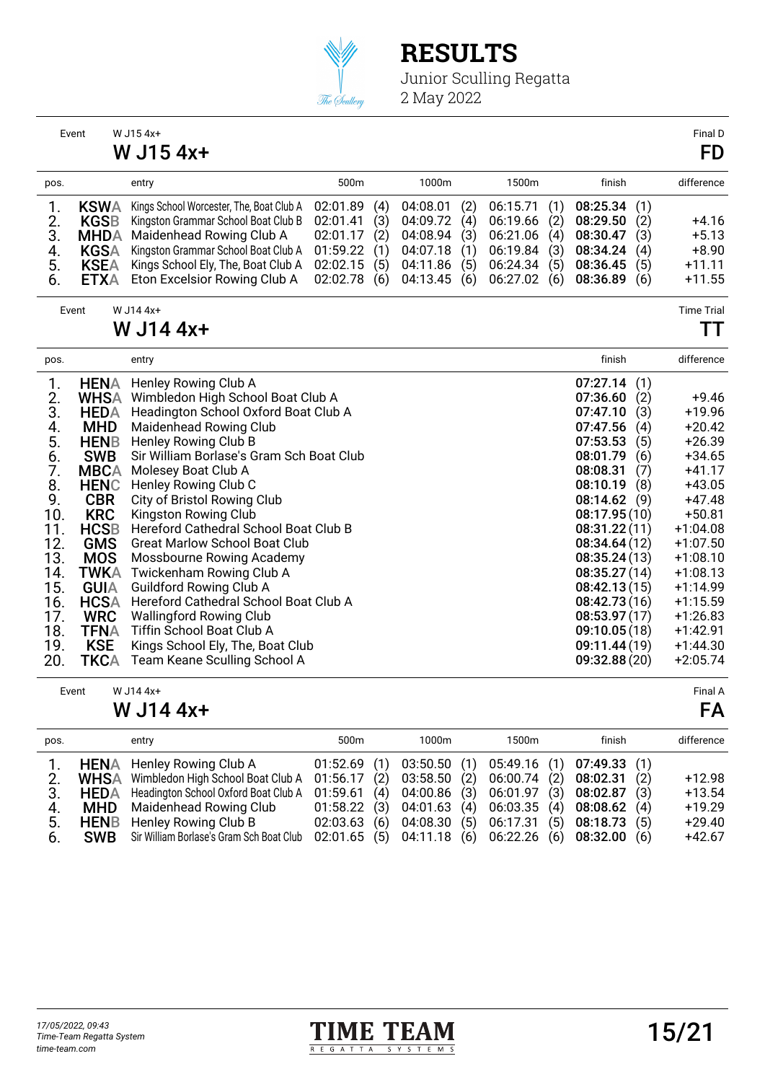

|                      | Event       | W J15 4x+<br>W J15 4x+                   |          |     |          |     |          |     |              |     | Final D<br><b>FD</b> |
|----------------------|-------------|------------------------------------------|----------|-----|----------|-----|----------|-----|--------------|-----|----------------------|
| pos.                 |             | entry                                    | 500m     |     | 1000m    |     | 1500m    |     | finish       |     | difference           |
| 1.                   | <b>KSWA</b> | Kings School Worcester, The, Boat Club A | 02:01.89 | (4) | 04:08.01 | (2) | 06:15.71 | (1) | 08:25.34     | (1) |                      |
|                      | <b>KGSB</b> | Kingston Grammar School Boat Club B      | 02:01.41 | (3) | 04:09.72 | (4) | 06:19.66 | (2) | 08:29.50     | (2) | $+4.16$              |
| $\frac{2}{3}$ .      | <b>MHDA</b> | Maidenhead Rowing Club A                 | 02:01.17 | (2) | 04:08.94 | (3) | 06:21.06 | (4) | 08:30.47     | (3) | $+5.13$              |
| 4.                   | <b>KGSA</b> | Kingston Grammar School Boat Club A      | 01:59.22 | (1) | 04:07.18 | (1) | 06:19.84 | (3) | 08:34.24     | (4) | $+8.90$              |
| 5.                   | <b>KSEA</b> | Kings School Ely, The, Boat Club A       | 02:02.15 | (5) | 04:11.86 | (5) | 06:24.34 | (5) | 08:36.45     | (5) | $+11.11$             |
| 6.                   | <b>ETXA</b> | Eton Excelsior Rowing Club A             | 02:02.78 | (6) | 04:13.45 | (6) | 06:27.02 | (6) | 08:36.89     | (6) | $+11.55$             |
|                      | Event       | W J14 4x+                                |          |     |          |     |          |     |              |     | <b>Time Trial</b>    |
|                      |             | W J14 4x+                                |          |     |          |     |          |     |              |     | TΤ                   |
| pos.                 |             | entry                                    |          |     |          |     |          |     | finish       |     | difference           |
| 1.                   | <b>HENA</b> | Henley Rowing Club A                     |          |     |          |     |          |     | 07:27.14     | (1) |                      |
| 2.                   | <b>WHSA</b> | Wimbledon High School Boat Club A        |          |     |          |     |          |     | 07:36.60     | (2) | $+9.46$              |
| 3.                   | <b>HEDA</b> | Headington School Oxford Boat Club A     |          |     |          |     |          |     | 07:47.10     | (3) | $+19.96$             |
|                      | <b>MHD</b>  | Maidenhead Rowing Club                   |          |     |          |     |          |     | 07:47.56     | (4) | $+20.42$             |
| 4.<br>5.<br>6.<br>7. | <b>HENB</b> | Henley Rowing Club B                     |          |     |          |     |          |     | 07:53.53     | (5) | $+26.39$             |
|                      | <b>SWB</b>  | Sir William Borlase's Gram Sch Boat Club |          |     |          |     |          |     | 08:01.79     | (6) | $+34.65$             |
|                      | <b>MBCA</b> | Molesey Boat Club A                      |          |     |          |     |          |     | 08:08.31     | (7) | $+41.17$             |
| 8.                   | <b>HENC</b> | Henley Rowing Club C                     |          |     |          |     |          |     | 08:10.19     | (8) | $+43.05$             |
| 9.                   | <b>CBR</b>  | City of Bristol Rowing Club              |          |     |          |     |          |     | 08:14.62     | (9) | $+47.48$             |
| 10.                  | <b>KRC</b>  | Kingston Rowing Club                     |          |     |          |     |          |     | 08:17.95(10) |     | $+50.81$             |
| 11.                  | <b>HCSB</b> | Hereford Cathedral School Boat Club B    |          |     |          |     |          |     | 08:31.22(11) |     | $+1:04.08$           |
| 12.                  | <b>GMS</b>  | <b>Great Marlow School Boat Club</b>     |          |     |          |     |          |     | 08:34.64(12) |     | $+1:07.50$           |
| 13.                  | <b>MOS</b>  | Mossbourne Rowing Academy                |          |     |          |     |          |     | 08:35.24(13) |     | $+1:08.10$           |
| 14.                  | <b>TWKA</b> | Twickenham Rowing Club A                 |          |     |          |     |          |     | 08:35.27(14) |     | $+1:08.13$           |
| 15.                  | <b>GUIA</b> | <b>Guildford Rowing Club A</b>           |          |     |          |     |          |     | 08:42.13(15) |     | $+1:14.99$           |
| 16.                  | <b>HCSA</b> | Hereford Cathedral School Boat Club A    |          |     |          |     |          |     | 08:42.73(16) |     | $+1:15.59$           |
| 17.                  | <b>WRC</b>  | <b>Wallingford Rowing Club</b>           |          |     |          |     |          |     | 08:53.97(17) |     | $+1:26.83$           |
| 18.                  | <b>TFNA</b> | Tiffin School Boat Club A                |          |     |          |     |          |     | 09:10.05(18) |     | $+1:42.91$           |
| 19.                  | <b>KSE</b>  | Kings School Ely, The, Boat Club         |          |     |          |     |          |     | 09:11.44(19) |     | $+1:44.30$           |
| 20.                  | <b>TKCA</b> | Team Keane Sculling School A             |          |     |          |     |          |     | 09:32.88(20) |     | $+2:05.74$           |
|                      | Event       | W J14 4x+                                |          |     |          |     |          |     |              |     | Final A              |

| W J14 4x+ | FΑ |
|-----------|----|
|-----------|----|

| pos.                      | entry                                                                                                                                                                                                                                                                                                                | 500 <sub>m</sub>                           | 1000m                                       | 1500m                                                                                                                       | finish                                               |                                 | difference                                               |
|---------------------------|----------------------------------------------------------------------------------------------------------------------------------------------------------------------------------------------------------------------------------------------------------------------------------------------------------------------|--------------------------------------------|---------------------------------------------|-----------------------------------------------------------------------------------------------------------------------------|------------------------------------------------------|---------------------------------|----------------------------------------------------------|
| $2_{1}$<br>4.<br>5.<br>6. | 1. <b>HENA</b> Henley Rowing Club A<br>WHSA Wimbledon High School Boat Club A 01:56.17 (2) 03:58.50 (2) 06:00.74 (2) 08:02.31<br>3. <b>HEDA</b> Headington School Oxford Boat Club A<br><b>MHD</b> Maidenhead Rowing Club<br><b>HENB</b> Henley Rowing Club B<br><b>SWB</b> Sir William Borlase's Gram Sch Boat Club | 01:52.69(1)<br>01:59.61(4)<br>01:58.22 (3) | 03:50.50(1)<br>04:00.86 (3)<br>04:01.63 (4) | 06:01.97 (3) 08:02.87<br>02:03.63 (6) 04:08.30 (5) 06:17.31 (5) 08:18.73<br>02:01.65 (5) 04:11.18 (6) 06:22.26 (6) 08:32.00 | $05:49.16$ (1) 07:49.33 (1)<br>06:03.35 (4) 08:08.62 | (2)<br>(3)<br>(4)<br>(5)<br>(6) | $+12.98$<br>$+13.54$<br>$+19.29$<br>$+29.40$<br>$+42.67$ |
|                           |                                                                                                                                                                                                                                                                                                                      |                                            |                                             |                                                                                                                             |                                                      |                                 |                                                          |

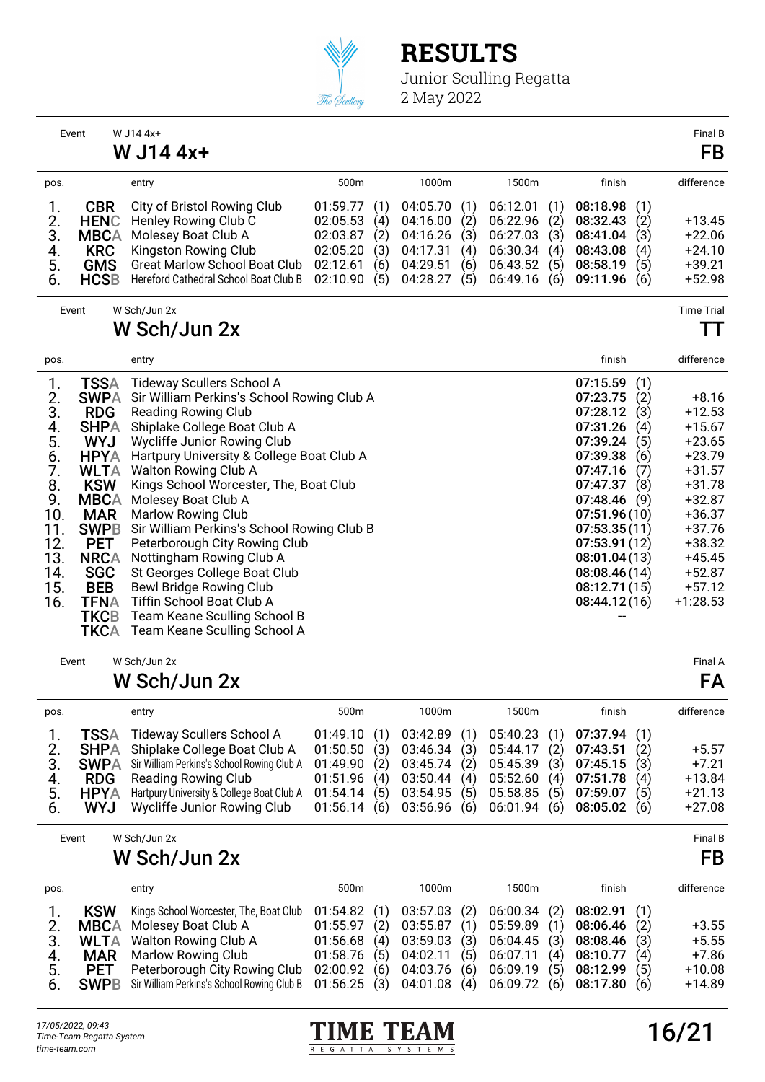

Junior Sculling Regatta 2 May 2022

|                                                                                                     | Event                                                                                                                                                                                                                                                               | W J14 4x+<br>W J14 4x+                                                                                                                                                                                                                                                                                                                                                                                                                                                                                                                                                                                            |                                                                      |                                        |                                                                      |                                        |                                                                      |                                        |                                                                                                                                                                                                                          |                                                             | Final B<br>FB                                                                                                                                                                     |
|-----------------------------------------------------------------------------------------------------|---------------------------------------------------------------------------------------------------------------------------------------------------------------------------------------------------------------------------------------------------------------------|-------------------------------------------------------------------------------------------------------------------------------------------------------------------------------------------------------------------------------------------------------------------------------------------------------------------------------------------------------------------------------------------------------------------------------------------------------------------------------------------------------------------------------------------------------------------------------------------------------------------|----------------------------------------------------------------------|----------------------------------------|----------------------------------------------------------------------|----------------------------------------|----------------------------------------------------------------------|----------------------------------------|--------------------------------------------------------------------------------------------------------------------------------------------------------------------------------------------------------------------------|-------------------------------------------------------------|-----------------------------------------------------------------------------------------------------------------------------------------------------------------------------------|
| pos.                                                                                                |                                                                                                                                                                                                                                                                     | entry                                                                                                                                                                                                                                                                                                                                                                                                                                                                                                                                                                                                             | 500m                                                                 |                                        | 1000m                                                                |                                        | 1500m                                                                |                                        | finish                                                                                                                                                                                                                   |                                                             | difference                                                                                                                                                                        |
| 1.<br>2.<br>3.<br>$rac{4}{5}$ .<br>6.                                                               | <b>CBR</b><br><b>HENC</b><br><b>MBCA</b><br><b>KRC</b><br><b>GMS</b><br><b>HCSB</b>                                                                                                                                                                                 | City of Bristol Rowing Club<br>Henley Rowing Club C<br>Molesey Boat Club A<br>Kingston Rowing Club<br><b>Great Marlow School Boat Club</b><br>Hereford Cathedral School Boat Club B                                                                                                                                                                                                                                                                                                                                                                                                                               | 01:59.77<br>02:05.53<br>02:03.87<br>02:05.20<br>02:12.61<br>02:10.90 | (1)<br>(4)<br>(2)<br>(3)<br>(6)<br>(5) | 04:05.70<br>04:16.00<br>04:16.26<br>04:17.31<br>04:29.51<br>04:28.27 | (1)<br>(2)<br>(3)<br>(4)<br>(6)<br>(5) | 06:12.01<br>06:22.96<br>06:27.03<br>06:30.34<br>06:43.52<br>06:49.16 | (1)<br>(2)<br>(3)<br>(4)<br>(5)<br>(6) | 08:18.98<br>08:32.43<br>08:41.04<br>08:43.08<br>08:58.19<br>09:11.96                                                                                                                                                     | (1)<br>(2)<br>(3)<br>(4)<br>(5)<br>(6)                      | $+13.45$<br>$+22.06$<br>$+24.10$<br>$+39.21$<br>$+52.98$                                                                                                                          |
|                                                                                                     | Event                                                                                                                                                                                                                                                               | W Sch/Jun 2x<br>W Sch/Jun 2x                                                                                                                                                                                                                                                                                                                                                                                                                                                                                                                                                                                      |                                                                      |                                        |                                                                      |                                        |                                                                      |                                        |                                                                                                                                                                                                                          |                                                             | <b>Time Trial</b><br>TТ                                                                                                                                                           |
| pos.                                                                                                |                                                                                                                                                                                                                                                                     | entry                                                                                                                                                                                                                                                                                                                                                                                                                                                                                                                                                                                                             |                                                                      |                                        |                                                                      |                                        |                                                                      |                                        | finish                                                                                                                                                                                                                   |                                                             | difference                                                                                                                                                                        |
| 1.<br>2.<br>3.<br>4.<br>5.<br>6.<br>7.<br>8.<br>9.<br>10.<br>11.<br>12.<br>13.<br>14.<br>15.<br>16. | <b>TSSA</b><br><b>SWPA</b><br><b>RDG</b><br><b>SHPA</b><br><b>WYJ</b><br><b>HPYA</b><br><b>WLTA</b><br><b>KSW</b><br><b>MBCA</b><br><b>MAR</b><br><b>SWPB</b><br><b>PET</b><br><b>NRCA</b><br><b>SGC</b><br><b>BEB</b><br><b>TFNA</b><br><b>TKCB</b><br><b>TKCA</b> | <b>Tideway Scullers School A</b><br>Sir William Perkins's School Rowing Club A<br><b>Reading Rowing Club</b><br>Shiplake College Boat Club A<br>Wycliffe Junior Rowing Club<br>Hartpury University & College Boat Club A<br>Walton Rowing Club A<br>Kings School Worcester, The, Boat Club<br>Molesey Boat Club A<br><b>Marlow Rowing Club</b><br>Sir William Perkins's School Rowing Club B<br>Peterborough City Rowing Club<br>Nottingham Rowing Club A<br>St Georges College Boat Club<br>Bewl Bridge Rowing Club<br>Tiffin School Boat Club A<br>Team Keane Sculling School B<br>Team Keane Sculling School A |                                                                      |                                        |                                                                      |                                        |                                                                      |                                        | 07:15.59<br>07:23.75<br>07:28.12<br>07:31.26<br>07:39.24<br>07:39.38<br>07:47.16<br>07:47.37<br>07:48.46<br>07:51.96(10)<br>07:53.35(11)<br>07:53.91(12)<br>08:01.04(13)<br>08:08.46(14)<br>08:12.71(15)<br>08:44.12(16) | (1)<br>(2)<br>(3)<br>(4)<br>(5)<br>(6)<br>(7)<br>(8)<br>(9) | $+8.16$<br>$+12.53$<br>$+15.67$<br>$+23.65$<br>$+23.79$<br>$+31.57$<br>$+31.78$<br>$+32.87$<br>$+36.37$<br>$+37.76$<br>$+38.32$<br>$+45.45$<br>$+52.87$<br>$+57.12$<br>$+1:28.53$ |
|                                                                                                     | Event                                                                                                                                                                                                                                                               | W Sch/Jun 2x<br>W Sch/Jun 2x                                                                                                                                                                                                                                                                                                                                                                                                                                                                                                                                                                                      |                                                                      |                                        |                                                                      |                                        |                                                                      |                                        |                                                                                                                                                                                                                          |                                                             | Final A<br>FA                                                                                                                                                                     |
| pos.                                                                                                |                                                                                                                                                                                                                                                                     | entry                                                                                                                                                                                                                                                                                                                                                                                                                                                                                                                                                                                                             | 500m                                                                 |                                        | 1000m                                                                |                                        | 1500m                                                                |                                        | finish                                                                                                                                                                                                                   |                                                             | difference                                                                                                                                                                        |
| 1.<br>2.<br>3.<br>4.<br>5.<br>6.                                                                    | <b>TSSA</b><br><b>SHPA</b><br><b>SWPA</b><br><b>RDG</b><br><b>HPYA</b><br><b>WYJ</b>                                                                                                                                                                                | <b>Tideway Scullers School A</b><br>Shiplake College Boat Club A<br>Sir William Perkins's School Rowing Club A<br><b>Reading Rowing Club</b><br>Hartpury University & College Boat Club A<br>Wycliffe Junior Rowing Club                                                                                                                                                                                                                                                                                                                                                                                          | 01:49.10<br>01:50.50<br>01:49.90<br>01:51.96<br>01:54.14<br>01:56.14 | (1)<br>(3)<br>(2)<br>(4)<br>(5)<br>(6) | 03:42.89<br>03:46.34<br>03:45.74<br>03:50.44<br>03:54.95<br>03:56.96 | (1)<br>(3)<br>(2)<br>(4)<br>(5)<br>(6) | 05:40.23<br>05:44.17<br>05:45.39<br>05:52.60<br>05:58.85<br>06:01.94 | (1)<br>(2)<br>(3)<br>(4)<br>(5)<br>(6) | 07:37.94<br>07:43.51<br>07:45.15<br>07:51.78<br>07:59.07<br>08:05.02                                                                                                                                                     | (1)<br>(2)<br>(3)<br>(4)<br>(5)<br>(6)                      | $+5.57$<br>$+7.21$<br>$+13.84$<br>$+21.13$<br>$+27.08$                                                                                                                            |
|                                                                                                     | Event                                                                                                                                                                                                                                                               | W Sch/Jun 2x<br>W Sch/Jun 2x                                                                                                                                                                                                                                                                                                                                                                                                                                                                                                                                                                                      |                                                                      |                                        |                                                                      |                                        |                                                                      |                                        |                                                                                                                                                                                                                          |                                                             | Final B<br>FB                                                                                                                                                                     |
| pos.                                                                                                |                                                                                                                                                                                                                                                                     | entry                                                                                                                                                                                                                                                                                                                                                                                                                                                                                                                                                                                                             | 500m                                                                 |                                        | 1000m                                                                |                                        | 1500m                                                                |                                        | finish                                                                                                                                                                                                                   |                                                             | difference                                                                                                                                                                        |
| 1.<br>2.<br>3.                                                                                      | <b>KSW</b><br><b>MBCA</b><br><b>WLTA</b>                                                                                                                                                                                                                            | Kings School Worcester, The, Boat Club<br>Molesey Boat Club A<br>Walton Rowing Club A                                                                                                                                                                                                                                                                                                                                                                                                                                                                                                                             | 01:54.82<br>01:55.97<br>01:56.68                                     | (1)<br>(2)<br>(4)                      | 03:57.03<br>03:55.87<br>03:59.03                                     | (2)<br>(1)<br>(3)                      | 06:00.34<br>05:59.89<br>06:04.45                                     | (2)<br>(1)<br>(3)                      | 08:02.91<br>08:06.46<br>08:08.46                                                                                                                                                                                         | (1)<br>(2)<br>(3)                                           | $+3.55$<br>$+5.55$                                                                                                                                                                |

R E G A T T A

3. WLTA Walton Rowing Club A 01:56.68 (4) 03:59.03 (3) 06:04.45 (3) 08:08.46 (3) +5.55

S Y S T E M S

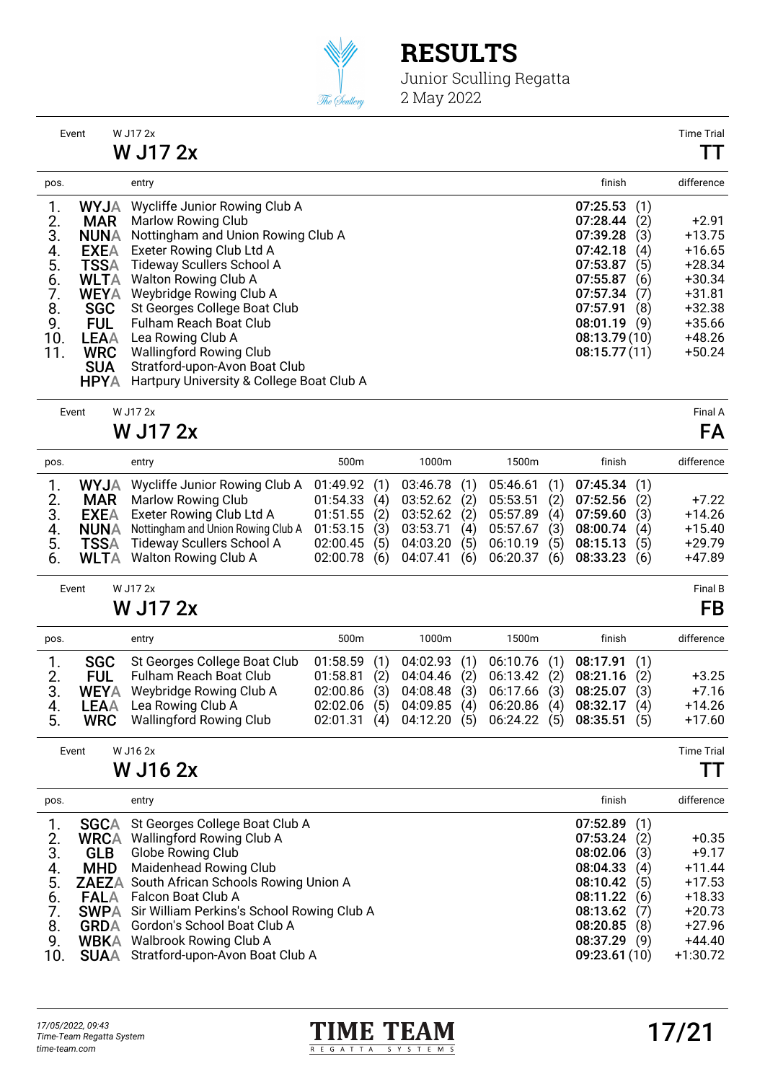

Junior Sculling Regatta 2 May 2022

|      | Event       | W J17 2x                                  |                 | <b>Time Tria</b> |
|------|-------------|-------------------------------------------|-----------------|------------------|
|      |             | W J17 2x                                  |                 | TТ               |
| pos. |             | entry                                     | finish          | difference       |
|      | <b>MYJA</b> | Wycliffe Junior Rowing Club A             | (1)<br>07:25.53 |                  |
| 2.   | <b>MAR</b>  | Marlow Rowing Club                        | 07:28.44<br>(2) | $+2.91$          |
| 3.   | NUNA        | Nottingham and Union Rowing Club A        | 07:39.28<br>(3) | $+13.75$         |
| 4.   | <b>EXEA</b> | Exeter Rowing Club Ltd A                  | 07:42.18<br>(4) | $+16.65$         |
| 5.   | <b>TSSA</b> | Tideway Scullers School A                 | (5)<br>07:53.87 | $+28.34$         |
| 6.   | <b>WLTA</b> | Walton Rowing Club A                      | 07:55.87<br>(6) | $+30.34$         |
| 7.   | <b>WEYA</b> | Weybridge Rowing Club A                   | 07:57.34<br>(7) | $+31.81$         |
| 8.   | <b>SGC</b>  | St Georges College Boat Club              | 07:57.91<br>(8) | $+32.38$         |
| 9.   | <b>FUL</b>  | Fulham Reach Boat Club                    | 08:01.19<br>(9) | $+35.66$         |
| 10.  | LEAA        | Lea Rowing Club A                         | 08:13.79(10)    | $+48.26$         |
| 11.  | <b>WRC</b>  | <b>Wallingford Rowing Club</b>            | 08:15.77(11)    | $+50.24$         |
|      | <b>SUA</b>  | Stratford-upon-Avon Boat Club             |                 |                  |
|      | <b>HPYA</b> | Hartpury University & College Boat Club A |                 |                  |

Event W J17 2x Final A

W J17 2x FA

| pos. |             | entry                                          | 500 <sub>m</sub>      | 1000m          |     | 1500m       | finish                      |     | difference |
|------|-------------|------------------------------------------------|-----------------------|----------------|-----|-------------|-----------------------------|-----|------------|
|      |             | <b>WYJA</b> Wycliffe Junior Rowing Club A      | 01:49.92(1)           | 03:46.78 (1)   |     |             | $05:46.61$ (1) 07:45.34 (1) |     |            |
| 2.   | MAR         | Marlow Rowing Club                             | 01:54.33(4)           | 03:52.62       | (2) | 05:53.51(2) | 07:52.56                    | (2) | $+7.22$    |
| 3.   | EXEA        | Exeter Rowing Club Ltd A                       | $01:51.55$ (2)        | $03:52.62$ (2) |     |             | 05:57.89 (4) 07:59.60       | (3) | $+14.26$   |
| 4.   |             | <b>NUNA</b> Nottingham and Union Rowing Club A | 01:53.15(3)           | 03:53.71       | (4) | 05:57.67(3) | 08:00.74                    | (4) | $+15.40$   |
| 5.   | <b>TSSA</b> | Tideway Scullers School A                      | 02:00.45(5)           | 04:03.20       | (5) | 06:10.19(5) | 08:15.13                    | (5) | $+29.79$   |
| 6.   |             | <b>WLTA</b> Walton Rowing Club A               | 02:00.78 (6) 04:07.41 |                | (6) |             | 06:20.37 (6) 08:33.23       | (6) | +47.89     |

Event W J17 2x Final B

#### W J17 2x FB

| pos.     |                   | entry                                                                                                                                                                | 500 <sub>m</sub>                                                                   | 1000m                                                                               | 1500m                                                                                                               | finish                           | difference                                 |
|----------|-------------------|----------------------------------------------------------------------------------------------------------------------------------------------------------------------|------------------------------------------------------------------------------------|-------------------------------------------------------------------------------------|---------------------------------------------------------------------------------------------------------------------|----------------------------------|--------------------------------------------|
| 3.<br>5. | <b>SGC</b><br>FUL | St Georges College Boat Club<br>Fulham Reach Boat Club<br><b>WEYA</b> Weybridge Rowing Club A<br><b>LEAA</b> Lea Rowing Club A<br><b>WRC</b> Wallingford Rowing Club | 01:58.59(1)<br>(2)<br>01:58.81<br>$02:00.86$ (3)<br>(5)<br>02:02.06<br>02:01.31(4) | 04:02.93(1)<br>04:04.46(2)<br>04:08.48<br>(3)<br>(4)<br>04:09.85<br>(5)<br>04:12.20 | 06:10.76(1)<br>06:13.42 (2) 08:21.16 (2)<br>06:17.66 (3) 08:25.07<br>06:20.86 (4) 08:32.17<br>06:24.22 (5) 08:35.51 | 08:17.91(1)<br>(3)<br>(4)<br>(5) | $+3.25$<br>$+7.16$<br>$+14.26$<br>$+17.60$ |

Event W J16 2x Time Trial

#### W J16 2x TT

| pos. |             | entry                                                  | finish       |     | difference |
|------|-------------|--------------------------------------------------------|--------------|-----|------------|
|      | <b>SGCA</b> | St Georges College Boat Club A                         | 07:52.89     | (1) |            |
|      | <b>WRCA</b> | <b>Wallingford Rowing Club A</b>                       | 07:53.24     | (2) | $+0.35$    |
| 3.   | <b>GLB</b>  | Globe Rowing Club                                      | 08:02.06     | (3) | $+9.17$    |
| 4.   | <b>MHD</b>  | Maidenhead Rowing Club                                 | 08:04.33     | (4) | $+11.44$   |
| 5.   |             | <b>ZAEZA</b> South African Schools Rowing Union A      | 08:10.42     | (5) | $+17.53$   |
| 6.   | <b>FALA</b> | Falcon Boat Club A                                     | 08:11.22     | (6) | $+18.33$   |
| 7.   |             | <b>SWPA</b> Sir William Perkins's School Rowing Club A | 08:13.62     | (7) | $+20.73$   |
| 8.   | <b>GRDA</b> | Gordon's School Boat Club A                            | 08:20.85     | (8) | $+27.96$   |
| 9.   |             | <b>WBKA</b> Walbrook Rowing Club A                     | 08:37.29     | (9) | $+44.40$   |
| 10.  |             | SUAA Stratford-upon-Avon Boat Club A                   | 09:23.61(10) |     | $+1:30.72$ |

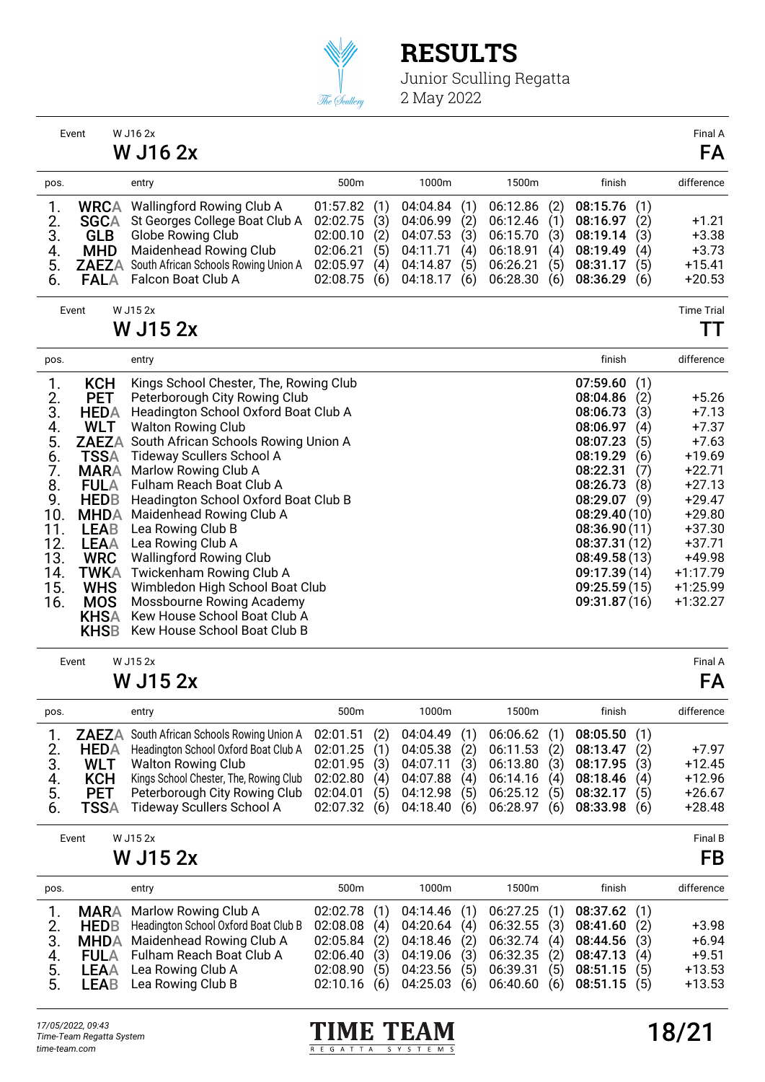

|                                                                                                            | Event                                                                                                                                                                                                                                                                 | W J16 2x<br>W J16 2x                                                                                                                                                                                                                                                                                                                                                                                                                                                                                                                                                                     |                                                                      |                                        |                                                                      |                                        |                                                                      |                                        |                                                                                                                                                                                                                            |                                                             | Final A<br>FA                                                                                                                                                                    |
|------------------------------------------------------------------------------------------------------------|-----------------------------------------------------------------------------------------------------------------------------------------------------------------------------------------------------------------------------------------------------------------------|------------------------------------------------------------------------------------------------------------------------------------------------------------------------------------------------------------------------------------------------------------------------------------------------------------------------------------------------------------------------------------------------------------------------------------------------------------------------------------------------------------------------------------------------------------------------------------------|----------------------------------------------------------------------|----------------------------------------|----------------------------------------------------------------------|----------------------------------------|----------------------------------------------------------------------|----------------------------------------|----------------------------------------------------------------------------------------------------------------------------------------------------------------------------------------------------------------------------|-------------------------------------------------------------|----------------------------------------------------------------------------------------------------------------------------------------------------------------------------------|
| pos.                                                                                                       |                                                                                                                                                                                                                                                                       | entry                                                                                                                                                                                                                                                                                                                                                                                                                                                                                                                                                                                    | 500m                                                                 |                                        | 1000m                                                                |                                        | 1500m                                                                |                                        | finish                                                                                                                                                                                                                     |                                                             | difference                                                                                                                                                                       |
| 1.<br>2.<br>3.<br>4.<br>5.<br>6.                                                                           | <b>WRCA</b><br><b>SGCA</b><br><b>GLB</b><br><b>MHD</b><br><b>FALA</b>                                                                                                                                                                                                 | Wallingford Rowing Club A<br>St Georges College Boat Club A<br>Globe Rowing Club<br>Maidenhead Rowing Club<br>ZAEZA South African Schools Rowing Union A<br>Falcon Boat Club A                                                                                                                                                                                                                                                                                                                                                                                                           | 01:57.82<br>02:02.75<br>02:00.10<br>02:06.21<br>02:05.97<br>02:08.75 | (1)<br>(3)<br>(2)<br>(5)<br>(4)<br>(6) | 04:04.84<br>04:06.99<br>04:07.53<br>04:11.71<br>04:14.87<br>04:18.17 | (1)<br>(2)<br>(3)<br>(4)<br>(5)<br>(6) | 06:12.86<br>06:12.46<br>06:15.70<br>06:18.91<br>06:26.21<br>06:28.30 | (2)<br>(1)<br>(3)<br>(4)<br>(5)<br>(6) | 08:15.76<br>08:16.97<br>08:19.14<br>08:19.49<br>08:31.17<br>08:36.29                                                                                                                                                       | (1)<br>(2)<br>(3)<br>(4)<br>(5)<br>(6)                      | $+1.21$<br>$+3.38$<br>$+3.73$<br>$+15.41$<br>$+20.53$                                                                                                                            |
|                                                                                                            | Event                                                                                                                                                                                                                                                                 | W J15 2x                                                                                                                                                                                                                                                                                                                                                                                                                                                                                                                                                                                 |                                                                      |                                        |                                                                      |                                        |                                                                      |                                        |                                                                                                                                                                                                                            |                                                             | <b>Time Trial</b>                                                                                                                                                                |
|                                                                                                            |                                                                                                                                                                                                                                                                       | <b>W J15 2x</b>                                                                                                                                                                                                                                                                                                                                                                                                                                                                                                                                                                          |                                                                      |                                        |                                                                      |                                        |                                                                      |                                        |                                                                                                                                                                                                                            |                                                             | TТ                                                                                                                                                                               |
| pos.                                                                                                       |                                                                                                                                                                                                                                                                       | entry                                                                                                                                                                                                                                                                                                                                                                                                                                                                                                                                                                                    |                                                                      |                                        |                                                                      |                                        |                                                                      |                                        | finish                                                                                                                                                                                                                     |                                                             | difference                                                                                                                                                                       |
| 1.<br>2.<br>3.<br>4.<br>5.<br>$\frac{6}{7}$ .<br>8.<br>9.<br>10.<br>11.<br>12.<br>13.<br>14.<br>15.<br>16. | <b>KCH</b><br><b>PET</b><br><b>HEDA</b><br><b>WLT</b><br><b>ZAEZA</b><br><b>TSSA</b><br><b>MARA</b><br><b>FULA</b><br><b>HEDB</b><br><b>MHDA</b><br><b>LEAB</b><br><b>LEAA</b><br><b>WRC</b><br><b>TWKA</b><br><b>WHS</b><br><b>MOS</b><br><b>KHSA</b><br><b>KHSB</b> | Kings School Chester, The, Rowing Club<br>Peterborough City Rowing Club<br>Headington School Oxford Boat Club A<br><b>Walton Rowing Club</b><br>South African Schools Rowing Union A<br><b>Tideway Scullers School A</b><br>Marlow Rowing Club A<br>Fulham Reach Boat Club A<br>Headington School Oxford Boat Club B<br>Maidenhead Rowing Club A<br>Lea Rowing Club B<br>Lea Rowing Club A<br><b>Wallingford Rowing Club</b><br>Twickenham Rowing Club A<br>Wimbledon High School Boat Club<br>Mossbourne Rowing Academy<br>Kew House School Boat Club A<br>Kew House School Boat Club B |                                                                      |                                        |                                                                      |                                        |                                                                      |                                        | 07:59.60<br>08:04.86<br>08:06.73<br>08:06.97<br>08:07.23<br>08:19.29<br>08:22.31<br>08:26.73<br>08:29.07<br>08:29.40(10)<br>08:36.90(11)<br>08:37.31 (12)<br>08:49.58(13)<br>09:17.39 (14)<br>09:25.59(15)<br>09:31.87(16) | (1)<br>(2)<br>(3)<br>(4)<br>(5)<br>(6)<br>(7)<br>(8)<br>(9) | $+5.26$<br>$+7.13$<br>$+7.37$<br>$+7.63$<br>$+19.69$<br>$+22.71$<br>$+27.13$<br>$+29.47$<br>$+29.80$<br>$+37.30$<br>$+37.71$<br>+49.98<br>$+1:17.79$<br>$+1:25.99$<br>$+1:32.27$ |
|                                                                                                            | Event                                                                                                                                                                                                                                                                 | W J15 2x<br><b>W J15 2x</b>                                                                                                                                                                                                                                                                                                                                                                                                                                                                                                                                                              |                                                                      |                                        |                                                                      |                                        |                                                                      |                                        |                                                                                                                                                                                                                            |                                                             | Final A<br>FA                                                                                                                                                                    |
|                                                                                                            |                                                                                                                                                                                                                                                                       |                                                                                                                                                                                                                                                                                                                                                                                                                                                                                                                                                                                          | $\sim$                                                               |                                        | $\sim$                                                               |                                        | 1.50                                                                 |                                        |                                                                                                                                                                                                                            |                                                             |                                                                                                                                                                                  |

| ZAEZA South African Schools Rowing Union A 02:01.51 (2) 04:04.49 (1) 06:06.62 (1) 08:05.50 (1)<br>HEDA Headington School Oxford Boat Club A 02:01.25 (1) 04:05.38 (2) 06:11.53 (2) 08:13.47<br>(2) | difference |
|----------------------------------------------------------------------------------------------------------------------------------------------------------------------------------------------------|------------|
|                                                                                                                                                                                                    |            |
|                                                                                                                                                                                                    | $+7.97$    |
| Walton Rowing Club 02:01.95 (3) 04:07.11 (3) 06:13.80 (3) 08:17.95<br>3.<br>(3)<br><b>WLT</b>                                                                                                      | $+12.45$   |
| Kings School Chester, The, Rowing Club 02:02.80 (4) 04:07.88 (4) 06:14.16 (4) 08:18.46<br>(4)<br><b>KCH</b><br>4.                                                                                  | $+12.96$   |
| 02:04.01(5)<br>04:12.98 (5) 06:25.12 (5) 08:32.17<br>5.<br>Peterborough City Rowing Club<br>(5)<br><b>PET</b>                                                                                      | $+26.67$   |
| 02:07.32 (6) 04:18.40 (6) 06:28.97 (6) 08:33.98<br>Tideway Scullers School A<br>(6)<br>TSSA<br>6.                                                                                                  | $+28.48$   |

| Event | W J15 2x        | <b>Final B</b> |
|-------|-----------------|----------------|
|       | <b>W J15 2x</b> | FB             |

| pos.           | entry                                                                                                                                                                                                                                 | 500 <sub>m</sub>                                                   | 1000m                                                                                                       | 1500m                                                                                                                                                | finish                                              | difference                                            |
|----------------|---------------------------------------------------------------------------------------------------------------------------------------------------------------------------------------------------------------------------------------|--------------------------------------------------------------------|-------------------------------------------------------------------------------------------------------------|------------------------------------------------------------------------------------------------------------------------------------------------------|-----------------------------------------------------|-------------------------------------------------------|
| 4.<br>5.<br>5. | <b>MARA</b> Marlow Rowing Club A<br>2. <b>HEDB</b> Headington School Oxford Boat Club B<br>3. MHDA Maidenhead Rowing Club A<br><b>FULA</b> Fulham Reach Boat Club A<br><b>LEAA</b> Lea Rowing Club A<br><b>LEAB</b> Lea Rowing Club B | 02:08.08(4)<br>02:06.40(3)<br>02:08.90(5)<br>02:10.16 (6) 04:25.03 | $02:02.78$ (1) $04:14.46$ (1)<br>04:20.64<br>(4)<br>$02:05.84$ (2) $04:18.46$ (2)<br>04:23.56<br>(5)<br>(6) | 06:27.25 (1)<br>06:32.55 (3) 08:41.60<br>06:32.74 (4) 08:44.56<br>04:19.06 (3) 06:32.35 (2) 08:47.13<br>06:39.31(5)<br>$06:40.60$ (6) $08:51.15$ (5) | 08:37.62(1)<br>(2)<br>(3)<br>(4)<br>08:51.15<br>(5) | $+3.98$<br>$+6.94$<br>$+9.51$<br>$+13.53$<br>$+13.53$ |

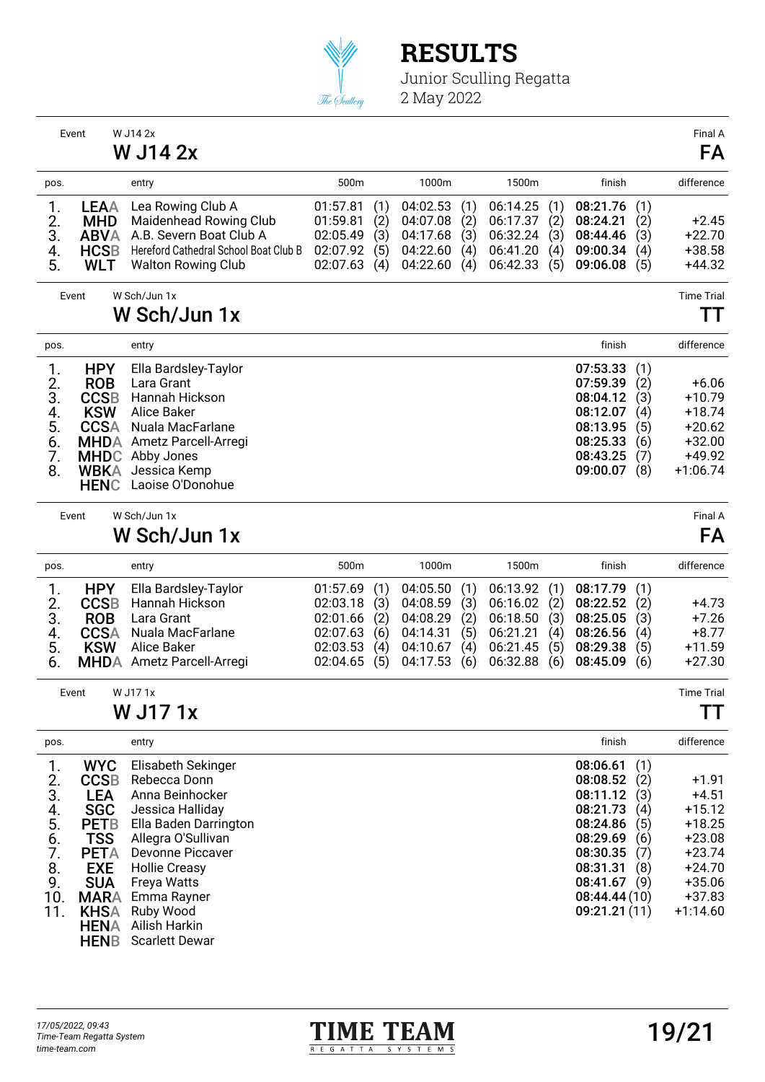

|                                                                  | Event                                                                                                                                                                                     | W J14 2x                                                                                                                                                                                                                                                         |                                                                      |                                        |                                                                      |                                        |                                                                      |                                        |                                                                                                                                          |                                                             | Final A                                                                                                              |
|------------------------------------------------------------------|-------------------------------------------------------------------------------------------------------------------------------------------------------------------------------------------|------------------------------------------------------------------------------------------------------------------------------------------------------------------------------------------------------------------------------------------------------------------|----------------------------------------------------------------------|----------------------------------------|----------------------------------------------------------------------|----------------------------------------|----------------------------------------------------------------------|----------------------------------------|------------------------------------------------------------------------------------------------------------------------------------------|-------------------------------------------------------------|----------------------------------------------------------------------------------------------------------------------|
|                                                                  |                                                                                                                                                                                           | W J14 2x                                                                                                                                                                                                                                                         |                                                                      |                                        |                                                                      |                                        |                                                                      |                                        |                                                                                                                                          |                                                             | FA                                                                                                                   |
| pos.                                                             |                                                                                                                                                                                           | entry                                                                                                                                                                                                                                                            | 500m                                                                 |                                        | 1000m                                                                |                                        | 1500m                                                                |                                        | finish                                                                                                                                   |                                                             | difference                                                                                                           |
| 1.<br>2.<br>3.<br>4.<br>5.                                       | <b>LEAA</b><br><b>MHD</b><br><b>ABVA</b><br><b>HCSB</b><br><b>WLT</b>                                                                                                                     | Lea Rowing Club A<br>Maidenhead Rowing Club<br>A.B. Severn Boat Club A<br>Hereford Cathedral School Boat Club B<br><b>Walton Rowing Club</b>                                                                                                                     | 01:57.81<br>01:59.81<br>02:05.49<br>02:07.92<br>02:07.63             | (1)<br>(2)<br>(3)<br>(5)<br>(4)        | 04:02.53<br>04:07.08<br>04:17.68<br>04:22.60<br>04:22.60             | (1)<br>(2)<br>(3)<br>(4)<br>(4)        | 06:14.25<br>06:17.37<br>06:32.24<br>06:41.20<br>06:42.33             | (1)<br>(2)<br>(3)<br>(4)<br>(5)        | 08:21.76<br>08:24.21<br>08:44.46<br>09:00.34<br>09:06.08                                                                                 | (1)<br>(2)<br>(3)<br>(4)<br>(5)                             | +2.45<br>$+22.70$<br>$+38.58$<br>$+44.32$                                                                            |
|                                                                  | Event                                                                                                                                                                                     | W Sch/Jun 1x                                                                                                                                                                                                                                                     |                                                                      |                                        |                                                                      |                                        |                                                                      |                                        |                                                                                                                                          |                                                             | <b>Time Trial</b>                                                                                                    |
|                                                                  |                                                                                                                                                                                           | W Sch/Jun 1x                                                                                                                                                                                                                                                     |                                                                      |                                        |                                                                      |                                        |                                                                      |                                        |                                                                                                                                          |                                                             | $\mathbf{1}$                                                                                                         |
| pos.                                                             |                                                                                                                                                                                           | entry                                                                                                                                                                                                                                                            |                                                                      |                                        |                                                                      |                                        |                                                                      |                                        | finish                                                                                                                                   |                                                             | difference                                                                                                           |
| 1.<br>2.<br>3.<br>4.<br>5.<br>6.<br>7.<br>8.                     | <b>HPY</b><br><b>ROB</b><br><b>CCSB</b><br><b>KSW</b><br><b>CCSA</b><br><b>MHDA</b><br><b>MHDC</b><br><b>WBKA</b><br><b>HENC</b>                                                          | Ella Bardsley-Taylor<br>Lara Grant<br>Hannah Hickson<br><b>Alice Baker</b><br>Nuala MacFarlane<br>Ametz Parcell-Arregi<br>Abby Jones<br>Jessica Kemp<br>Laoise O'Donohue                                                                                         |                                                                      |                                        |                                                                      |                                        |                                                                      |                                        | 07:53.33<br>07:59.39<br>08:04.12<br>08:12.07<br>08:13.95<br>08:25.33<br>08:43.25<br>09:00.07                                             | (1)<br>(2)<br>(3)<br>(4)<br>(5)<br>(6)<br>(7)<br>(8)        | $+6.06$<br>$+10.79$<br>$+18.74$<br>$+20.62$<br>$+32.00$<br>$+49.92$<br>$+1:06.74$                                    |
|                                                                  | Event                                                                                                                                                                                     | W Sch/Jun 1x<br>W Sch/Jun 1x                                                                                                                                                                                                                                     |                                                                      |                                        |                                                                      |                                        |                                                                      |                                        |                                                                                                                                          |                                                             | Final A<br>FA                                                                                                        |
| pos.                                                             |                                                                                                                                                                                           | entry                                                                                                                                                                                                                                                            | 500m                                                                 |                                        | 1000m                                                                |                                        | 1500m                                                                |                                        | finish                                                                                                                                   |                                                             | difference                                                                                                           |
| 1.<br>$rac{2}{3}$ .<br>$rac{4}{5}$ .<br>6.                       | <b>HPY</b><br><b>CCSB</b><br><b>ROB</b><br><b>CCSA</b><br><b>KSW</b><br><b>MHDA</b>                                                                                                       | Ella Bardsley-Taylor<br>Hannah Hickson<br>Lara Grant<br>Nuala MacFarlane<br>Alice Baker<br>Ametz Parcell-Arregi                                                                                                                                                  | 01:57.69<br>02:03.18<br>02:01.66<br>02:07.63<br>02:03.53<br>02:04.65 | (1)<br>(3)<br>(2)<br>(6)<br>(4)<br>(5) | 04:05.50<br>04:08.59<br>04:08.29<br>04:14.31<br>04:10.67<br>04:17.53 | (1)<br>(3)<br>(2)<br>(5)<br>(4)<br>(6) | 06:13.92<br>06:16.02<br>06:18.50<br>06:21.21<br>06:21.45<br>06:32.88 | (1)<br>(2)<br>(3)<br>(4)<br>(5)<br>(6) | 08:17.79<br>08:22.52<br>08:25.05<br>08:26.56<br>08:29.38<br>08:45.09                                                                     | (1)<br>(2)<br>(3)<br>(4)<br>(5)<br>(6)                      | $+4.73$<br>$+7.26$<br>$+8.77$<br>$+11.59$<br>$+27.30$                                                                |
|                                                                  | Event                                                                                                                                                                                     | W J171x<br><b>W J171x</b>                                                                                                                                                                                                                                        |                                                                      |                                        |                                                                      |                                        |                                                                      |                                        |                                                                                                                                          |                                                             | <b>Time Trial</b><br>---<br>$\mathbf{L}$                                                                             |
| pos.                                                             |                                                                                                                                                                                           | entry                                                                                                                                                                                                                                                            |                                                                      |                                        |                                                                      |                                        |                                                                      |                                        | finish                                                                                                                                   |                                                             | difference                                                                                                           |
| 1.<br>2.<br>3.<br>4.<br>5.<br>6.<br>7.<br>8.<br>9.<br>10.<br>11. | <b>WYC</b><br><b>CCSB</b><br><b>LEA</b><br><b>SGC</b><br><b>PETB</b><br><b>TSS</b><br><b>PETA</b><br><b>EXE</b><br><b>SUA</b><br><b>MARA</b><br><b>KHSA</b><br><b>HENA</b><br><b>HENB</b> | Elisabeth Sekinger<br>Rebecca Donn<br>Anna Beinhocker<br>Jessica Halliday<br>Ella Baden Darrington<br>Allegra O'Sullivan<br>Devonne Piccaver<br><b>Hollie Creasy</b><br><b>Freya Watts</b><br>Emma Rayner<br>Ruby Wood<br>Ailish Harkin<br><b>Scarlett Dewar</b> |                                                                      |                                        |                                                                      |                                        |                                                                      |                                        | 08:06.61<br>08:08.52<br>08:11.12<br>08:21.73<br>08:24.86<br>08:29.69<br>08:30.35<br>08:31.31<br>08:41.67<br>08:44.44(10)<br>09:21.21(11) | (1)<br>(2)<br>(3)<br>(4)<br>(5)<br>(6)<br>(7)<br>(8)<br>(9) | $+1.91$<br>$+4.51$<br>$+15.12$<br>$+18.25$<br>$+23.08$<br>$+23.74$<br>$+24.70$<br>$+35.06$<br>$+37.83$<br>$+1:14.60$ |

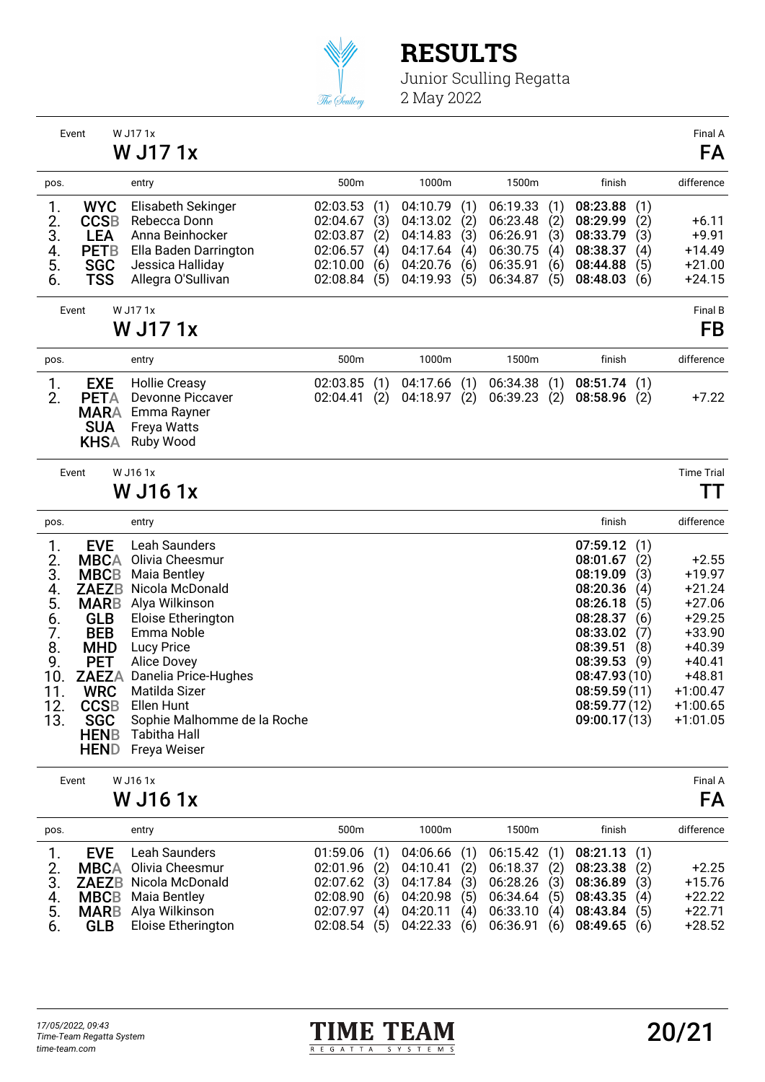

Junior Sculling Regatta 2 May 2022

|                                                                                | Event                                                                                                                                                                                                                    | W J171x<br>W J17 1x                                                                                                                                                                                                                                                                        |                                                                      |                                        |                                                                      |                                        |                                                                      |                                        |                                                                                                                                                                           |                                                             | Final A<br>FA                                                                                                                                   |
|--------------------------------------------------------------------------------|--------------------------------------------------------------------------------------------------------------------------------------------------------------------------------------------------------------------------|--------------------------------------------------------------------------------------------------------------------------------------------------------------------------------------------------------------------------------------------------------------------------------------------|----------------------------------------------------------------------|----------------------------------------|----------------------------------------------------------------------|----------------------------------------|----------------------------------------------------------------------|----------------------------------------|---------------------------------------------------------------------------------------------------------------------------------------------------------------------------|-------------------------------------------------------------|-------------------------------------------------------------------------------------------------------------------------------------------------|
| pos.                                                                           |                                                                                                                                                                                                                          | entry                                                                                                                                                                                                                                                                                      | 500m                                                                 |                                        | 1000m                                                                |                                        | 1500m                                                                |                                        | finish                                                                                                                                                                    |                                                             | difference                                                                                                                                      |
| 1.<br>2.<br>3.<br>4.<br>5.<br>6.                                               | <b>WYC</b><br><b>CCSB</b><br><b>LEA</b><br><b>PETB</b><br><b>SGC</b><br>TSS                                                                                                                                              | Elisabeth Sekinger<br>Rebecca Donn<br>Anna Beinhocker<br>Ella Baden Darrington<br>Jessica Halliday<br>Allegra O'Sullivan                                                                                                                                                                   | 02:03.53<br>02:04.67<br>02:03.87<br>02:06.57<br>02:10.00<br>02:08.84 | (1)<br>(3)<br>(2)<br>(4)<br>(6)<br>(5) | 04:10.79<br>04:13.02<br>04:14.83<br>04:17.64<br>04:20.76<br>04:19.93 | (1)<br>(2)<br>(3)<br>(4)<br>(6)<br>(5) | 06:19.33<br>06:23.48<br>06:26.91<br>06:30.75<br>06:35.91<br>06:34.87 | (1)<br>(2)<br>(3)<br>(4)<br>(6)<br>(5) | 08:23.88<br>08:29.99<br>08:33.79<br>08:38.37<br>08:44.88<br>08:48.03                                                                                                      | (1)<br>(2)<br>(3)<br>(4)<br>(5)<br>(6)                      | $+6.11$<br>$+9.91$<br>$+14.49$<br>$+21.00$<br>$+24.15$                                                                                          |
|                                                                                | Event                                                                                                                                                                                                                    | W J171x<br><b>W J171x</b>                                                                                                                                                                                                                                                                  |                                                                      |                                        |                                                                      |                                        |                                                                      |                                        |                                                                                                                                                                           |                                                             | Final B<br>FB                                                                                                                                   |
| pos.                                                                           |                                                                                                                                                                                                                          | entry                                                                                                                                                                                                                                                                                      | 500m                                                                 |                                        | 1000m                                                                |                                        | 1500m                                                                |                                        | finish                                                                                                                                                                    |                                                             | difference                                                                                                                                      |
| 1.<br>2.                                                                       | <b>EXE</b><br><b>PETA</b><br><b>MARA</b><br><b>SUA</b><br><b>KHSA</b>                                                                                                                                                    | <b>Hollie Creasy</b><br>Devonne Piccaver<br>Emma Rayner<br><b>Freya Watts</b><br>Ruby Wood                                                                                                                                                                                                 | 02:03.85<br>02:04.41                                                 | (1)<br>(2)                             | 04:17.66<br>04:18.97                                                 | (1)<br>(2)                             | 06:34.38<br>06:39.23                                                 | (1)<br>(2)                             | 08:51.74<br>08:58.96                                                                                                                                                      | (1)<br>(2)                                                  | $+7.22$                                                                                                                                         |
|                                                                                | Event                                                                                                                                                                                                                    | W J161x                                                                                                                                                                                                                                                                                    |                                                                      |                                        |                                                                      |                                        |                                                                      |                                        |                                                                                                                                                                           |                                                             | <b>Time Trial</b>                                                                                                                               |
|                                                                                |                                                                                                                                                                                                                          | W J16 1x                                                                                                                                                                                                                                                                                   |                                                                      |                                        |                                                                      |                                        |                                                                      |                                        |                                                                                                                                                                           |                                                             | $\mathbf{L}$                                                                                                                                    |
| pos.                                                                           |                                                                                                                                                                                                                          | entry                                                                                                                                                                                                                                                                                      |                                                                      |                                        |                                                                      |                                        |                                                                      |                                        | finish                                                                                                                                                                    |                                                             | difference                                                                                                                                      |
| 1.<br>2.<br>3.<br>4.<br>5.<br>6.<br>7.<br>8.<br>9.<br>10.<br>11.<br>12.<br>13. | <b>EVE</b><br><b>MBCA</b><br><b>MBCB</b><br><b>ZAEZB</b><br><b>MARB</b><br><b>GLB</b><br><b>BEB</b><br><b>MHD</b><br><b>PET</b><br><b>ZAEZA</b><br><b>WRC</b><br><b>CCSB</b><br><b>SGC</b><br><b>HENB</b><br><b>HEND</b> | Leah Saunders<br>Olivia Cheesmur<br><b>Maia Bentley</b><br>Nicola McDonald<br>Alya Wilkinson<br>Eloise Etherington<br>Emma Noble<br>Lucy Price<br>Alice Dovey<br>Danelia Price-Hughes<br>Matilda Sizer<br>Ellen Hunt<br>Sophie Malhomme de la Roche<br><b>Tabitha Hall</b><br>Freya Weiser |                                                                      |                                        |                                                                      |                                        |                                                                      |                                        | 07:59.12<br>08:01.67<br>08:19.09<br>08:20.36<br>08:26.18<br>08:28.37<br>08:33.02<br>08:39.51<br>08:39.53<br>08:47.93 (10)<br>08:59.59(11)<br>08:59.77(12)<br>09:00.17(13) | (1)<br>(2)<br>(3)<br>(4)<br>(5)<br>(6)<br>(7)<br>(8)<br>(9) | $+2.55$<br>$+19.97$<br>$+21.24$<br>$+27.06$<br>$+29.25$<br>+33.90<br>$+40.39$<br>$+40.41$<br>$+48.81$<br>$+1:00.47$<br>$+1:00.65$<br>$+1:01.05$ |
|                                                                                | Event                                                                                                                                                                                                                    | W J161x                                                                                                                                                                                                                                                                                    |                                                                      |                                        |                                                                      |                                        |                                                                      |                                        |                                                                                                                                                                           |                                                             | Final A                                                                                                                                         |
|                                                                                |                                                                                                                                                                                                                          | W J16 1x                                                                                                                                                                                                                                                                                   |                                                                      |                                        |                                                                      |                                        |                                                                      |                                        |                                                                                                                                                                           |                                                             | FA                                                                                                                                              |
| pos.                                                                           |                                                                                                                                                                                                                          | entry                                                                                                                                                                                                                                                                                      | 500m                                                                 |                                        | 1000m                                                                |                                        | 1500m                                                                |                                        | finish                                                                                                                                                                    |                                                             | difference                                                                                                                                      |
| 1.<br>2.<br>3.                                                                 | <b>EVE</b><br><b>MBCA</b><br><b>ZAEZB</b>                                                                                                                                                                                | Leah Saunders<br>Olivia Cheesmur<br>Nicola McDonald                                                                                                                                                                                                                                        | 01:59.06<br>02:01.96<br>02:07.62                                     | (1)<br>(2)<br>(3)                      | 04:06.66<br>04:10.41<br>04:17.84                                     | (1)<br>(2)<br>(3)                      | 06:15.42<br>06:18.37<br>06:28.26                                     | (1)<br>(2)<br>(3)                      | 08:21.13<br>08:23.38<br>08:36.89                                                                                                                                          | (1)<br>(2)<br>(3)                                           | $+2.25$<br>$+15.76$                                                                                                                             |



4. MBCB Maia Bentley 02:08.90 (6) 04:20.98 (5) 06:34.64 (5) 08:43.35 (4) +22.22 5. MARB Alya Wilkinson 02:07.97 (4) 04:20.11 (4) 06:33.10 (4) 08:43.84 (5) +22.71 6. GLB Eloise Etherington 02:08.54 (5) 04:22.33 (6) 06:36.91 (6) 08:49.65 (6) +28.52